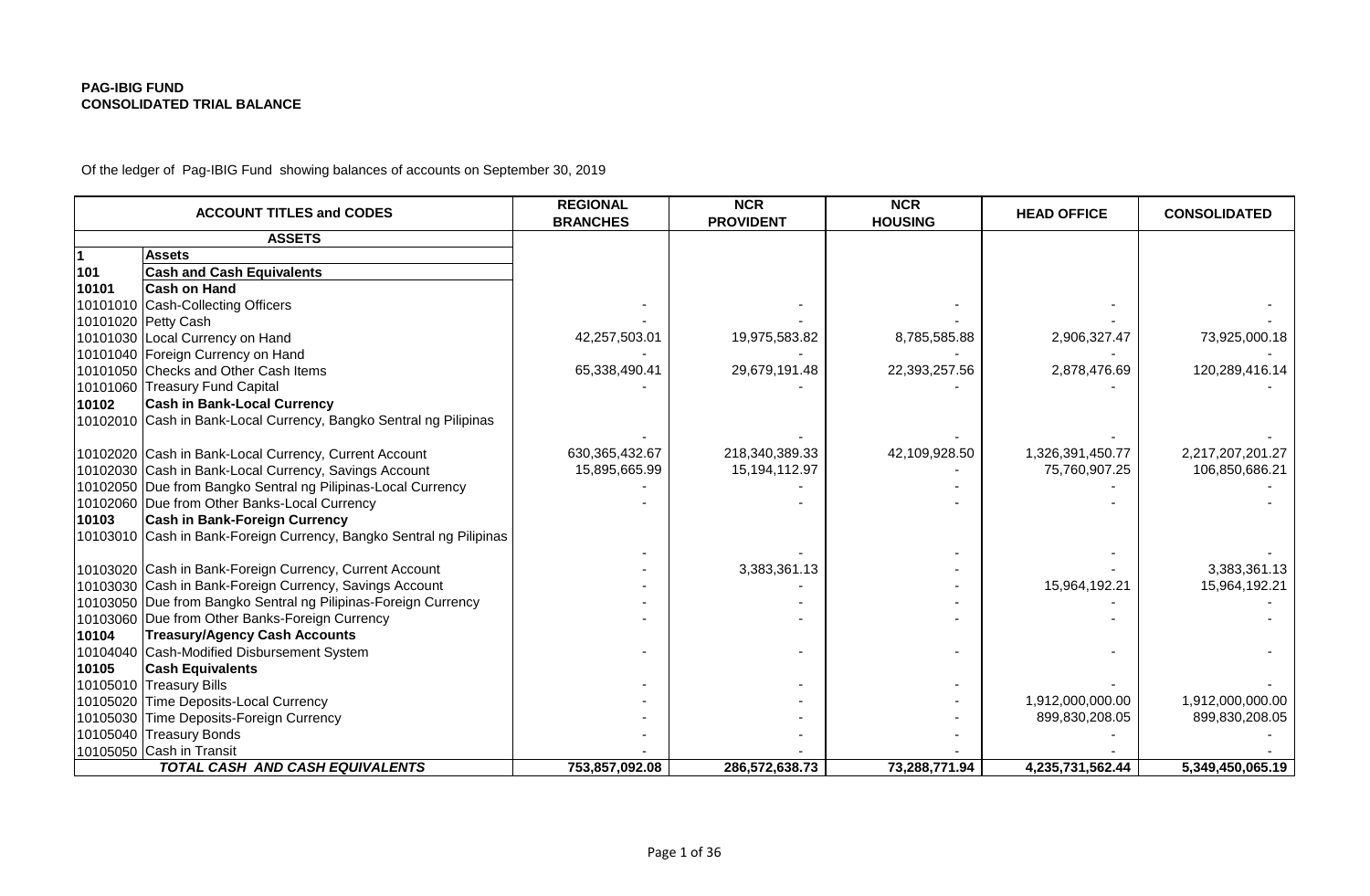Of the ledger of Pag-IBIG Fund showing balances of accounts on September 30, 2019

|          | <b>ACCOUNT TITLES and CODES</b>                                     | <b>REGIONAL</b><br><b>BRANCHES</b> | <b>NCR</b><br><b>PROVIDENT</b> | <b>NCR</b><br><b>HOUSING</b> | <b>HEAD OFFICE</b> | <b>CONSOLIDATED</b> |
|----------|---------------------------------------------------------------------|------------------------------------|--------------------------------|------------------------------|--------------------|---------------------|
|          | <b>ASSETS</b>                                                       |                                    |                                |                              |                    |                     |
|          | <b>Assets</b>                                                       |                                    |                                |                              |                    |                     |
| 101      | <b>Cash and Cash Equivalents</b>                                    |                                    |                                |                              |                    |                     |
| 10101    | <b>Cash on Hand</b>                                                 |                                    |                                |                              |                    |                     |
|          | 10101010 Cash-Collecting Officers                                   |                                    |                                |                              |                    |                     |
|          | 10101020 Petty Cash                                                 |                                    |                                |                              |                    |                     |
|          | 10101030 Local Currency on Hand                                     | 42,257,503.01                      | 19,975,583.82                  | 8,785,585.88                 | 2,906,327.47       | 73,925,000.18       |
|          | 10101040 Foreign Currency on Hand                                   |                                    |                                |                              |                    |                     |
|          | 10101050 Checks and Other Cash Items                                | 65,338,490.41                      | 29,679,191.48                  | 22,393,257.56                | 2,878,476.69       | 120,289,416.14      |
|          | 10101060 Treasury Fund Capital                                      |                                    |                                |                              |                    |                     |
| 10102    | <b>Cash in Bank-Local Currency</b>                                  |                                    |                                |                              |                    |                     |
|          | 10102010 Cash in Bank-Local Currency, Bangko Sentral ng Pilipinas   |                                    |                                |                              |                    |                     |
|          |                                                                     |                                    |                                |                              |                    |                     |
|          | 10102020 Cash in Bank-Local Currency, Current Account               | 630, 365, 432.67                   | 218,340,389.33                 | 42,109,928.50                | 1,326,391,450.77   | 2,217,207,201.27    |
|          | 10102030 Cash in Bank-Local Currency, Savings Account               | 15,895,665.99                      | 15,194,112.97                  |                              | 75,760,907.25      | 106,850,686.21      |
|          | 10102050 Due from Bangko Sentral ng Pilipinas-Local Currency        |                                    |                                |                              |                    |                     |
|          | 10102060 Due from Other Banks-Local Currency                        |                                    |                                |                              |                    |                     |
| 10103    | <b>Cash in Bank-Foreign Currency</b>                                |                                    |                                |                              |                    |                     |
|          | 10103010 Cash in Bank-Foreign Currency, Bangko Sentral ng Pilipinas |                                    |                                |                              |                    |                     |
|          |                                                                     |                                    |                                |                              |                    |                     |
|          | 10103020 Cash in Bank-Foreign Currency, Current Account             |                                    | 3,383,361.13                   |                              |                    | 3,383,361.13        |
|          | 10103030 Cash in Bank-Foreign Currency, Savings Account             |                                    |                                |                              | 15,964,192.21      | 15,964,192.21       |
|          | 10103050 Due from Bangko Sentral ng Pilipinas-Foreign Currency      |                                    |                                |                              |                    |                     |
|          | 10103060 Due from Other Banks-Foreign Currency                      |                                    |                                |                              |                    |                     |
| 10104    | <b>Treasury/Agency Cash Accounts</b>                                |                                    |                                |                              |                    |                     |
|          | 10104040 Cash-Modified Disbursement System                          |                                    |                                |                              |                    |                     |
| 10105    | <b>Cash Equivalents</b>                                             |                                    |                                |                              |                    |                     |
|          | 10105010 Treasury Bills                                             |                                    |                                |                              |                    |                     |
| 10105020 | <b>Time Deposits-Local Currency</b>                                 |                                    |                                |                              | 1,912,000,000.00   | 1,912,000,000.00    |
| 10105030 | Time Deposits-Foreign Currency                                      |                                    |                                |                              | 899,830,208.05     | 899,830,208.05      |
|          | 10105040 Treasury Bonds                                             |                                    |                                |                              |                    |                     |
|          | 10105050 Cash in Transit                                            |                                    |                                |                              |                    |                     |
|          | <b>TOTAL CASH AND CASH EQUIVALENTS</b>                              | 753,857,092.08                     | 286,572,638.73                 | 73,288,771.94                | 4,235,731,562.44   | 5,349,450,065.19    |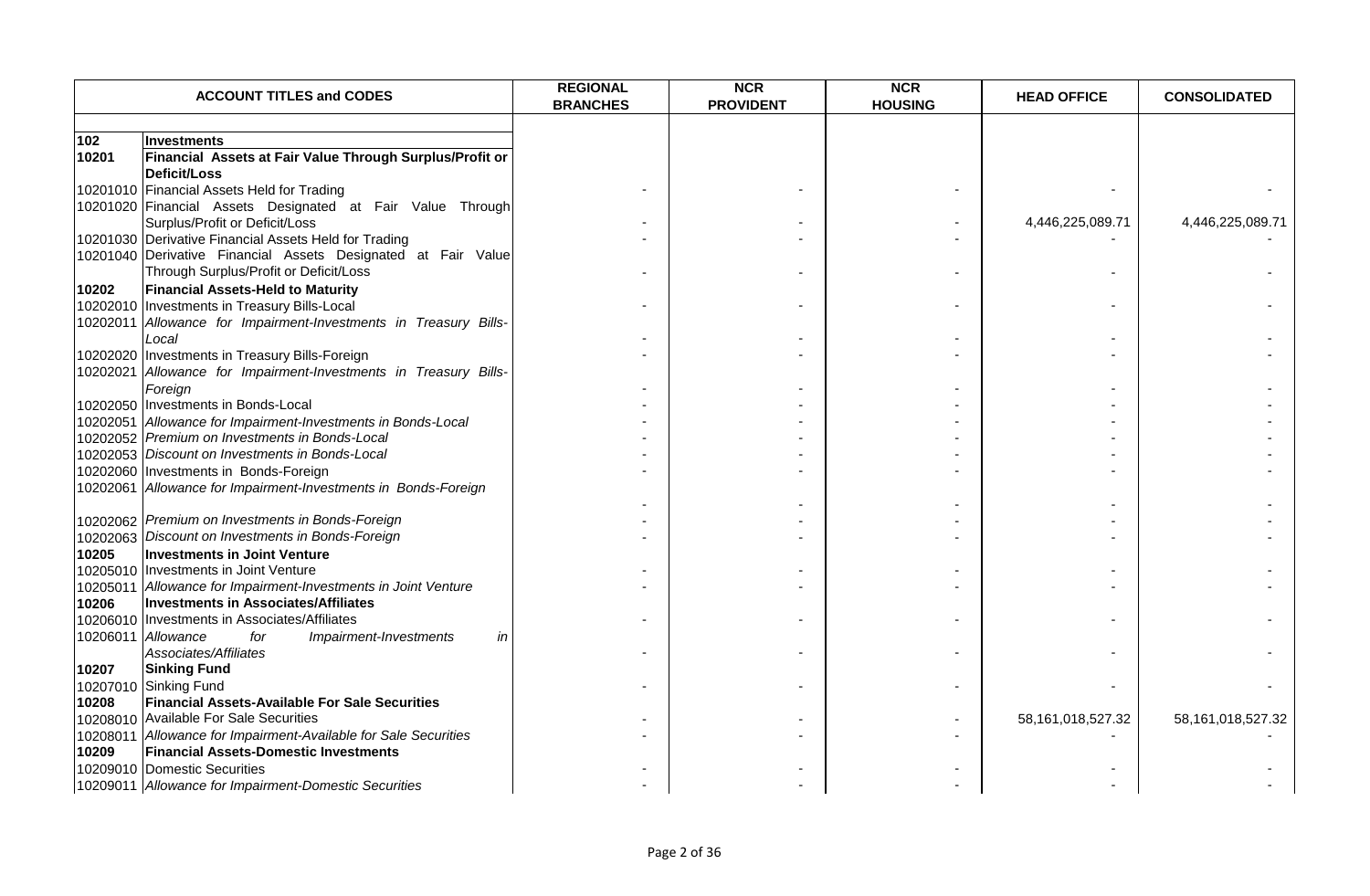|       | <b>ACCOUNT TITLES and CODES</b>                                  | <b>REGIONAL</b><br><b>BRANCHES</b> | <b>NCR</b><br><b>PROVIDENT</b> | <b>NCR</b><br><b>HOUSING</b> | <b>HEAD OFFICE</b> | <b>CONSOLIDATED</b>   |
|-------|------------------------------------------------------------------|------------------------------------|--------------------------------|------------------------------|--------------------|-----------------------|
|       |                                                                  |                                    |                                |                              |                    |                       |
| 102   | Investments                                                      |                                    |                                |                              |                    |                       |
| 10201 | Financial Assets at Fair Value Through Surplus/Profit or         |                                    |                                |                              |                    |                       |
|       | <b>Deficit/Loss</b>                                              |                                    |                                |                              |                    |                       |
|       | 10201010 Financial Assets Held for Trading                       |                                    |                                |                              |                    |                       |
|       | 10201020 Financial Assets Designated at Fair Value Through       |                                    |                                |                              |                    |                       |
|       | Surplus/Profit or Deficit/Loss                                   |                                    |                                |                              | 4,446,225,089.71   | 4,446,225,089.71      |
|       | 10201030 Derivative Financial Assets Held for Trading            |                                    |                                |                              |                    |                       |
|       | 10201040 Derivative Financial Assets Designated at Fair Value    |                                    |                                |                              |                    |                       |
|       | Through Surplus/Profit or Deficit/Loss                           |                                    |                                |                              |                    |                       |
| 10202 | <b>Financial Assets-Held to Maturity</b>                         |                                    |                                |                              |                    |                       |
|       | 10202010   Investments in Treasury Bills-Local                   |                                    |                                |                              |                    |                       |
|       | 10202011 Allowance for Impairment-Investments in Treasury Bills- |                                    |                                |                              |                    |                       |
|       | Local                                                            |                                    |                                |                              |                    |                       |
|       | 10202020 Investments in Treasury Bills-Foreign                   |                                    |                                |                              |                    |                       |
|       | 10202021 Allowance for Impairment-Investments in Treasury Bills- |                                    |                                |                              |                    |                       |
|       | Foreign                                                          |                                    |                                |                              |                    |                       |
|       | 10202050 Investments in Bonds-Local                              |                                    |                                |                              |                    |                       |
|       | 10202051 Allowance for Impairment-Investments in Bonds-Local     |                                    |                                |                              |                    |                       |
|       | 10202052 Premium on Investments in Bonds-Local                   |                                    |                                |                              |                    |                       |
|       | 10202053 Discount on Investments in Bonds-Local                  |                                    |                                |                              |                    |                       |
|       | 10202060 Investments in Bonds-Foreign                            |                                    |                                |                              |                    |                       |
|       | 10202061 Allowance for Impairment-Investments in Bonds-Foreign   |                                    |                                |                              |                    |                       |
|       |                                                                  |                                    |                                |                              |                    |                       |
|       | 10202062 Premium on Investments in Bonds-Foreign                 |                                    |                                |                              |                    |                       |
|       | 10202063 Discount on Investments in Bonds-Foreign                |                                    |                                |                              |                    |                       |
| 10205 | <b>Investments in Joint Venture</b>                              |                                    |                                |                              |                    |                       |
|       | 10205010 Investments in Joint Venture                            |                                    |                                |                              |                    |                       |
|       | 10205011 Allowance for Impairment-Investments in Joint Venture   |                                    |                                |                              |                    |                       |
| 10206 | <b>Investments in Associates/Affiliates</b>                      |                                    |                                |                              |                    |                       |
|       | 10206010 Investments in Associates/Affiliates                    |                                    |                                |                              |                    |                       |
|       | 10206011 Allowance<br>Impairment-Investments<br>for<br>in        |                                    |                                |                              |                    |                       |
|       | Associates/Affiliates                                            |                                    |                                |                              |                    |                       |
| 10207 | <b>Sinking Fund</b>                                              |                                    |                                |                              |                    |                       |
|       | 10207010 Sinking Fund                                            |                                    |                                |                              |                    |                       |
| 10208 | <b>Financial Assets-Available For Sale Securities</b>            |                                    |                                |                              |                    |                       |
|       | 10208010 Available For Sale Securities                           |                                    |                                |                              | 58,161,018,527.32  | 58, 161, 018, 527. 32 |
|       | 10208011 Allowance for Impairment-Available for Sale Securities  |                                    |                                |                              |                    |                       |
| 10209 | <b>Financial Assets-Domestic Investments</b>                     |                                    |                                |                              |                    |                       |
|       | 10209010 Domestic Securities                                     |                                    |                                |                              |                    |                       |
|       | 10209011 Allowance for Impairment-Domestic Securities            |                                    |                                |                              |                    |                       |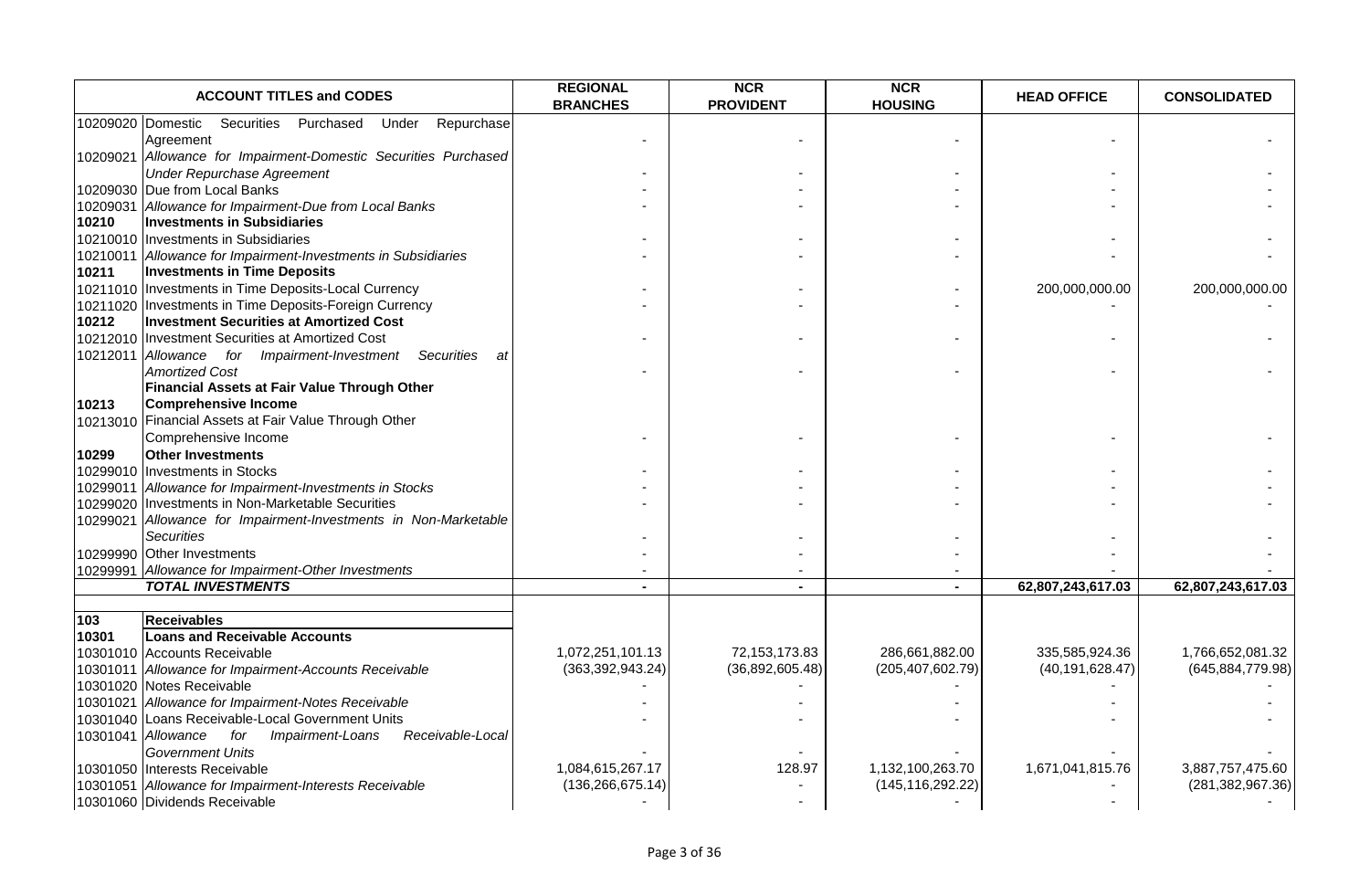|                   | <b>ACCOUNT TITLES and CODES</b>                                                              | <b>REGIONAL</b><br><b>BRANCHES</b> | <b>NCR</b><br><b>PROVIDENT</b> | <b>NCR</b><br><b>HOUSING</b> | <b>HEAD OFFICE</b> | <b>CONSOLIDATED</b> |
|-------------------|----------------------------------------------------------------------------------------------|------------------------------------|--------------------------------|------------------------------|--------------------|---------------------|
|                   | 10209020 Domestic<br>Securities<br>Purchased<br>Repurchase<br>Under                          |                                    |                                |                              |                    |                     |
|                   | Agreement                                                                                    |                                    |                                |                              |                    |                     |
|                   | 10209021 Allowance for Impairment-Domestic Securities Purchased                              |                                    |                                |                              |                    |                     |
|                   | <b>Under Repurchase Agreement</b>                                                            |                                    |                                |                              |                    |                     |
|                   | 10209030 Due from Local Banks                                                                |                                    |                                |                              |                    |                     |
| 10209031<br>10210 | Allowance for Impairment-Due from Local Banks                                                |                                    |                                |                              |                    |                     |
|                   | <b>Investments in Subsidiaries</b>                                                           |                                    |                                |                              |                    |                     |
|                   | 10210010 Investments in Subsidiaries<br>Allowance for Impairment-Investments in Subsidiaries |                                    |                                |                              |                    |                     |
| 10210011<br>10211 | <b>Investments in Time Deposits</b>                                                          |                                    |                                |                              |                    |                     |
|                   | 10211010 Investments in Time Deposits-Local Currency                                         |                                    |                                |                              | 200,000,000.00     | 200,000,000.00      |
| 10211020          | Investments in Time Deposits-Foreign Currency                                                |                                    |                                |                              |                    |                     |
| 10212             | <b>Investment Securities at Amortized Cost</b>                                               |                                    |                                |                              |                    |                     |
|                   | 10212010 Investment Securities at Amortized Cost                                             |                                    |                                |                              |                    |                     |
| 10212011          | Allowance for Impairment-Investment<br>Securities<br>at                                      |                                    |                                |                              |                    |                     |
|                   | <b>Amortized Cost</b>                                                                        |                                    |                                |                              |                    |                     |
|                   | Financial Assets at Fair Value Through Other                                                 |                                    |                                |                              |                    |                     |
| 10213             | <b>Comprehensive Income</b>                                                                  |                                    |                                |                              |                    |                     |
|                   | 10213010 Financial Assets at Fair Value Through Other                                        |                                    |                                |                              |                    |                     |
|                   | Comprehensive Income                                                                         |                                    |                                |                              |                    |                     |
| 10299             | <b>Other Investments</b>                                                                     |                                    |                                |                              |                    |                     |
| 10299010          | <b>Investments in Stocks</b>                                                                 |                                    |                                |                              |                    |                     |
| 10299011          | Allowance for Impairment-Investments in Stocks                                               |                                    |                                |                              |                    |                     |
| 10299020          | Investments in Non-Marketable Securities                                                     |                                    |                                |                              |                    |                     |
| 10299021          | Allowance for Impairment-Investments in Non-Marketable                                       |                                    |                                |                              |                    |                     |
|                   | <b>Securities</b>                                                                            |                                    |                                |                              |                    |                     |
|                   | 10299990 Other Investments                                                                   |                                    |                                |                              |                    |                     |
|                   | 10299991 Allowance for Impairment-Other Investments                                          |                                    |                                |                              |                    |                     |
|                   | <b>TOTAL INVESTMENTS</b>                                                                     |                                    |                                | $\sim$                       | 62,807,243,617.03  | 62,807,243,617.03   |
|                   |                                                                                              |                                    |                                |                              |                    |                     |
| 103<br>10301      | <b>Receivables</b><br><b>Loans and Receivable Accounts</b>                                   |                                    |                                |                              |                    |                     |
|                   | 10301010 Accounts Receivable                                                                 | 1,072,251,101.13                   | 72,153,173.83                  | 286,661,882.00               | 335,585,924.36     | 1,766,652,081.32    |
|                   | 10301011 Allowance for Impairment-Accounts Receivable                                        | (363, 392, 943.24)                 | (36,892,605.48)                | (205, 407, 602.79)           | (40, 191, 628.47)  | (645, 884, 779.98)  |
|                   | 10301020 Notes Receivable                                                                    |                                    |                                |                              |                    |                     |
|                   | 10301021 Allowance for Impairment-Notes Receivable                                           |                                    |                                |                              |                    |                     |
|                   | 10301040 Loans Receivable-Local Government Units                                             |                                    |                                |                              |                    |                     |
|                   | 10301041 Allowance<br>Receivable-Local<br>for Impairment-Loans                               |                                    |                                |                              |                    |                     |
|                   | <b>Government Units</b>                                                                      |                                    |                                |                              |                    |                     |
|                   | 10301050 Interests Receivable                                                                | 1,084,615,267.17                   | 128.97                         | 1,132,100,263.70             | 1,671,041,815.76   | 3,887,757,475.60    |
| 10301051          | Allowance for Impairment-Interests Receivable                                                | (136, 266, 675.14)                 |                                | (145, 116, 292.22)           |                    | (281, 382, 967.36)  |
|                   | 10301060 Dividends Receivable                                                                |                                    |                                |                              |                    |                     |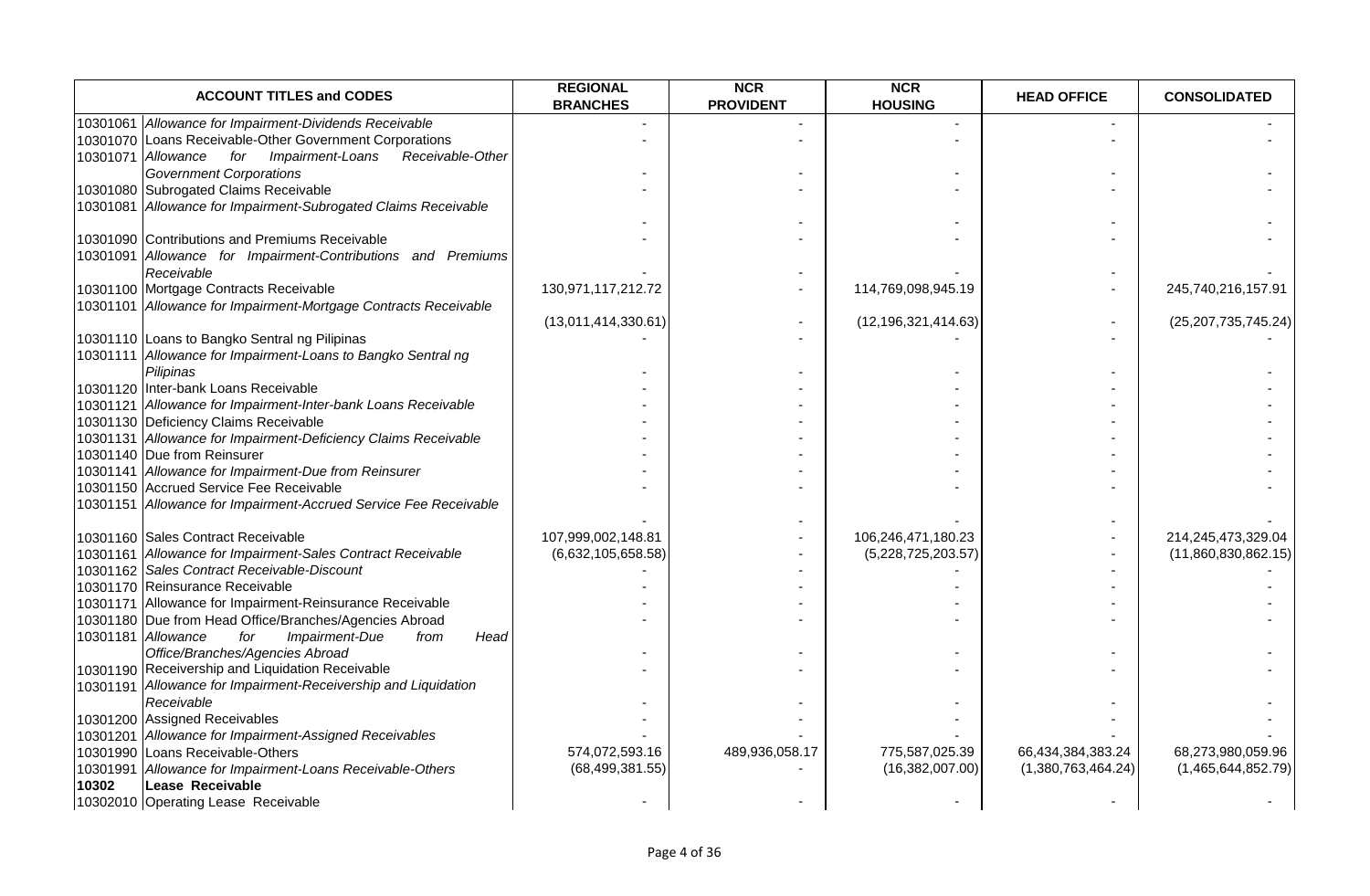|       | <b>ACCOUNT TITLES and CODES</b>                                  | <b>REGIONAL</b><br><b>BRANCHES</b> | <b>NCR</b><br><b>PROVIDENT</b> | <b>NCR</b><br><b>HOUSING</b> | <b>HEAD OFFICE</b> | <b>CONSOLIDATED</b>    |
|-------|------------------------------------------------------------------|------------------------------------|--------------------------------|------------------------------|--------------------|------------------------|
|       | 10301061 Allowance for Impairment-Dividends Receivable           |                                    |                                |                              |                    |                        |
|       | 10301070 Loans Receivable-Other Government Corporations          |                                    |                                |                              |                    |                        |
|       | 10301071 Allowance for Impairment-Loans<br>Receivable-Other      |                                    |                                |                              |                    |                        |
|       | <b>Government Corporations</b>                                   |                                    |                                |                              |                    |                        |
|       | 10301080 Subrogated Claims Receivable                            |                                    |                                |                              |                    |                        |
|       | 10301081 Allowance for Impairment-Subrogated Claims Receivable   |                                    |                                |                              |                    |                        |
|       |                                                                  |                                    |                                |                              |                    |                        |
|       | 10301090 Contributions and Premiums Receivable                   |                                    |                                |                              |                    |                        |
|       | 10301091 Allowance for Impairment-Contributions and Premiums     |                                    |                                |                              |                    |                        |
|       | Receivable                                                       |                                    |                                |                              |                    |                        |
|       | 10301100 Mortgage Contracts Receivable                           | 130,971,117,212.72                 |                                | 114,769,098,945.19           |                    | 245,740,216,157.91     |
|       | 10301101 Allowance for Impairment-Mortgage Contracts Receivable  |                                    |                                |                              |                    |                        |
|       |                                                                  | (13,011,414,330.61)                |                                | (12, 196, 321, 414.63)       |                    | (25, 207, 735, 745.24) |
|       | 10301110 Loans to Bangko Sentral ng Pilipinas                    |                                    |                                |                              |                    |                        |
|       | 10301111 Allowance for Impairment-Loans to Bangko Sentral ng     |                                    |                                |                              |                    |                        |
|       | Pilipinas                                                        |                                    |                                |                              |                    |                        |
|       | 10301120 Inter-bank Loans Receivable                             |                                    |                                |                              |                    |                        |
|       | 10301121 Allowance for Impairment-Inter-bank Loans Receivable    |                                    |                                |                              |                    |                        |
|       | 10301130 Deficiency Claims Receivable                            |                                    |                                |                              |                    |                        |
|       | 10301131 Allowance for Impairment-Deficiency Claims Receivable   |                                    |                                |                              |                    |                        |
|       | 10301140 Due from Reinsurer                                      |                                    |                                |                              |                    |                        |
|       | 10301141 Allowance for Impairment-Due from Reinsurer             |                                    |                                |                              |                    |                        |
|       | 10301150 Accrued Service Fee Receivable                          |                                    |                                |                              |                    |                        |
|       | 10301151 Allowance for Impairment-Accrued Service Fee Receivable |                                    |                                |                              |                    |                        |
|       |                                                                  |                                    |                                |                              |                    |                        |
|       | 10301160 Sales Contract Receivable                               | 107,999,002,148.81                 |                                | 106,246,471,180.23           |                    | 214,245,473,329.04     |
|       | 10301161 Allowance for Impairment-Sales Contract Receivable      | (6,632,105,658.58)                 |                                | (5,228,725,203.57)           |                    | (11,860,830,862.15)    |
|       | 10301162 Sales Contract Receivable-Discount                      |                                    |                                |                              |                    |                        |
|       | 10301170 Reinsurance Receivable                                  |                                    |                                |                              |                    |                        |
|       | 10301171 Allowance for Impairment-Reinsurance Receivable         |                                    |                                |                              |                    |                        |
|       | 10301180 Due from Head Office/Branches/Agencies Abroad           |                                    |                                |                              |                    |                        |
|       | 10301181 Allowance<br>for<br>Impairment-Due<br>from<br>Head      |                                    |                                |                              |                    |                        |
|       | Office/Branches/Agencies Abroad                                  |                                    |                                |                              |                    |                        |
|       | 10301190 Receivership and Liquidation Receivable                 |                                    |                                |                              |                    |                        |
|       | 10301191 Allowance for Impairment-Receivership and Liquidation   |                                    |                                |                              |                    |                        |
|       | Receivable                                                       |                                    |                                |                              |                    |                        |
|       | 10301200 Assigned Receivables                                    |                                    |                                |                              |                    |                        |
|       | 10301201 Allowance for Impairment-Assigned Receivables           |                                    |                                |                              |                    |                        |
|       | 10301990 Loans Receivable-Others                                 | 574,072,593.16                     | 489,936,058.17                 | 775,587,025.39               | 66,434,384,383.24  | 68,273,980,059.96      |
|       | 10301991 Allowance for Impairment-Loans Receivable-Others        | (68, 499, 381.55)                  |                                | (16, 382, 007.00)            | (1,380,763,464.24) | (1,465,644,852.79)     |
| 10302 | Lease Receivable                                                 |                                    |                                |                              |                    |                        |
|       | 10302010 Operating Lease Receivable                              |                                    |                                |                              |                    |                        |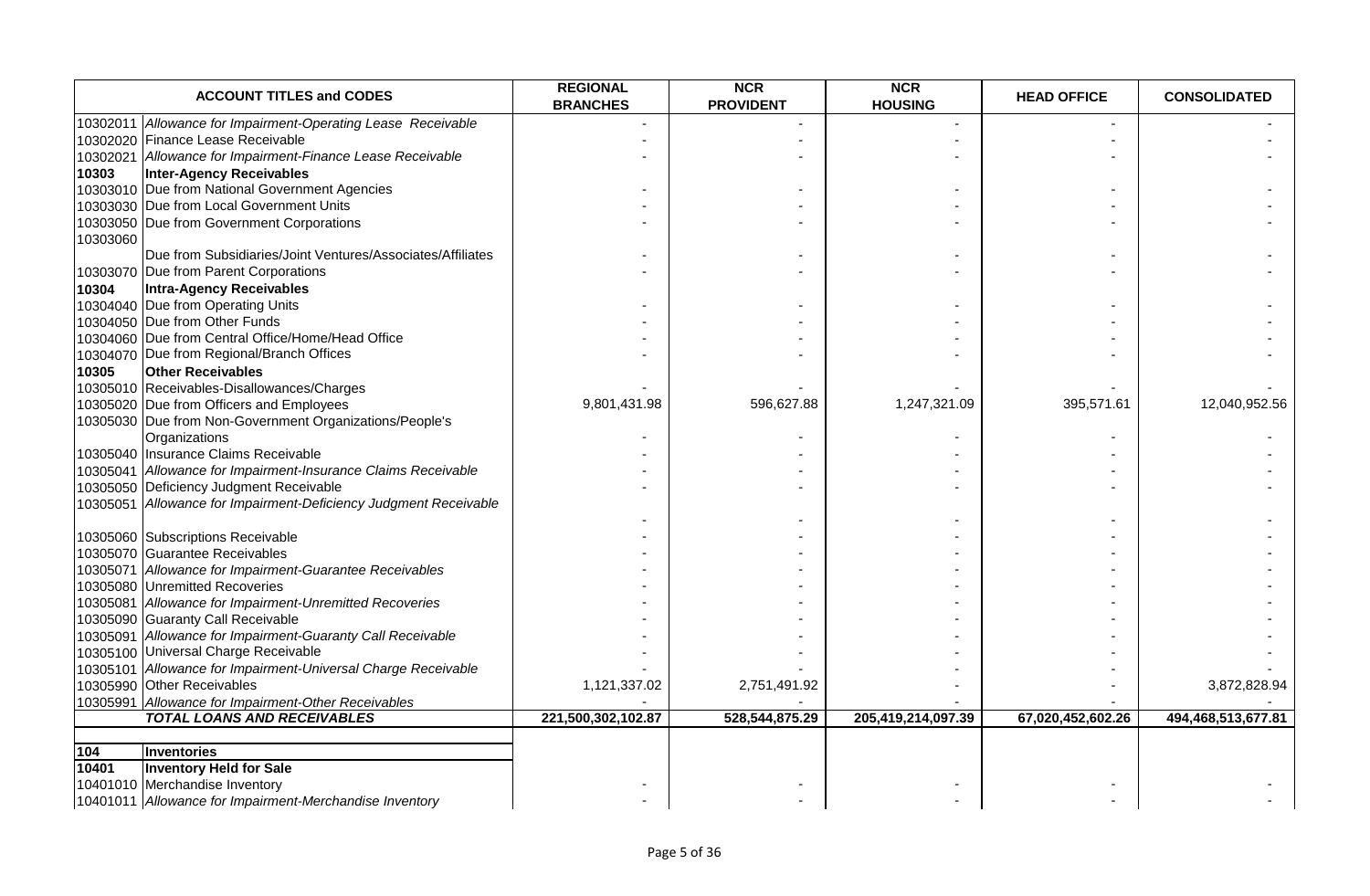|          | <b>ACCOUNT TITLES and CODES</b>                                  | <b>REGIONAL</b><br><b>BRANCHES</b> | <b>NCR</b><br><b>PROVIDENT</b> | <b>NCR</b><br><b>HOUSING</b> | <b>HEAD OFFICE</b> | <b>CONSOLIDATED</b> |
|----------|------------------------------------------------------------------|------------------------------------|--------------------------------|------------------------------|--------------------|---------------------|
|          | 10302011 Allowance for Impairment-Operating Lease Receivable     |                                    |                                |                              |                    |                     |
|          | 10302020 Finance Lease Receivable                                |                                    |                                |                              |                    |                     |
|          | 10302021 Allowance for Impairment-Finance Lease Receivable       |                                    |                                |                              |                    |                     |
| 10303    | <b>Inter-Agency Receivables</b>                                  |                                    |                                |                              |                    |                     |
|          | 10303010 Due from National Government Agencies                   |                                    |                                |                              |                    |                     |
|          | 10303030 Due from Local Government Units                         |                                    |                                |                              |                    |                     |
|          | 10303050 Due from Government Corporations                        |                                    |                                |                              |                    |                     |
| 10303060 |                                                                  |                                    |                                |                              |                    |                     |
|          | Due from Subsidiaries/Joint Ventures/Associates/Affiliates       |                                    |                                |                              |                    |                     |
|          | 10303070 Due from Parent Corporations                            |                                    |                                |                              |                    |                     |
| 10304    | Intra-Agency Receivables                                         |                                    |                                |                              |                    |                     |
|          | 10304040 Due from Operating Units                                |                                    |                                |                              |                    |                     |
|          | 10304050 Due from Other Funds                                    |                                    |                                |                              |                    |                     |
|          | 10304060 Due from Central Office/Home/Head Office                |                                    |                                |                              |                    |                     |
|          | 10304070 Due from Regional/Branch Offices                        |                                    |                                |                              |                    |                     |
| 10305    | <b>Other Receivables</b>                                         |                                    |                                |                              |                    |                     |
|          | 10305010 Receivables-Disallowances/Charges                       |                                    |                                |                              |                    |                     |
|          | 10305020 Due from Officers and Employees                         | 9,801,431.98                       | 596,627.88                     | 1,247,321.09                 | 395,571.61         | 12,040,952.56       |
|          | 10305030 Due from Non-Government Organizations/People's          |                                    |                                |                              |                    |                     |
|          | Organizations                                                    |                                    |                                |                              |                    |                     |
|          | 10305040 Insurance Claims Receivable                             |                                    |                                |                              |                    |                     |
|          | 10305041 Allowance for Impairment-Insurance Claims Receivable    |                                    |                                |                              |                    |                     |
|          | 10305050 Deficiency Judgment Receivable                          |                                    |                                |                              |                    |                     |
|          | 10305051 Allowance for Impairment-Deficiency Judgment Receivable |                                    |                                |                              |                    |                     |
|          |                                                                  |                                    |                                |                              |                    |                     |
|          | 10305060 Subscriptions Receivable                                |                                    |                                |                              |                    |                     |
|          | 10305070 Guarantee Receivables                                   |                                    |                                |                              |                    |                     |
|          | 10305071 Allowance for Impairment-Guarantee Receivables          |                                    |                                |                              |                    |                     |
|          | 10305080 Unremitted Recoveries                                   |                                    |                                |                              |                    |                     |
|          | 10305081 Allowance for Impairment-Unremitted Recoveries          |                                    |                                |                              |                    |                     |
|          | 10305090 Guaranty Call Receivable                                |                                    |                                |                              |                    |                     |
|          | 10305091 Allowance for Impairment-Guaranty Call Receivable       |                                    |                                |                              |                    |                     |
|          | 10305100 Universal Charge Receivable                             |                                    |                                |                              |                    |                     |
|          | 10305101 Allowance for Impairment-Universal Charge Receivable    |                                    |                                |                              |                    |                     |
|          | 10305990 Other Receivables                                       | 1,121,337.02                       | 2,751,491.92                   |                              |                    | 3,872,828.94        |
|          | 10305991 Allowance for Impairment-Other Receivables              |                                    |                                |                              |                    |                     |
|          | <b>TOTAL LOANS AND RECEIVABLES</b>                               | 221,500,302,102.87                 | 528,544,875.29                 | 205,419,214,097.39           | 67,020,452,602.26  | 494,468,513,677.81  |
|          |                                                                  |                                    |                                |                              |                    |                     |
| 104      | <b>Inventories</b>                                               |                                    |                                |                              |                    |                     |
| 10401    | <b>Inventory Held for Sale</b>                                   |                                    |                                |                              |                    |                     |
|          | 10401010 Merchandise Inventory                                   |                                    |                                |                              |                    |                     |
|          | 10401011 Allowance for Impairment-Merchandise Inventory          |                                    |                                |                              |                    |                     |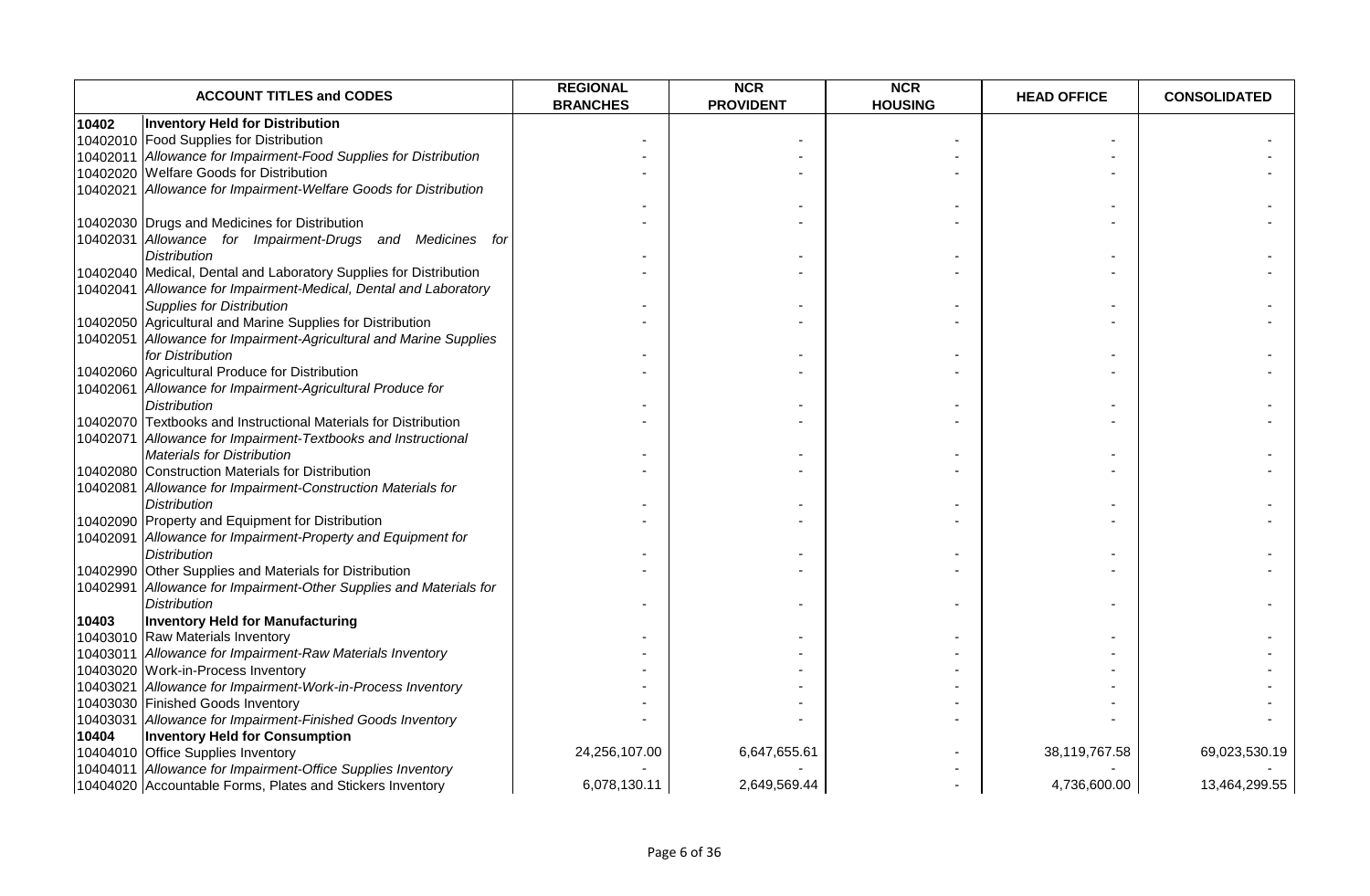|          | <b>ACCOUNT TITLES and CODES</b>                                    | <b>REGIONAL</b><br><b>BRANCHES</b> | <b>NCR</b><br><b>PROVIDENT</b> | <b>NCR</b><br><b>HOUSING</b> | <b>HEAD OFFICE</b> | <b>CONSOLIDATED</b> |
|----------|--------------------------------------------------------------------|------------------------------------|--------------------------------|------------------------------|--------------------|---------------------|
| 10402    | <b>Inventory Held for Distribution</b>                             |                                    |                                |                              |                    |                     |
|          | 10402010 Food Supplies for Distribution                            |                                    |                                |                              |                    |                     |
|          | 10402011 Allowance for Impairment-Food Supplies for Distribution   |                                    |                                |                              |                    |                     |
|          | 10402020 Welfare Goods for Distribution                            |                                    |                                |                              |                    |                     |
|          | 10402021 Allowance for Impairment-Welfare Goods for Distribution   |                                    |                                |                              |                    |                     |
|          |                                                                    |                                    |                                |                              |                    |                     |
|          | 10402030 Drugs and Medicines for Distribution                      |                                    |                                |                              |                    |                     |
|          | 10402031 Allowance for Impairment-Drugs and Medicines for          |                                    |                                |                              |                    |                     |
|          | <b>Distribution</b>                                                |                                    |                                |                              |                    |                     |
|          | 10402040 Medical, Dental and Laboratory Supplies for Distribution  |                                    |                                |                              |                    |                     |
|          | 10402041 Allowance for Impairment-Medical, Dental and Laboratory   |                                    |                                |                              |                    |                     |
|          | <b>Supplies for Distribution</b>                                   |                                    |                                |                              |                    |                     |
|          | 10402050 Agricultural and Marine Supplies for Distribution         |                                    |                                |                              |                    |                     |
|          | 10402051 Allowance for Impairment-Agricultural and Marine Supplies |                                    |                                |                              |                    |                     |
|          | for Distribution                                                   |                                    |                                |                              |                    |                     |
|          | 10402060 Agricultural Produce for Distribution                     |                                    |                                |                              |                    |                     |
|          | 10402061 Allowance for Impairment-Agricultural Produce for         |                                    |                                |                              |                    |                     |
|          | <b>Distribution</b>                                                |                                    |                                |                              |                    |                     |
|          | 10402070 Textbooks and Instructional Materials for Distribution    |                                    |                                |                              |                    |                     |
|          | 10402071 Allowance for Impairment-Textbooks and Instructional      |                                    |                                |                              |                    |                     |
|          | <b>Materials for Distribution</b>                                  |                                    |                                |                              |                    |                     |
|          | 10402080 Construction Materials for Distribution                   |                                    |                                |                              |                    |                     |
|          | 10402081 Allowance for Impairment-Construction Materials for       |                                    |                                |                              |                    |                     |
|          | <b>Distribution</b>                                                |                                    |                                |                              |                    |                     |
|          | 10402090 Property and Equipment for Distribution                   |                                    |                                |                              |                    |                     |
|          | 10402091 Allowance for Impairment-Property and Equipment for       |                                    |                                |                              |                    |                     |
|          | <b>Distribution</b>                                                |                                    |                                |                              |                    |                     |
|          | 10402990 Other Supplies and Materials for Distribution             |                                    |                                |                              |                    |                     |
| 10402991 | Allowance for Impairment-Other Supplies and Materials for          |                                    |                                |                              |                    |                     |
|          | <b>Distribution</b>                                                |                                    |                                |                              |                    |                     |
| 10403    | <b>Inventory Held for Manufacturing</b>                            |                                    |                                |                              |                    |                     |
|          | 10403010 Raw Materials Inventory                                   |                                    |                                |                              |                    |                     |
|          | 10403011 Allowance for Impairment-Raw Materials Inventory          |                                    |                                |                              |                    |                     |
|          | 10403020 Work-in-Process Inventory                                 |                                    |                                |                              |                    |                     |
|          | 10403021 Allowance for Impairment-Work-in-Process Inventory        |                                    |                                |                              |                    |                     |
|          | 10403030 Finished Goods Inventory                                  |                                    |                                |                              |                    |                     |
|          | 10403031 Allowance for Impairment-Finished Goods Inventory         |                                    |                                |                              |                    |                     |
| 10404    | <b>Inventory Held for Consumption</b>                              |                                    |                                |                              |                    |                     |
|          | 10404010 Office Supplies Inventory                                 | 24,256,107.00                      | 6,647,655.61                   |                              | 38,119,767.58      | 69,023,530.19       |
|          | 10404011 Allowance for Impairment-Office Supplies Inventory        |                                    |                                |                              |                    |                     |
|          | 10404020 Accountable Forms, Plates and Stickers Inventory          | 6,078,130.11                       | 2,649,569.44                   |                              | 4,736,600.00       | 13,464,299.55       |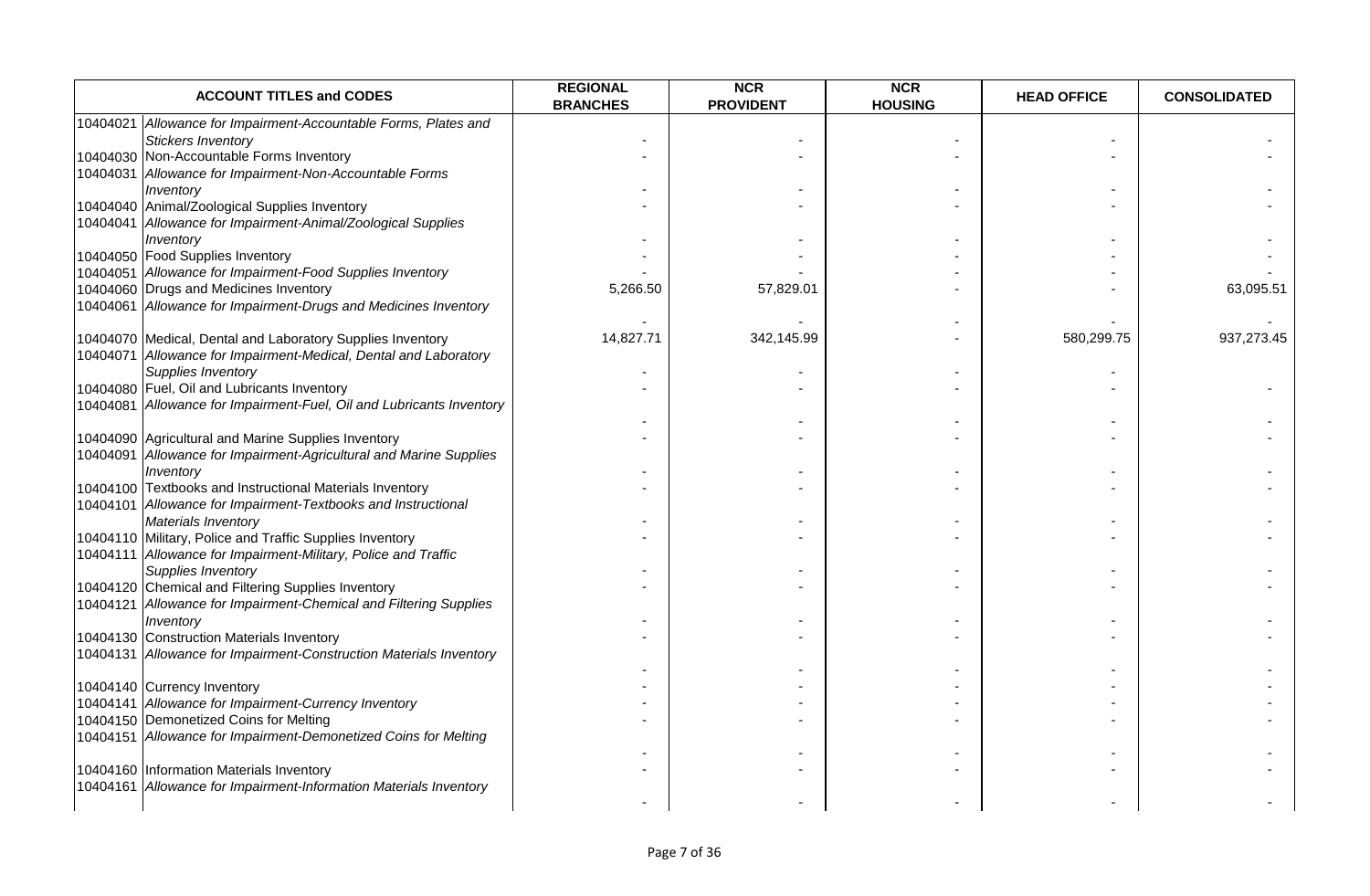| <b>ACCOUNT TITLES and CODES</b>                                                    | <b>REGIONAL</b><br><b>BRANCHES</b> | <b>NCR</b><br><b>PROVIDENT</b> | <b>NCR</b><br><b>HOUSING</b> | <b>HEAD OFFICE</b> | <b>CONSOLIDATED</b> |
|------------------------------------------------------------------------------------|------------------------------------|--------------------------------|------------------------------|--------------------|---------------------|
| Allowance for Impairment-Accountable Forms, Plates and<br>10404021                 |                                    |                                |                              |                    |                     |
| <b>Stickers Inventory</b>                                                          |                                    |                                |                              |                    |                     |
| 10404030 Non-Accountable Forms Inventory                                           |                                    |                                |                              |                    |                     |
| 10404031 Allowance for Impairment-Non-Accountable Forms                            |                                    |                                |                              |                    |                     |
| Inventory                                                                          |                                    |                                |                              |                    |                     |
| 10404040 Animal/Zoological Supplies Inventory                                      |                                    |                                |                              |                    |                     |
| 10404041 Allowance for Impairment-Animal/Zoological Supplies                       |                                    |                                |                              |                    |                     |
| Inventory                                                                          |                                    |                                |                              |                    |                     |
| 10404050 Food Supplies Inventory                                                   |                                    |                                |                              |                    |                     |
| 10404051 Allowance for Impairment-Food Supplies Inventory                          |                                    |                                |                              |                    |                     |
| 10404060 Drugs and Medicines Inventory                                             | 5,266.50                           | 57,829.01                      |                              |                    | 63,095.51           |
| 10404061 Allowance for Impairment-Drugs and Medicines Inventory                    |                                    |                                |                              |                    |                     |
| 10404070 Medical, Dental and Laboratory Supplies Inventory                         | 14,827.71                          | 342,145.99                     |                              | 580,299.75         | 937,273.45          |
| 10404071 Allowance for Impairment-Medical, Dental and Laboratory                   |                                    |                                |                              |                    |                     |
| Supplies Inventory                                                                 |                                    |                                |                              |                    |                     |
| 10404080 Fuel, Oil and Lubricants Inventory                                        |                                    |                                |                              |                    |                     |
| 10404081 Allowance for Impairment-Fuel, Oil and Lubricants Inventory               |                                    |                                |                              |                    |                     |
|                                                                                    |                                    |                                |                              |                    |                     |
| 10404090 Agricultural and Marine Supplies Inventory                                |                                    |                                |                              |                    |                     |
| Allowance for Impairment-Agricultural and Marine Supplies<br>10404091<br>Inventory |                                    |                                |                              |                    |                     |
| 10404100 Textbooks and Instructional Materials Inventory                           |                                    |                                |                              |                    |                     |
| 10404101 Allowance for Impairment-Textbooks and Instructional                      |                                    |                                |                              |                    |                     |
| Materials Inventory                                                                |                                    |                                |                              |                    |                     |
| 10404110 Military, Police and Traffic Supplies Inventory                           |                                    |                                |                              |                    |                     |
| 10404111 Allowance for Impairment-Military, Police and Traffic                     |                                    |                                |                              |                    |                     |
| <b>Supplies Inventory</b>                                                          |                                    |                                |                              |                    |                     |
| 10404120 Chemical and Filtering Supplies Inventory                                 |                                    |                                |                              |                    |                     |
| 10404121 Allowance for Impairment-Chemical and Filtering Supplies                  |                                    |                                |                              |                    |                     |
| Inventory                                                                          |                                    |                                |                              |                    |                     |
| 10404130 Construction Materials Inventory                                          |                                    |                                |                              |                    |                     |
| 10404131 Allowance for Impairment-Construction Materials Inventory                 |                                    |                                |                              |                    |                     |
|                                                                                    |                                    |                                |                              |                    |                     |
| 10404140 Currency Inventory                                                        |                                    |                                |                              |                    |                     |
| 10404141 Allowance for Impairment-Currency Inventory                               |                                    |                                |                              |                    |                     |
| 10404150 Demonetized Coins for Melting                                             |                                    |                                |                              |                    |                     |
| 10404151 Allowance for Impairment-Demonetized Coins for Melting                    |                                    |                                |                              |                    |                     |
| 10404160 Information Materials Inventory                                           |                                    |                                |                              |                    |                     |
| Allowance for Impairment-Information Materials Inventory<br>10404161               |                                    |                                |                              |                    |                     |
|                                                                                    |                                    |                                |                              |                    |                     |
|                                                                                    |                                    |                                |                              |                    |                     |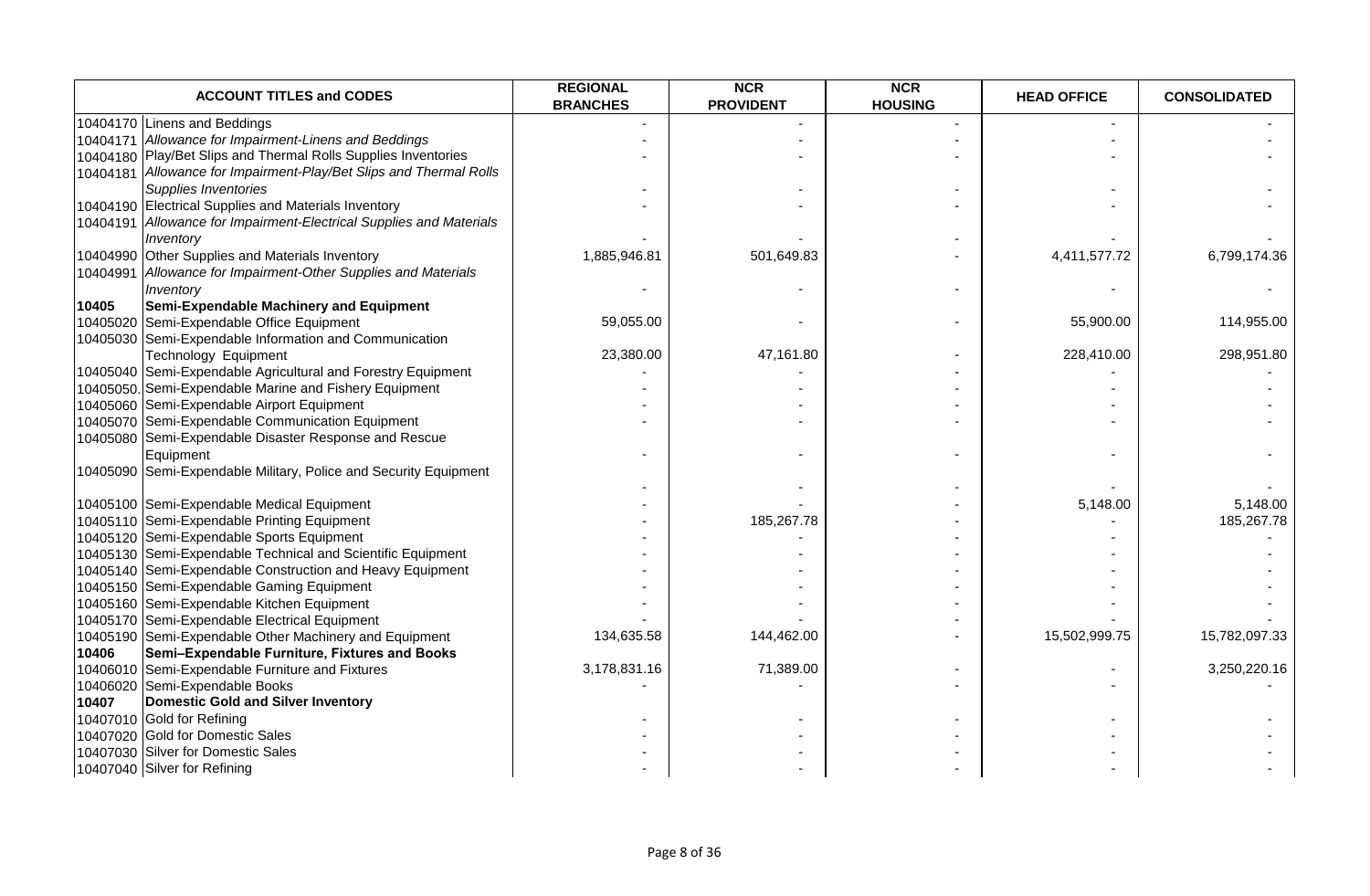| <b>ACCOUNT TITLES and CODES</b>                                     | <b>REGIONAL</b><br><b>BRANCHES</b> | <b>NCR</b><br><b>PROVIDENT</b> | <b>NCR</b><br><b>HOUSING</b> | <b>HEAD OFFICE</b> | <b>CONSOLIDATED</b> |
|---------------------------------------------------------------------|------------------------------------|--------------------------------|------------------------------|--------------------|---------------------|
| 10404170 Linens and Beddings                                        |                                    |                                | $\blacksquare$               |                    |                     |
| 10404171 Allowance for Impairment-Linens and Beddings               |                                    |                                |                              |                    |                     |
| 10404180 Play/Bet Slips and Thermal Rolls Supplies Inventories      |                                    |                                |                              |                    |                     |
| 10404181 Allowance for Impairment-Play/Bet Slips and Thermal Rolls  |                                    |                                |                              |                    |                     |
| Supplies Inventories                                                |                                    |                                |                              |                    |                     |
| 10404190 Electrical Supplies and Materials Inventory                |                                    |                                |                              |                    |                     |
| 10404191 Allowance for Impairment-Electrical Supplies and Materials |                                    |                                |                              |                    |                     |
| Inventory                                                           |                                    |                                |                              |                    |                     |
| 10404990 Other Supplies and Materials Inventory                     | 1,885,946.81                       | 501,649.83                     |                              | 4,411,577.72       | 6,799,174.36        |
| 10404991 Allowance for Impairment-Other Supplies and Materials      |                                    |                                |                              |                    |                     |
| Inventory                                                           |                                    |                                |                              |                    |                     |
| Semi-Expendable Machinery and Equipment<br>10405                    |                                    |                                |                              |                    |                     |
| 10405020<br>Semi-Expendable Office Equipment                        | 59,055.00                          |                                |                              | 55,900.00          | 114,955.00          |
| 10405030 Semi-Expendable Information and Communication              |                                    |                                |                              |                    |                     |
| Technology Equipment                                                | 23,380.00                          | 47,161.80                      |                              | 228,410.00         | 298,951.80          |
| 10405040 Semi-Expendable Agricultural and Forestry Equipment        |                                    |                                |                              |                    |                     |
| 10405050. Semi-Expendable Marine and Fishery Equipment              |                                    |                                |                              |                    |                     |
| 10405060 Semi-Expendable Airport Equipment                          |                                    |                                |                              |                    |                     |
| 10405070 Semi-Expendable Communication Equipment                    |                                    |                                |                              |                    |                     |
| 10405080 Semi-Expendable Disaster Response and Rescue               |                                    |                                |                              |                    |                     |
| Equipment                                                           |                                    |                                |                              |                    |                     |
| 10405090 Semi-Expendable Military, Police and Security Equipment    |                                    |                                |                              |                    |                     |
|                                                                     |                                    |                                |                              |                    |                     |
| 10405100 Semi-Expendable Medical Equipment                          |                                    |                                |                              | 5,148.00           | 5,148.00            |
| 10405110 Semi-Expendable Printing Equipment                         |                                    | 185,267.78                     |                              |                    | 185,267.78          |
| 10405120 Semi-Expendable Sports Equipment                           |                                    |                                |                              |                    |                     |
| 10405130 Semi-Expendable Technical and Scientific Equipment         |                                    |                                |                              |                    |                     |
| 10405140 Semi-Expendable Construction and Heavy Equipment           |                                    |                                |                              |                    |                     |
| 10405150 Semi-Expendable Gaming Equipment                           |                                    |                                |                              |                    |                     |
| 10405160 Semi-Expendable Kitchen Equipment                          |                                    |                                |                              |                    |                     |
| 10405170 Semi-Expendable Electrical Equipment                       |                                    |                                |                              |                    |                     |
| 10405190 Semi-Expendable Other Machinery and Equipment              | 134,635.58                         | 144,462.00                     |                              | 15,502,999.75      | 15,782,097.33       |
| 10406<br>Semi-Expendable Furniture, Fixtures and Books              |                                    |                                |                              |                    |                     |
| 10406010 Semi-Expendable Furniture and Fixtures                     | 3,178,831.16                       | 71,389.00                      |                              |                    | 3,250,220.16        |
| 10406020 Semi-Expendable Books                                      |                                    |                                |                              |                    |                     |
| 10407<br>Domestic Gold and Silver Inventory                         |                                    |                                |                              |                    |                     |
| 10407010 Gold for Refining                                          |                                    |                                |                              |                    |                     |
| 10407020 Gold for Domestic Sales                                    |                                    |                                |                              |                    |                     |
| 10407030 Silver for Domestic Sales                                  |                                    |                                |                              |                    |                     |
| 10407040 Silver for Refining                                        |                                    |                                |                              |                    |                     |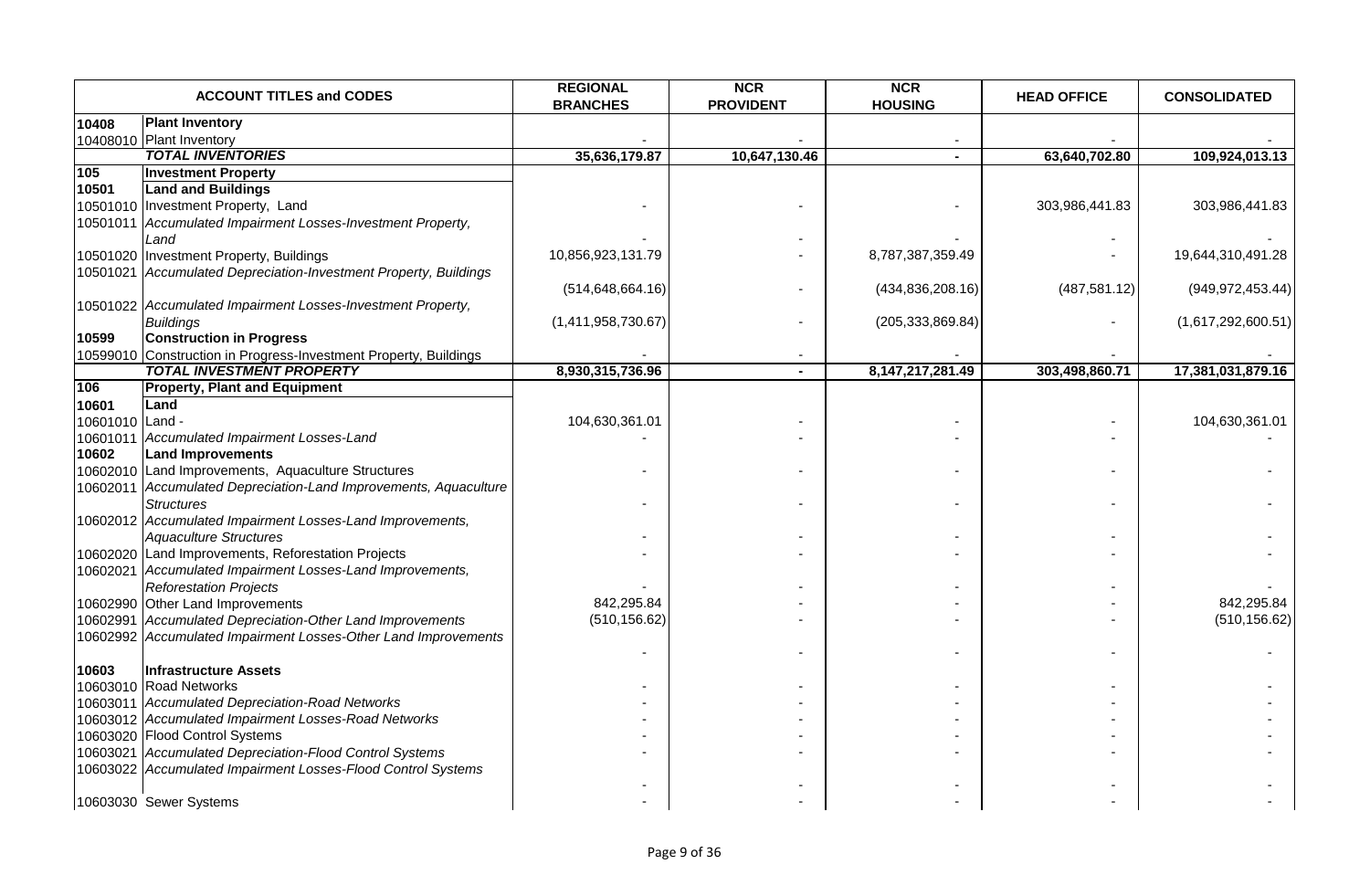|                 | <b>ACCOUNT TITLES and CODES</b>                                  | <b>REGIONAL</b><br><b>BRANCHES</b> | <b>NCR</b><br><b>PROVIDENT</b> | <b>NCR</b><br><b>HOUSING</b> | <b>HEAD OFFICE</b> | <b>CONSOLIDATED</b> |
|-----------------|------------------------------------------------------------------|------------------------------------|--------------------------------|------------------------------|--------------------|---------------------|
| 10408           | <b>Plant Inventory</b>                                           |                                    |                                |                              |                    |                     |
|                 | 10408010 Plant Inventory                                         |                                    |                                |                              |                    |                     |
|                 | <b>TOTAL INVENTORIES</b>                                         | 35,636,179.87                      | 10,647,130.46                  |                              | 63,640,702.80      | 109,924,013.13      |
| 105             | <b>Investment Property</b>                                       |                                    |                                |                              |                    |                     |
| 10501           | <b>Land and Buildings</b>                                        |                                    |                                |                              |                    |                     |
|                 | 10501010 Investment Property, Land                               |                                    |                                |                              | 303,986,441.83     | 303,986,441.83      |
|                 | 10501011 Accumulated Impairment Losses-Investment Property,      |                                    |                                |                              |                    |                     |
|                 | Land                                                             |                                    |                                |                              |                    |                     |
|                 | 10501020 Investment Property, Buildings                          | 10,856,923,131.79                  |                                | 8,787,387,359.49             |                    | 19,644,310,491.28   |
|                 | 10501021 Accumulated Depreciation-Investment Property, Buildings |                                    |                                |                              |                    |                     |
|                 |                                                                  | (514, 648, 664.16)                 |                                | (434, 836, 208.16)           | (487, 581.12)      | (949, 972, 453.44)  |
|                 | 10501022 Accumulated Impairment Losses-Investment Property,      |                                    |                                |                              |                    |                     |
|                 | <b>Buildings</b>                                                 | (1,411,958,730.67)                 |                                | (205, 333, 869.84)           |                    | (1,617,292,600.51)  |
| 10599           | <b>Construction in Progress</b>                                  |                                    |                                |                              |                    |                     |
|                 | 10599010 Construction in Progress-Investment Property, Buildings |                                    |                                |                              |                    |                     |
|                 | <b>TOTAL INVESTMENT PROPERTY</b>                                 | 8,930,315,736.96                   | $\blacksquare$                 | 8, 147, 217, 281. 49         | 303,498,860.71     | 17,381,031,879.16   |
| 106             | <b>Property, Plant and Equipment</b>                             |                                    |                                |                              |                    |                     |
| 10601           | Land                                                             |                                    |                                |                              |                    |                     |
| 10601010 Land - |                                                                  | 104,630,361.01                     |                                |                              |                    | 104,630,361.01      |
|                 | 10601011 Accumulated Impairment Losses-Land                      |                                    |                                |                              |                    |                     |
| 10602           | <b>Land Improvements</b>                                         |                                    |                                |                              |                    |                     |
|                 | 10602010 Land Improvements, Aquaculture Structures               |                                    |                                |                              |                    |                     |
|                 | 10602011 Accumulated Depreciation-Land Improvements, Aquaculture |                                    |                                |                              |                    |                     |
|                 | <b>Structures</b>                                                |                                    |                                |                              |                    |                     |
|                 | 10602012 Accumulated Impairment Losses-Land Improvements,        |                                    |                                |                              |                    |                     |
|                 | <b>Aquaculture Structures</b>                                    |                                    |                                |                              |                    |                     |
|                 | 10602020 Land Improvements, Reforestation Projects               |                                    |                                |                              |                    |                     |
|                 | 10602021 Accumulated Impairment Losses-Land Improvements,        |                                    |                                |                              |                    |                     |
|                 | <b>Reforestation Projects</b>                                    |                                    |                                |                              |                    |                     |
|                 | 10602990 Other Land Improvements                                 | 842,295.84                         |                                |                              |                    | 842,295.84          |
|                 | 10602991 Accumulated Depreciation-Other Land Improvements        | (510, 156.62)                      |                                |                              |                    | (510, 156.62)       |
|                 | 10602992 Accumulated Impairment Losses-Other Land Improvements   |                                    |                                |                              |                    |                     |
|                 |                                                                  |                                    |                                |                              |                    |                     |
| 10603           | Infrastructure Assets                                            |                                    |                                |                              |                    |                     |
|                 | 10603010 Road Networks                                           |                                    |                                |                              |                    |                     |
|                 | 10603011 Accumulated Depreciation-Road Networks                  |                                    |                                |                              |                    |                     |
|                 | 10603012 Accumulated Impairment Losses-Road Networks             |                                    |                                |                              |                    |                     |
|                 | 10603020 Flood Control Systems                                   |                                    |                                |                              |                    |                     |
|                 | 10603021 Accumulated Depreciation-Flood Control Systems          |                                    |                                |                              |                    |                     |
|                 | 10603022 Accumulated Impairment Losses-Flood Control Systems     |                                    |                                |                              |                    |                     |
|                 |                                                                  |                                    |                                |                              |                    |                     |
|                 | 10603030 Sewer Systems                                           |                                    |                                |                              |                    |                     |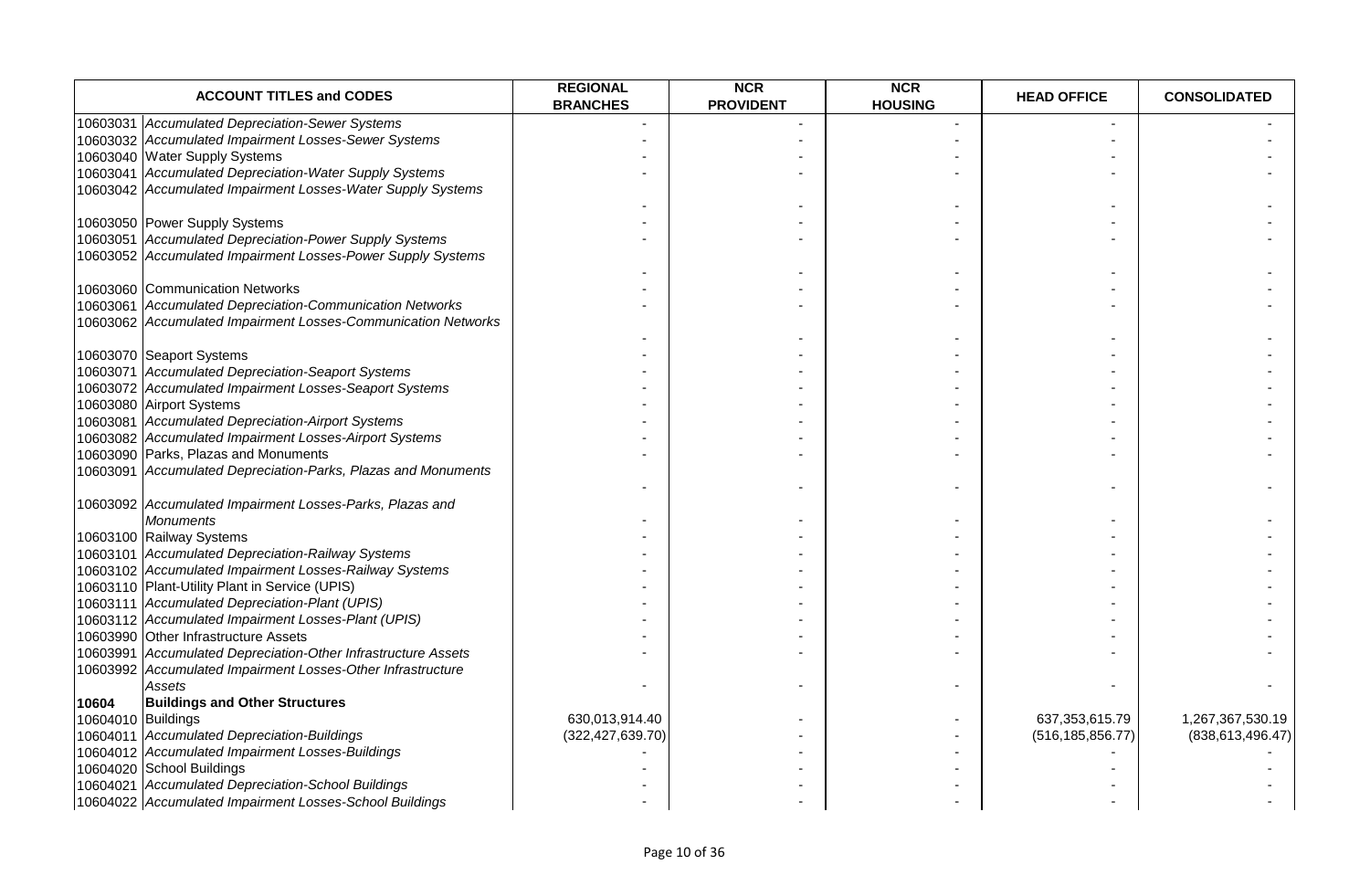| <b>ACCOUNT TITLES and CODES</b>                               | <b>REGIONAL</b><br><b>BRANCHES</b> | <b>NCR</b><br><b>PROVIDENT</b> | <b>NCR</b><br><b>HOUSING</b> | <b>HEAD OFFICE</b> | <b>CONSOLIDATED</b> |
|---------------------------------------------------------------|------------------------------------|--------------------------------|------------------------------|--------------------|---------------------|
| 10603031 Accumulated Depreciation-Sewer Systems               |                                    |                                |                              |                    |                     |
| 10603032 Accumulated Impairment Losses-Sewer Systems          |                                    |                                |                              |                    |                     |
| 10603040 Water Supply Systems                                 |                                    |                                |                              |                    |                     |
| 10603041 Accumulated Depreciation-Water Supply Systems        |                                    |                                |                              |                    |                     |
| 10603042 Accumulated Impairment Losses-Water Supply Systems   |                                    |                                |                              |                    |                     |
|                                                               |                                    |                                |                              |                    |                     |
| 10603050 Power Supply Systems                                 |                                    |                                |                              |                    |                     |
| 10603051 Accumulated Depreciation-Power Supply Systems        |                                    |                                |                              |                    |                     |
| 10603052 Accumulated Impairment Losses-Power Supply Systems   |                                    |                                |                              |                    |                     |
|                                                               |                                    |                                |                              |                    |                     |
| 10603060 Communication Networks                               |                                    |                                |                              |                    |                     |
| 10603061 Accumulated Depreciation-Communication Networks      |                                    |                                |                              |                    |                     |
| 10603062 Accumulated Impairment Losses-Communication Networks |                                    |                                |                              |                    |                     |
|                                                               |                                    |                                |                              |                    |                     |
| 10603070 Seaport Systems                                      |                                    |                                |                              |                    |                     |
| 10603071 Accumulated Depreciation-Seaport Systems             |                                    |                                |                              |                    |                     |
| 10603072 Accumulated Impairment Losses-Seaport Systems        |                                    |                                |                              |                    |                     |
| 10603080 Airport Systems                                      |                                    |                                |                              |                    |                     |
| 10603081 Accumulated Depreciation-Airport Systems             |                                    |                                |                              |                    |                     |
| 10603082 Accumulated Impairment Losses-Airport Systems        |                                    |                                |                              |                    |                     |
| 10603090 Parks, Plazas and Monuments                          |                                    |                                |                              |                    |                     |
| 10603091 Accumulated Depreciation-Parks, Plazas and Monuments |                                    |                                |                              |                    |                     |
|                                                               |                                    |                                |                              |                    |                     |
| 10603092 Accumulated Impairment Losses-Parks, Plazas and      |                                    |                                |                              |                    |                     |
| <b>Monuments</b>                                              |                                    |                                |                              |                    |                     |
| 10603100 Railway Systems                                      |                                    |                                |                              |                    |                     |
| 10603101 Accumulated Depreciation-Railway Systems             |                                    |                                |                              |                    |                     |
| 10603102 Accumulated Impairment Losses-Railway Systems        |                                    |                                |                              |                    |                     |
| 10603110 Plant-Utility Plant in Service (UPIS)                |                                    |                                |                              |                    |                     |
| 10603111 Accumulated Depreciation-Plant (UPIS)                |                                    |                                |                              |                    |                     |
| 10603112 Accumulated Impairment Losses-Plant (UPIS)           |                                    |                                |                              |                    |                     |
| 10603990 Other Infrastructure Assets                          |                                    |                                |                              |                    |                     |
| 10603991 Accumulated Depreciation-Other Infrastructure Assets |                                    |                                |                              |                    |                     |
| 10603992 Accumulated Impairment Losses-Other Infrastructure   |                                    |                                |                              |                    |                     |
| Assets                                                        |                                    |                                |                              |                    |                     |
| 10604<br><b>Buildings and Other Structures</b>                |                                    |                                |                              |                    |                     |
| 10604010 Buildings                                            | 630,013,914.40                     |                                |                              | 637, 353, 615. 79  | 1,267,367,530.19    |
| 10604011 Accumulated Depreciation-Buildings                   | (322, 427, 639.70)                 |                                |                              | (516, 185, 856.77) | (838, 613, 496.47)  |
| 10604012 Accumulated Impairment Losses-Buildings              |                                    |                                |                              |                    |                     |
| 10604020 School Buildings                                     |                                    |                                |                              |                    |                     |
|                                                               |                                    |                                |                              |                    |                     |
| 10604021 Accumulated Depreciation-School Buildings            |                                    |                                |                              |                    |                     |
| 10604022 Accumulated Impairment Losses-School Buildings       |                                    |                                |                              |                    |                     |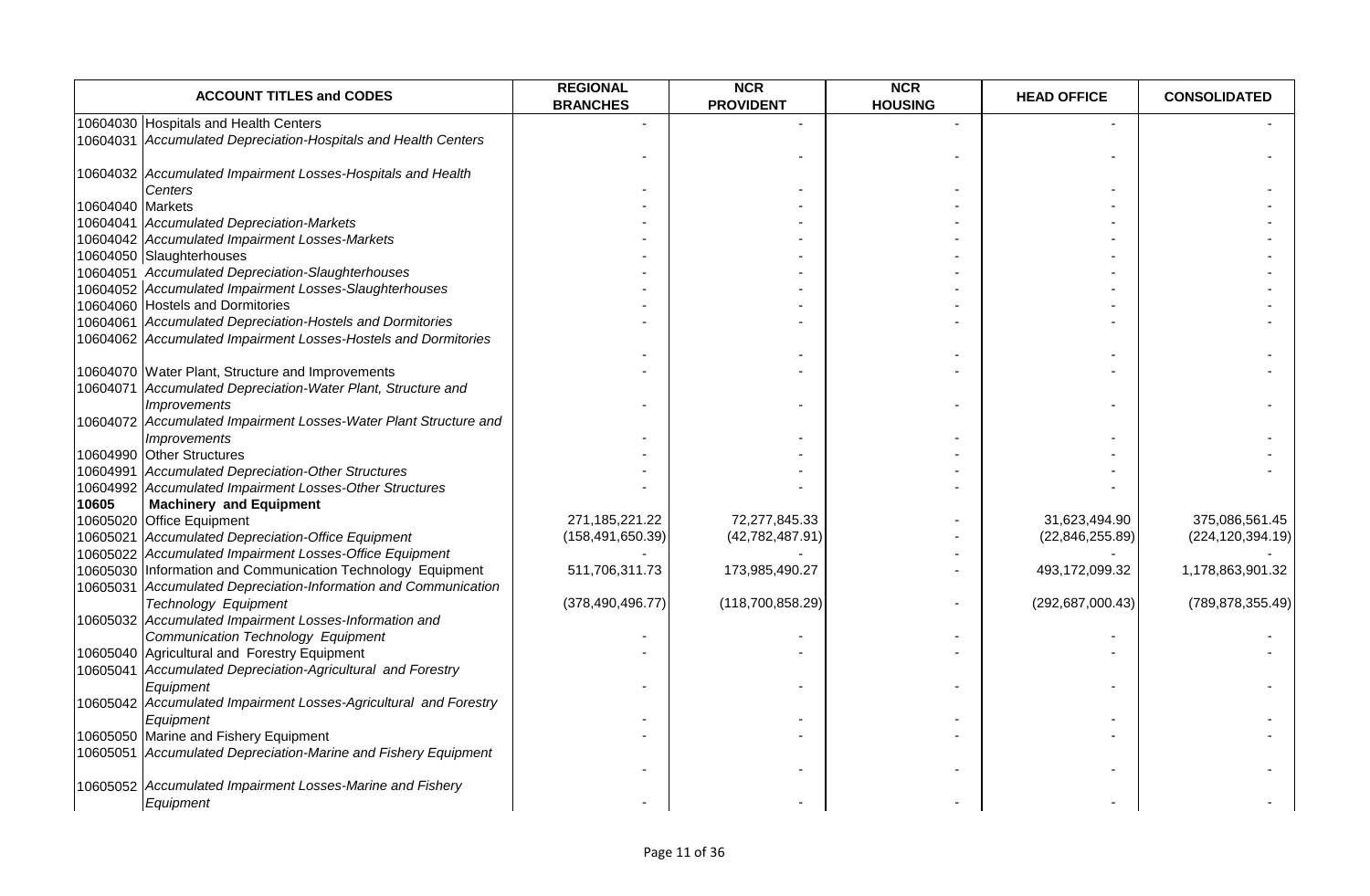| <b>ACCOUNT TITLES and CODES</b>                                                                               | <b>REGIONAL</b><br><b>BRANCHES</b> | <b>NCR</b><br><b>PROVIDENT</b> | <b>NCR</b><br><b>HOUSING</b> | <b>HEAD OFFICE</b> | <b>CONSOLIDATED</b> |
|---------------------------------------------------------------------------------------------------------------|------------------------------------|--------------------------------|------------------------------|--------------------|---------------------|
| 10604030 Hospitals and Health Centers                                                                         |                                    |                                |                              |                    |                     |
| 10604031 Accumulated Depreciation-Hospitals and Health Centers                                                |                                    |                                |                              |                    |                     |
|                                                                                                               |                                    |                                |                              |                    |                     |
| 10604032 Accumulated Impairment Losses-Hospitals and Health<br>Centers                                        |                                    |                                |                              |                    |                     |
| 10604040 Markets                                                                                              |                                    |                                |                              |                    |                     |
| 10604041 Accumulated Depreciation-Markets                                                                     |                                    |                                |                              |                    |                     |
| 10604042 Accumulated Impairment Losses-Markets                                                                |                                    |                                |                              |                    |                     |
| 10604050 Slaughterhouses                                                                                      |                                    |                                |                              |                    |                     |
| 10604051 Accumulated Depreciation-Slaughterhouses                                                             |                                    |                                |                              |                    |                     |
| 10604052 Accumulated Impairment Losses-Slaughterhouses                                                        |                                    |                                |                              |                    |                     |
| 10604060 Hostels and Dormitories                                                                              |                                    |                                |                              |                    |                     |
| 10604061 Accumulated Depreciation-Hostels and Dormitories                                                     |                                    |                                |                              |                    |                     |
| 10604062 Accumulated Impairment Losses-Hostels and Dormitories                                                |                                    |                                |                              |                    |                     |
|                                                                                                               |                                    |                                |                              |                    |                     |
| 10604070 Water Plant, Structure and Improvements                                                              |                                    |                                |                              |                    |                     |
| 10604071 Accumulated Depreciation-Water Plant, Structure and                                                  |                                    |                                |                              |                    |                     |
| <b>Improvements</b>                                                                                           |                                    |                                |                              |                    |                     |
|                                                                                                               |                                    |                                |                              |                    |                     |
| 10604072 Accumulated Impairment Losses-Water Plant Structure and<br><i><b>Improvements</b></i>                |                                    |                                |                              |                    |                     |
| 10604990 Other Structures                                                                                     |                                    |                                |                              |                    |                     |
|                                                                                                               |                                    |                                |                              |                    |                     |
| 10604991 Accumulated Depreciation-Other Structures<br>10604992 Accumulated Impairment Losses-Other Structures |                                    |                                |                              |                    |                     |
|                                                                                                               |                                    |                                |                              |                    |                     |
| <b>Machinery and Equipment</b><br>10605                                                                       |                                    |                                |                              |                    |                     |
| 10605020 Office Equipment                                                                                     | 271,185,221.22                     | 72,277,845.33                  |                              | 31,623,494.90      | 375,086,561.45      |
| 10605021 Accumulated Depreciation-Office Equipment                                                            | (158, 491, 650.39)                 | (42,782,487.91)                |                              | (22,846,255.89)    | (224, 120, 394.19)  |
| 10605022 Accumulated Impairment Losses-Office Equipment                                                       |                                    |                                |                              |                    |                     |
| 10605030 Information and Communication Technology Equipment                                                   | 511,706,311.73                     | 173,985,490.27                 |                              | 493,172,099.32     | 1,178,863,901.32    |
| 10605031 Accumulated Depreciation-Information and Communication                                               |                                    |                                |                              |                    |                     |
| <b>Technology Equipment</b>                                                                                   | (378, 490, 496.77)                 | (118,700,858.29)               | $\overline{\phantom{a}}$     | (292, 687, 000.43) | (789, 878, 355.49)  |
| 10605032 Accumulated Impairment Losses-Information and                                                        |                                    |                                |                              |                    |                     |
| Communication Technology Equipment                                                                            |                                    |                                |                              |                    |                     |
| 10605040 Agricultural and Forestry Equipment                                                                  |                                    |                                |                              |                    |                     |
| 10605041 Accumulated Depreciation-Agricultural and Forestry                                                   |                                    |                                |                              |                    |                     |
| Equipment                                                                                                     |                                    |                                |                              |                    |                     |
| 10605042 Accumulated Impairment Losses-Agricultural and Forestry                                              |                                    |                                |                              |                    |                     |
| Equipment                                                                                                     |                                    |                                |                              |                    |                     |
| 10605050 Marine and Fishery Equipment                                                                         |                                    |                                |                              |                    |                     |
| 10605051 Accumulated Depreciation-Marine and Fishery Equipment                                                |                                    |                                |                              |                    |                     |
|                                                                                                               |                                    |                                |                              |                    |                     |
| 10605052 Accumulated Impairment Losses-Marine and Fishery                                                     |                                    |                                |                              |                    |                     |
| Equipment                                                                                                     |                                    |                                |                              |                    |                     |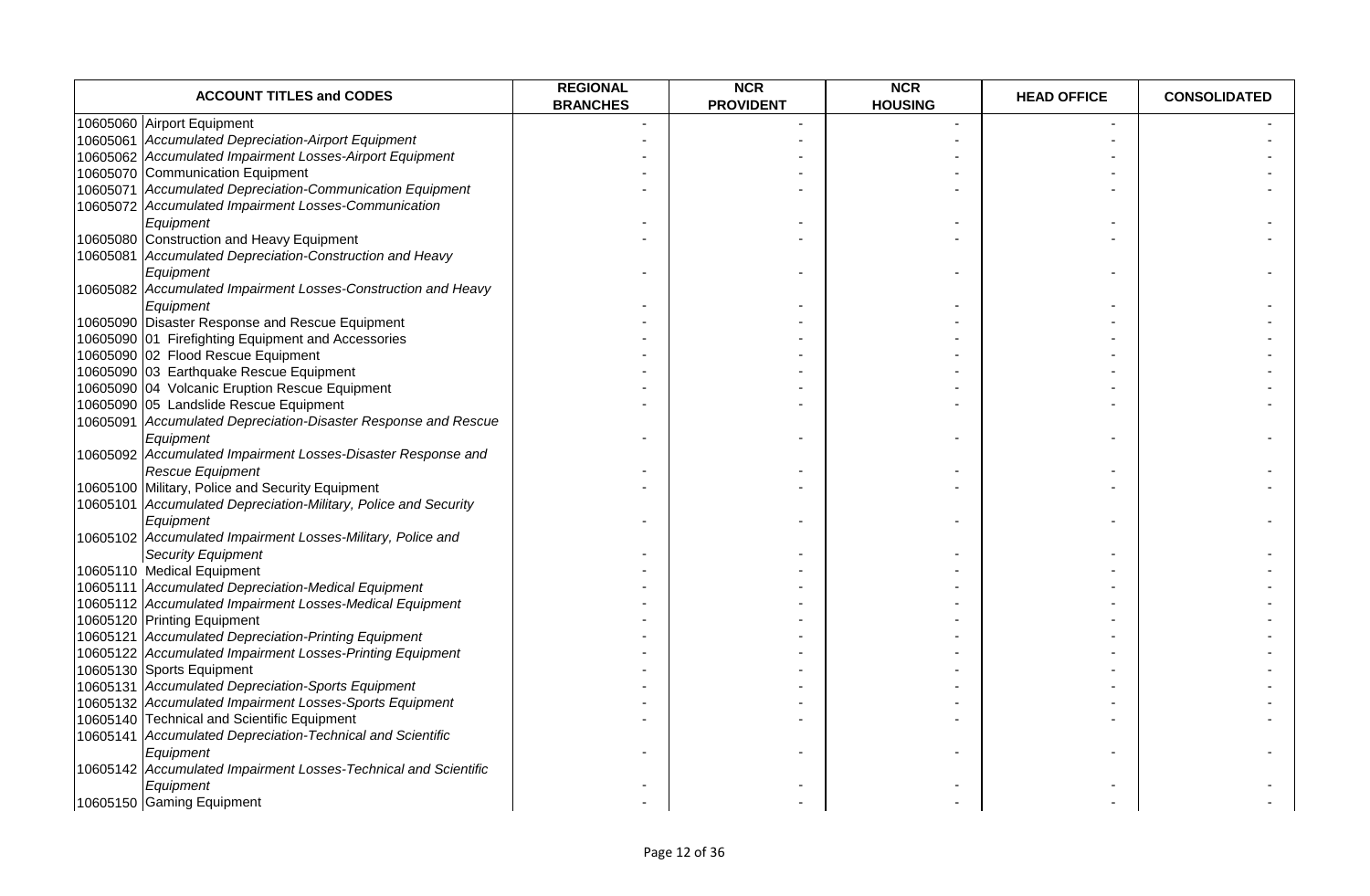| <b>ACCOUNT TITLES and CODES</b>                                 | <b>REGIONAL</b><br><b>BRANCHES</b> | <b>NCR</b><br><b>PROVIDENT</b> | <b>NCR</b><br><b>HOUSING</b> | <b>HEAD OFFICE</b> | <b>CONSOLIDATED</b> |
|-----------------------------------------------------------------|------------------------------------|--------------------------------|------------------------------|--------------------|---------------------|
| 10605060 Airport Equipment                                      |                                    |                                |                              |                    |                     |
| 10605061 Accumulated Depreciation-Airport Equipment             |                                    |                                |                              |                    |                     |
| 10605062 Accumulated Impairment Losses-Airport Equipment        |                                    |                                |                              |                    |                     |
| 10605070 Communication Equipment                                |                                    |                                |                              |                    |                     |
| 10605071 Accumulated Depreciation-Communication Equipment       |                                    |                                |                              |                    |                     |
| 10605072 Accumulated Impairment Losses-Communication            |                                    |                                |                              |                    |                     |
| Equipment                                                       |                                    |                                |                              |                    |                     |
| 10605080 Construction and Heavy Equipment                       |                                    |                                |                              |                    |                     |
| 10605081 Accumulated Depreciation-Construction and Heavy        |                                    |                                |                              |                    |                     |
| Equipment                                                       |                                    |                                |                              |                    |                     |
| 10605082 Accumulated Impairment Losses-Construction and Heavy   |                                    |                                |                              |                    |                     |
| Equipment                                                       |                                    |                                |                              |                    |                     |
| 10605090 Disaster Response and Rescue Equipment                 |                                    |                                |                              |                    |                     |
| 10605090 01 Firefighting Equipment and Accessories              |                                    |                                |                              |                    |                     |
| 10605090 02 Flood Rescue Equipment                              |                                    |                                |                              |                    |                     |
| 10605090 03 Earthquake Rescue Equipment                         |                                    |                                |                              |                    |                     |
| 10605090 04 Volcanic Eruption Rescue Equipment                  |                                    |                                |                              |                    |                     |
| 10605090 05 Landslide Rescue Equipment                          |                                    |                                |                              |                    |                     |
| 10605091 Accumulated Depreciation-Disaster Response and Rescue  |                                    |                                |                              |                    |                     |
| Equipment                                                       |                                    |                                |                              |                    |                     |
| 10605092 Accumulated Impairment Losses-Disaster Response and    |                                    |                                |                              |                    |                     |
| Rescue Equipment                                                |                                    |                                |                              |                    |                     |
| 10605100 Military, Police and Security Equipment                |                                    |                                |                              |                    |                     |
| 10605101 Accumulated Depreciation-Military, Police and Security |                                    |                                |                              |                    |                     |
| Equipment                                                       |                                    |                                |                              |                    |                     |
| 10605102 Accumulated Impairment Losses-Military, Police and     |                                    |                                |                              |                    |                     |
| <b>Security Equipment</b>                                       |                                    |                                |                              |                    |                     |
| 10605110 Medical Equipment                                      |                                    |                                |                              |                    |                     |
| 10605111 Accumulated Depreciation-Medical Equipment             |                                    |                                |                              |                    |                     |
| 10605112 Accumulated Impairment Losses-Medical Equipment        |                                    |                                |                              |                    |                     |
| 10605120 Printing Equipment                                     |                                    |                                |                              |                    |                     |
| 10605121 Accumulated Depreciation-Printing Equipment            |                                    |                                |                              |                    |                     |
| 10605122 Accumulated Impairment Losses-Printing Equipment       |                                    |                                |                              |                    |                     |
| 10605130 Sports Equipment                                       |                                    |                                |                              |                    |                     |
| 10605131 Accumulated Depreciation-Sports Equipment              |                                    |                                |                              |                    |                     |
| 10605132 Accumulated Impairment Losses-Sports Equipment         |                                    |                                |                              |                    |                     |
| 10605140 Technical and Scientific Equipment                     |                                    |                                |                              |                    |                     |
| 10605141 Accumulated Depreciation-Technical and Scientific      |                                    |                                |                              |                    |                     |
| Equipment                                                       |                                    |                                |                              |                    |                     |
| 10605142 Accumulated Impairment Losses-Technical and Scientific |                                    |                                |                              |                    |                     |
| Equipment                                                       |                                    |                                |                              |                    |                     |
| 10605150 Gaming Equipment                                       |                                    |                                |                              |                    |                     |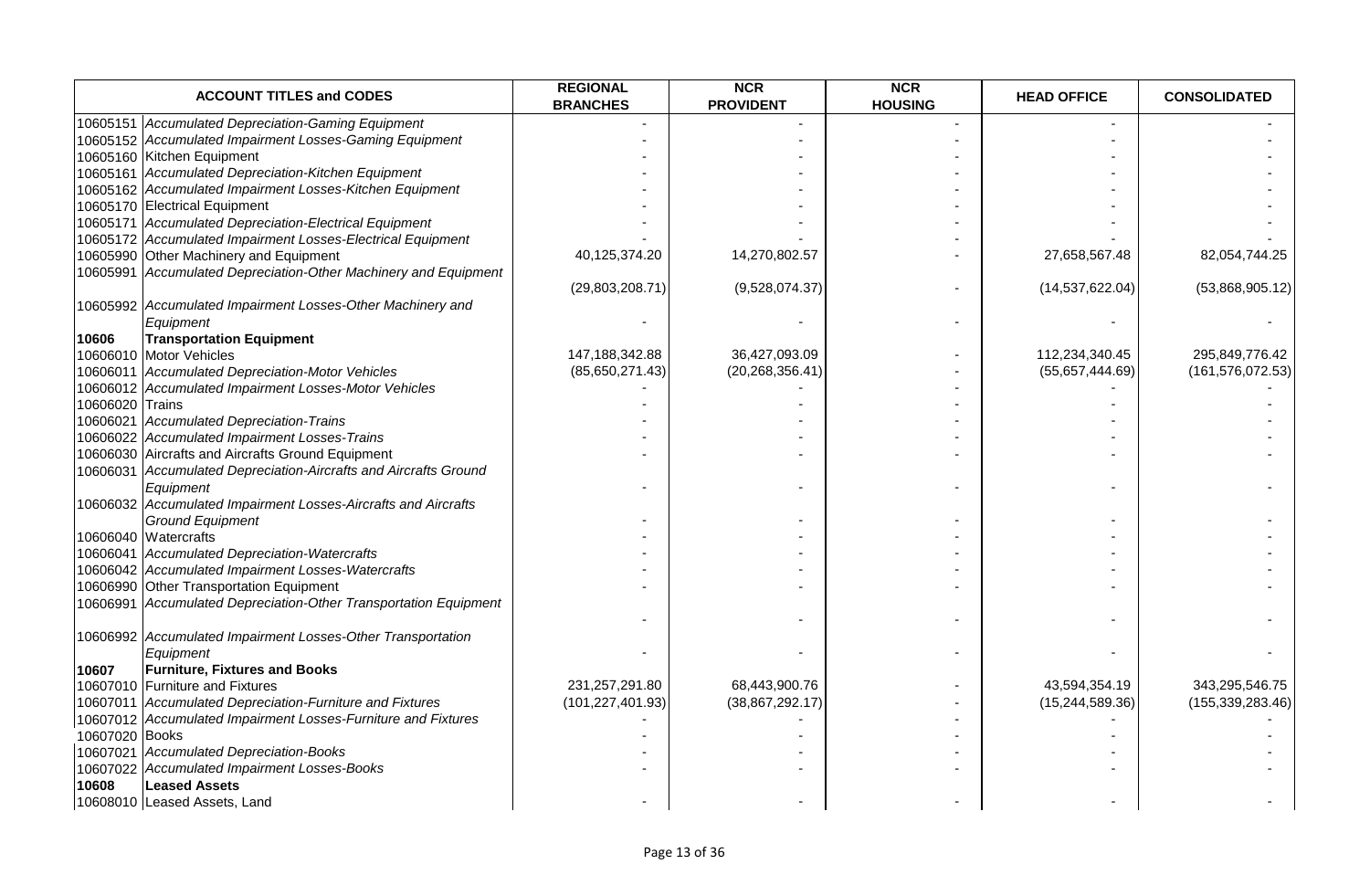|                 | <b>ACCOUNT TITLES and CODES</b>                                  | <b>REGIONAL</b><br><b>BRANCHES</b> | <b>NCR</b><br><b>PROVIDENT</b> | <b>NCR</b><br><b>HOUSING</b> | <b>HEAD OFFICE</b> | <b>CONSOLIDATED</b> |
|-----------------|------------------------------------------------------------------|------------------------------------|--------------------------------|------------------------------|--------------------|---------------------|
|                 | 10605151 Accumulated Depreciation-Gaming Equipment               |                                    |                                |                              |                    |                     |
|                 | 10605152 Accumulated Impairment Losses-Gaming Equipment          |                                    |                                |                              |                    |                     |
|                 | 10605160 Kitchen Equipment                                       |                                    |                                |                              |                    |                     |
|                 | 10605161 Accumulated Depreciation-Kitchen Equipment              |                                    |                                |                              |                    |                     |
|                 | 10605162 Accumulated Impairment Losses-Kitchen Equipment         |                                    |                                |                              |                    |                     |
|                 | 10605170 Electrical Equipment                                    |                                    |                                |                              |                    |                     |
|                 | 10605171 Accumulated Depreciation-Electrical Equipment           |                                    |                                |                              |                    |                     |
|                 | 10605172 Accumulated Impairment Losses-Electrical Equipment      |                                    |                                |                              |                    |                     |
|                 | 10605990 Other Machinery and Equipment                           | 40,125,374.20                      | 14,270,802.57                  |                              | 27,658,567.48      | 82,054,744.25       |
|                 | 10605991 Accumulated Depreciation-Other Machinery and Equipment  |                                    |                                |                              |                    |                     |
|                 |                                                                  | (29,803,208.71)                    | (9,528,074.37)                 |                              | (14, 537, 622.04)  | (53,868,905.12)     |
|                 | 10605992 Accumulated Impairment Losses-Other Machinery and       |                                    |                                |                              |                    |                     |
|                 | Equipment                                                        |                                    |                                |                              |                    |                     |
| 10606           | <b>Transportation Equipment</b>                                  |                                    |                                |                              |                    |                     |
|                 | 10606010 Motor Vehicles                                          | 147,188,342.88                     | 36,427,093.09                  |                              | 112,234,340.45     | 295,849,776.42      |
|                 | 10606011 Accumulated Depreciation-Motor Vehicles                 | (85,650,271.43)                    | (20, 268, 356.41)              |                              | (55,657,444.69)    | (161, 576, 072.53)  |
|                 | 10606012 Accumulated Impairment Losses-Motor Vehicles            |                                    |                                |                              |                    |                     |
| 10606020 Trains |                                                                  |                                    |                                |                              |                    |                     |
|                 | 10606021 Accumulated Depreciation-Trains                         |                                    |                                |                              |                    |                     |
|                 | 10606022 Accumulated Impairment Losses-Trains                    |                                    |                                |                              |                    |                     |
|                 | 10606030 Aircrafts and Aircrafts Ground Equipment                |                                    |                                |                              |                    |                     |
|                 | 10606031 Accumulated Depreciation-Aircrafts and Aircrafts Ground |                                    |                                |                              |                    |                     |
|                 | Equipment                                                        |                                    |                                |                              |                    |                     |
|                 | 10606032 Accumulated Impairment Losses-Aircrafts and Aircrafts   |                                    |                                |                              |                    |                     |
|                 | <b>Ground Equipment</b>                                          |                                    |                                |                              |                    |                     |
|                 | 10606040 Watercrafts                                             |                                    |                                |                              |                    |                     |
|                 | 10606041 Accumulated Depreciation-Watercrafts                    |                                    |                                |                              |                    |                     |
|                 | 10606042 Accumulated Impairment Losses-Watercrafts               |                                    |                                |                              |                    |                     |
|                 | 10606990 Other Transportation Equipment                          |                                    |                                |                              |                    |                     |
|                 | 10606991 Accumulated Depreciation-Other Transportation Equipment |                                    |                                |                              |                    |                     |
|                 |                                                                  |                                    |                                |                              |                    |                     |
|                 | 10606992 Accumulated Impairment Losses-Other Transportation      |                                    |                                |                              |                    |                     |
|                 | Equipment                                                        |                                    |                                |                              |                    |                     |
| 10607           | <b>Furniture, Fixtures and Books</b>                             |                                    |                                |                              |                    |                     |
|                 | 10607010 Furniture and Fixtures                                  | 231,257,291.80                     | 68,443,900.76                  |                              | 43,594,354.19      | 343,295,546.75      |
|                 | 10607011 Accumulated Depreciation-Furniture and Fixtures         | (101, 227, 401.93)                 | (38, 867, 292.17)              |                              | (15, 244, 589.36)  | (155, 339, 283.46)  |
|                 | 10607012 Accumulated Impairment Losses-Furniture and Fixtures    |                                    |                                |                              |                    |                     |
| 10607020 Books  |                                                                  |                                    |                                |                              |                    |                     |
|                 | 10607021 Accumulated Depreciation-Books                          |                                    |                                |                              |                    |                     |
|                 | 10607022 Accumulated Impairment Losses-Books                     |                                    |                                |                              |                    |                     |
| 10608           | <b>Leased Assets</b>                                             |                                    |                                |                              |                    |                     |
|                 | 10608010 Leased Assets, Land                                     |                                    |                                |                              |                    |                     |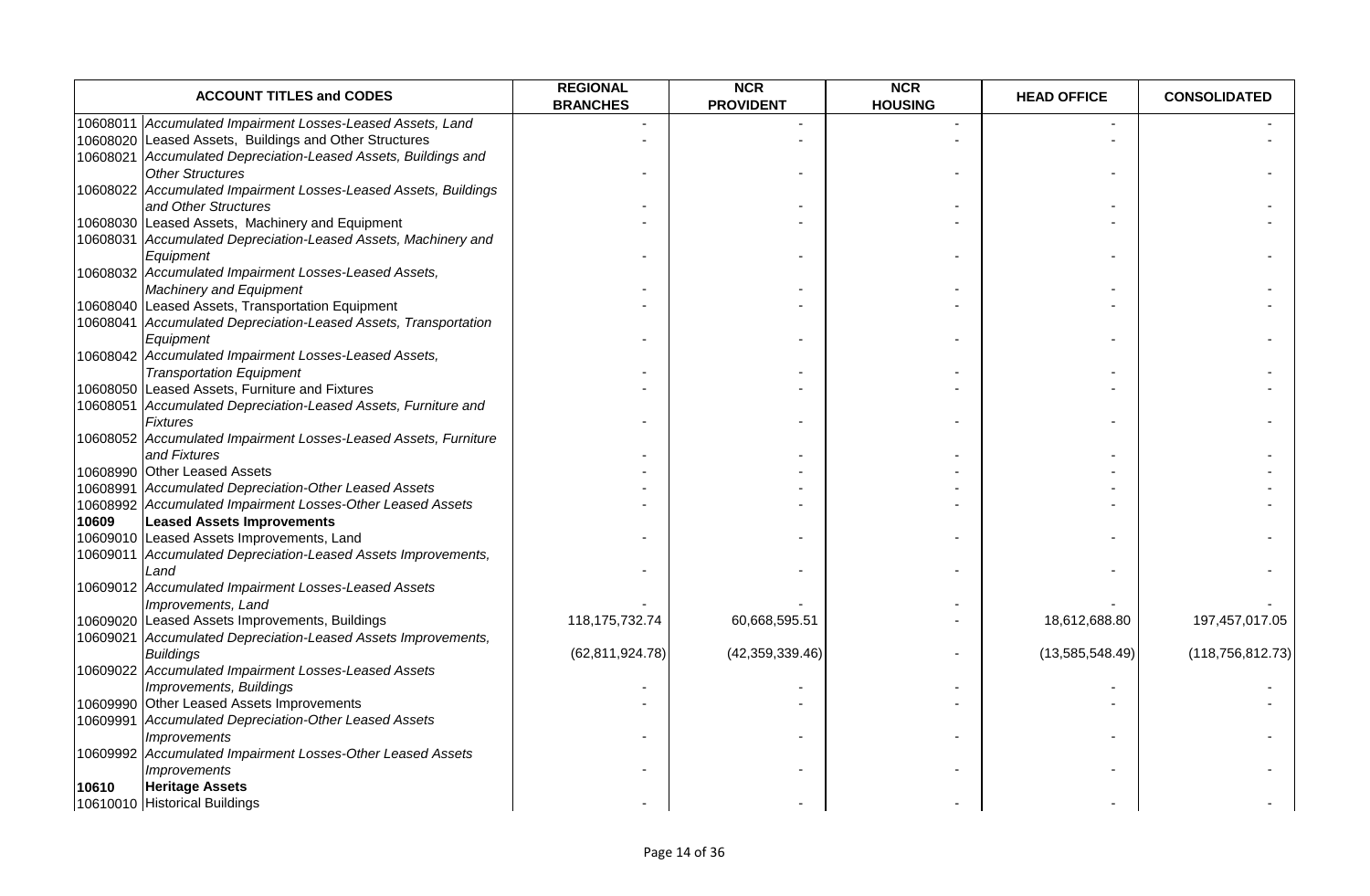|          | <b>ACCOUNT TITLES and CODES</b>                                      | <b>REGIONAL</b><br><b>BRANCHES</b> | <b>NCR</b><br><b>PROVIDENT</b> | <b>NCR</b><br><b>HOUSING</b> | <b>HEAD OFFICE</b> | <b>CONSOLIDATED</b> |
|----------|----------------------------------------------------------------------|------------------------------------|--------------------------------|------------------------------|--------------------|---------------------|
| 10608011 | Accumulated Impairment Losses-Leased Assets, Land                    |                                    |                                |                              |                    |                     |
| 10608020 | Leased Assets, Buildings and Other Structures                        |                                    |                                |                              |                    |                     |
|          | 10608021 Accumulated Depreciation-Leased Assets, Buildings and       |                                    |                                |                              |                    |                     |
|          | <b>Other Structures</b>                                              |                                    |                                |                              |                    |                     |
|          | 10608022 Accumulated Impairment Losses-Leased Assets, Buildings      |                                    |                                |                              |                    |                     |
|          | and Other Structures                                                 |                                    |                                |                              |                    |                     |
|          | 10608030 Leased Assets, Machinery and Equipment                      |                                    |                                |                              |                    |                     |
|          | 10608031 Accumulated Depreciation-Leased Assets, Machinery and       |                                    |                                |                              |                    |                     |
|          | Equipment                                                            |                                    |                                |                              |                    |                     |
|          | 10608032 Accumulated Impairment Losses-Leased Assets,                |                                    |                                |                              |                    |                     |
|          | <b>Machinery and Equipment</b>                                       |                                    |                                |                              |                    |                     |
|          | 10608040 Leased Assets, Transportation Equipment                     |                                    |                                |                              |                    |                     |
|          | 10608041 Accumulated Depreciation-Leased Assets, Transportation      |                                    |                                |                              |                    |                     |
|          | Equipment                                                            |                                    |                                |                              |                    |                     |
|          | 10608042 Accumulated Impairment Losses-Leased Assets,                |                                    |                                |                              |                    |                     |
|          | <b>Transportation Equipment</b>                                      |                                    |                                |                              |                    |                     |
|          | 10608050 Leased Assets, Furniture and Fixtures                       |                                    |                                |                              |                    |                     |
| 10608051 | Accumulated Depreciation-Leased Assets, Furniture and                |                                    |                                |                              |                    |                     |
|          | <b>Fixtures</b>                                                      |                                    |                                |                              |                    |                     |
|          | 10608052 Accumulated Impairment Losses-Leased Assets, Furniture      |                                    |                                |                              |                    |                     |
|          | and Fixtures                                                         |                                    |                                |                              |                    |                     |
|          | 10608990 Other Leased Assets                                         |                                    |                                |                              |                    |                     |
|          | 10608991 Accumulated Depreciation-Other Leased Assets                |                                    |                                |                              |                    |                     |
|          | 10608992 Accumulated Impairment Losses-Other Leased Assets           |                                    |                                |                              |                    |                     |
| 10609    | <b>Leased Assets Improvements</b>                                    |                                    |                                |                              |                    |                     |
|          | 10609010 Leased Assets Improvements, Land                            |                                    |                                |                              |                    |                     |
|          | 10609011 Accumulated Depreciation-Leased Assets Improvements,        |                                    |                                |                              |                    |                     |
|          | Land                                                                 |                                    |                                |                              |                    |                     |
|          | 10609012 Accumulated Impairment Losses-Leased Assets                 |                                    |                                |                              |                    |                     |
|          | Improvements, Land<br>10609020 Leased Assets Improvements, Buildings | 118, 175, 732. 74                  | 60,668,595.51                  |                              | 18,612,688.80      | 197,457,017.05      |
|          | 10609021 Accumulated Depreciation-Leased Assets Improvements,        |                                    |                                |                              |                    |                     |
|          | <b>Buildings</b>                                                     | (62, 811, 924.78)                  | (42, 359, 339.46)              |                              | (13,585,548.49)    | (118, 756, 812.73)  |
|          | 10609022 Accumulated Impairment Losses-Leased Assets                 |                                    |                                |                              |                    |                     |
|          | Improvements, Buildings                                              |                                    |                                |                              |                    |                     |
|          | 10609990 Other Leased Assets Improvements                            |                                    |                                |                              |                    |                     |
| 10609991 | Accumulated Depreciation-Other Leased Assets                         |                                    |                                |                              |                    |                     |
|          | <b>Improvements</b>                                                  |                                    |                                |                              |                    |                     |
|          | 10609992 Accumulated Impairment Losses-Other Leased Assets           |                                    |                                |                              |                    |                     |
|          | <b>Improvements</b>                                                  |                                    |                                |                              |                    |                     |
| 10610    | <b>Heritage Assets</b>                                               |                                    |                                |                              |                    |                     |
|          | 10610010 Historical Buildings                                        |                                    |                                |                              |                    |                     |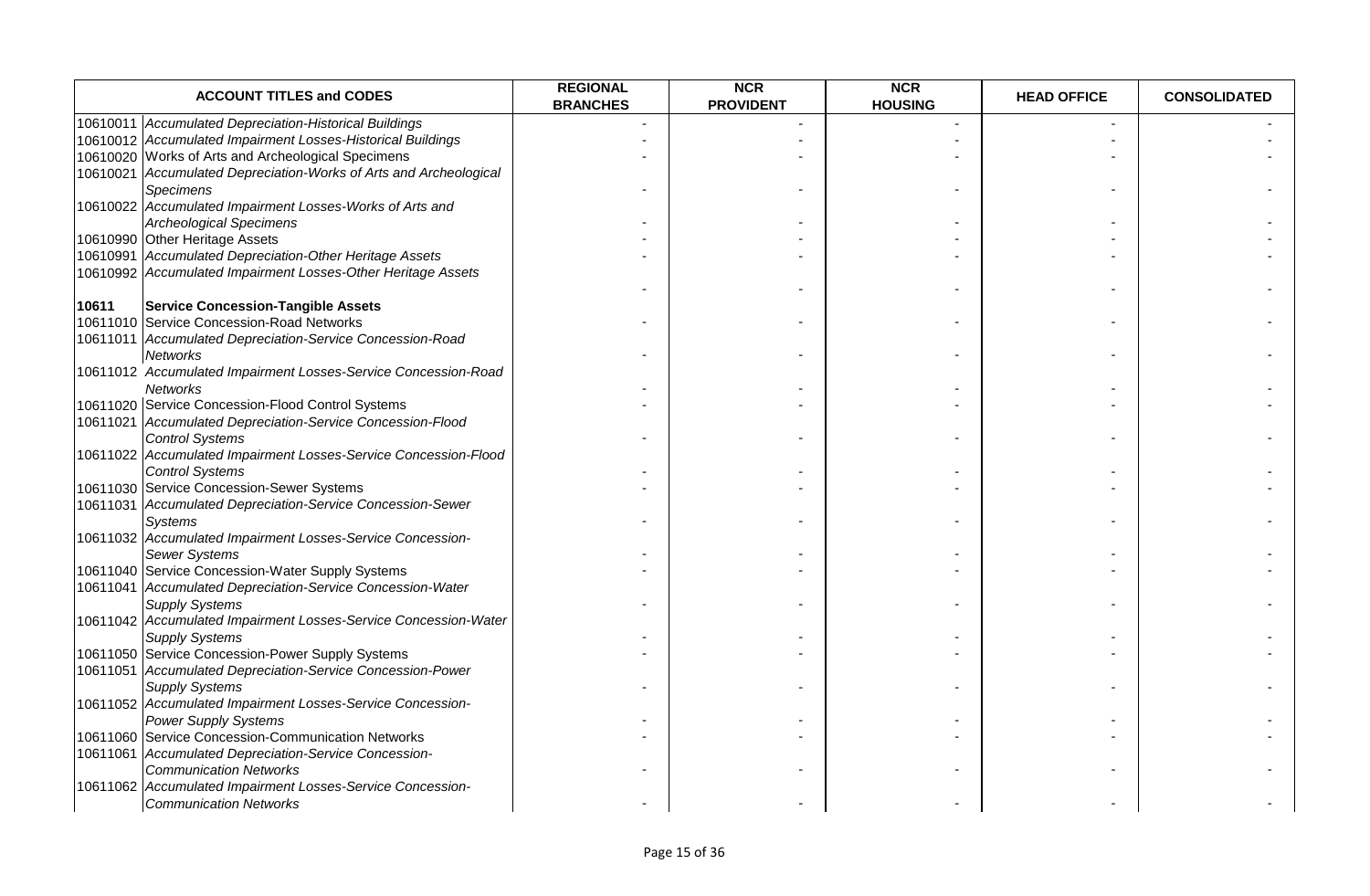|       | <b>ACCOUNT TITLES and CODES</b>                                                          | <b>REGIONAL</b><br><b>BRANCHES</b> | <b>NCR</b><br><b>PROVIDENT</b> | <b>NCR</b><br><b>HOUSING</b> | <b>HEAD OFFICE</b> | <b>CONSOLIDATED</b> |
|-------|------------------------------------------------------------------------------------------|------------------------------------|--------------------------------|------------------------------|--------------------|---------------------|
|       | 10610011 Accumulated Depreciation-Historical Buildings                                   |                                    |                                |                              |                    |                     |
|       | 10610012 Accumulated Impairment Losses-Historical Buildings                              |                                    |                                |                              |                    |                     |
|       | 10610020 Works of Arts and Archeological Specimens                                       |                                    |                                |                              |                    |                     |
|       | 10610021 Accumulated Depreciation-Works of Arts and Archeological                        |                                    |                                |                              |                    |                     |
|       | Specimens                                                                                |                                    |                                |                              |                    |                     |
|       | 10610022 Accumulated Impairment Losses-Works of Arts and                                 |                                    |                                |                              |                    |                     |
|       | <b>Archeological Specimens</b>                                                           |                                    |                                |                              |                    |                     |
|       | 10610990 Other Heritage Assets                                                           |                                    |                                |                              |                    |                     |
|       | 10610991 Accumulated Depreciation-Other Heritage Assets                                  |                                    |                                |                              |                    |                     |
|       | 10610992 Accumulated Impairment Losses-Other Heritage Assets                             |                                    |                                |                              |                    |                     |
|       |                                                                                          |                                    |                                |                              |                    |                     |
| 10611 | <b>Service Concession-Tangible Assets</b>                                                |                                    |                                |                              |                    |                     |
|       | 10611010 Service Concession-Road Networks                                                |                                    |                                |                              |                    |                     |
|       | 10611011 Accumulated Depreciation-Service Concession-Road                                |                                    |                                |                              |                    |                     |
|       | <b>Networks</b>                                                                          |                                    |                                |                              |                    |                     |
|       | 10611012 Accumulated Impairment Losses-Service Concession-Road                           |                                    |                                |                              |                    |                     |
|       | <b>Networks</b>                                                                          |                                    |                                |                              |                    |                     |
|       | 10611020 Service Concession-Flood Control Systems                                        |                                    |                                |                              |                    |                     |
|       | 10611021 Accumulated Depreciation-Service Concession-Flood                               |                                    |                                |                              |                    |                     |
|       | <b>Control Systems</b>                                                                   |                                    |                                |                              |                    |                     |
|       | 10611022 Accumulated Impairment Losses-Service Concession-Flood                          |                                    |                                |                              |                    |                     |
|       | <b>Control Systems</b>                                                                   |                                    |                                |                              |                    |                     |
|       | 10611030 Service Concession-Sewer Systems                                                |                                    |                                |                              |                    |                     |
|       | 10611031 Accumulated Depreciation-Service Concession-Sewer                               |                                    |                                |                              |                    |                     |
|       | Systems                                                                                  |                                    |                                |                              |                    |                     |
|       | 10611032 Accumulated Impairment Losses-Service Concession-                               |                                    |                                |                              |                    |                     |
|       | <b>Sewer Systems</b>                                                                     |                                    |                                |                              |                    |                     |
|       | 10611040 Service Concession-Water Supply Systems                                         |                                    |                                |                              |                    |                     |
|       | 10611041 Accumulated Depreciation-Service Concession-Water                               |                                    |                                |                              |                    |                     |
|       | <b>Supply Systems</b><br>10611042 Accumulated Impairment Losses-Service Concession-Water |                                    |                                |                              |                    |                     |
|       | <b>Supply Systems</b>                                                                    |                                    |                                |                              |                    |                     |
|       | 10611050 Service Concession-Power Supply Systems                                         |                                    |                                |                              |                    |                     |
|       | 10611051 Accumulated Depreciation-Service Concession-Power                               |                                    |                                |                              |                    |                     |
|       | <b>Supply Systems</b>                                                                    |                                    |                                |                              |                    |                     |
|       | 10611052 Accumulated Impairment Losses-Service Concession-                               |                                    |                                |                              |                    |                     |
|       | <b>Power Supply Systems</b>                                                              |                                    |                                |                              |                    |                     |
|       | 10611060 Service Concession-Communication Networks                                       |                                    |                                |                              |                    |                     |
|       | 10611061 Accumulated Depreciation-Service Concession-                                    |                                    |                                |                              |                    |                     |
|       | <b>Communication Networks</b>                                                            |                                    |                                |                              |                    |                     |
|       | 10611062 Accumulated Impairment Losses-Service Concession-                               |                                    |                                |                              |                    |                     |
|       | <b>Communication Networks</b>                                                            |                                    |                                |                              |                    |                     |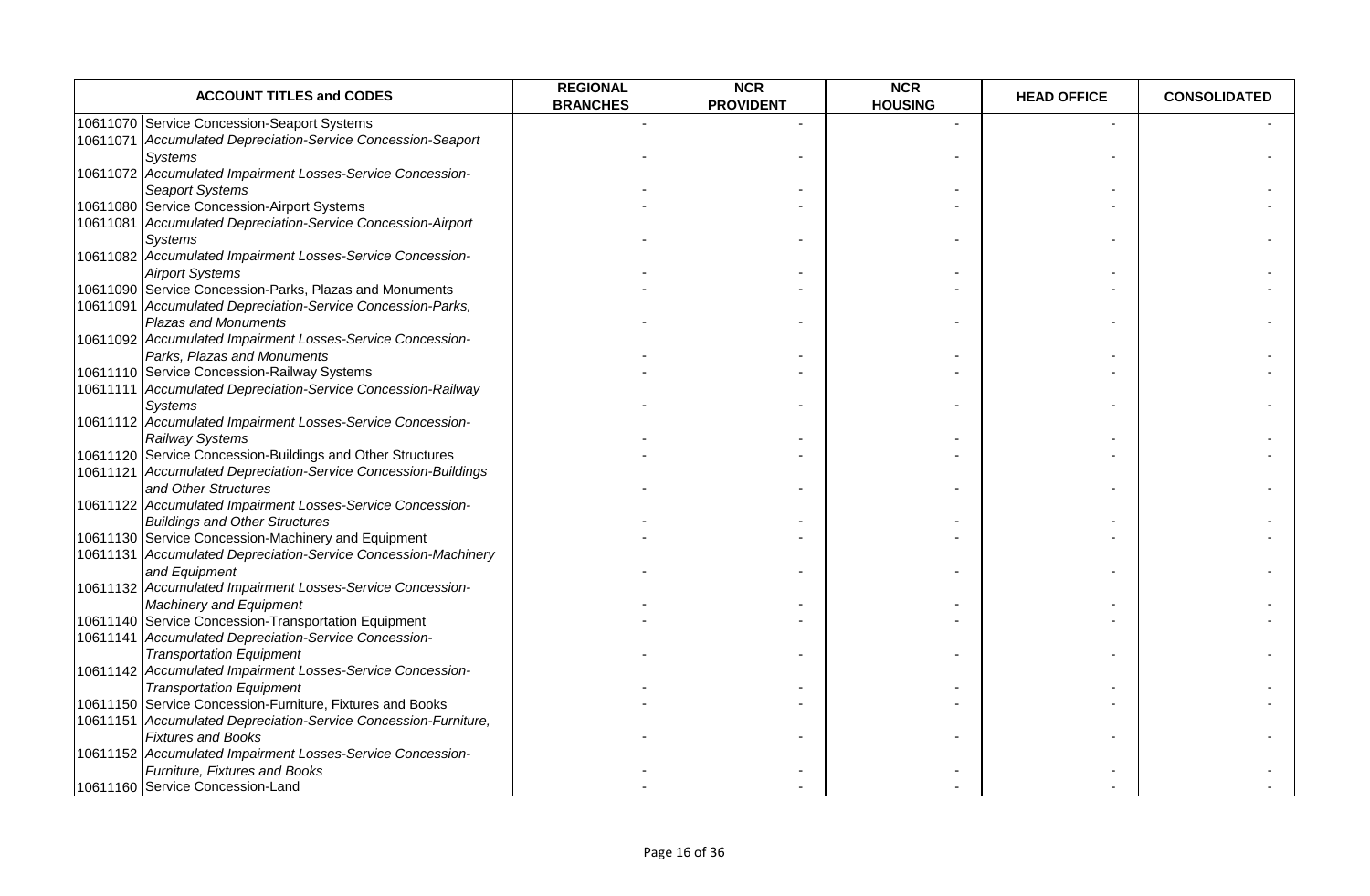| <b>ACCOUNT TITLES and CODES</b>                                 | <b>REGIONAL</b><br><b>BRANCHES</b> | <b>NCR</b><br><b>PROVIDENT</b> | <b>NCR</b><br><b>HOUSING</b> | <b>HEAD OFFICE</b> | <b>CONSOLIDATED</b> |
|-----------------------------------------------------------------|------------------------------------|--------------------------------|------------------------------|--------------------|---------------------|
| 10611070 Service Concession-Seaport Systems                     |                                    |                                |                              |                    |                     |
| 10611071 Accumulated Depreciation-Service Concession-Seaport    |                                    |                                |                              |                    |                     |
| <b>Systems</b>                                                  |                                    |                                |                              |                    |                     |
| 10611072 Accumulated Impairment Losses-Service Concession-      |                                    |                                |                              |                    |                     |
| <b>Seaport Systems</b>                                          |                                    |                                |                              |                    |                     |
| 10611080 Service Concession-Airport Systems                     |                                    |                                |                              |                    |                     |
| 10611081 Accumulated Depreciation-Service Concession-Airport    |                                    |                                |                              |                    |                     |
| Systems                                                         |                                    |                                |                              |                    |                     |
| 10611082 Accumulated Impairment Losses-Service Concession-      |                                    |                                |                              |                    |                     |
| <b>Airport Systems</b>                                          |                                    |                                |                              |                    |                     |
| 10611090 Service Concession-Parks, Plazas and Monuments         |                                    |                                |                              |                    |                     |
| 10611091 Accumulated Depreciation-Service Concession-Parks,     |                                    |                                |                              |                    |                     |
| <b>Plazas and Monuments</b>                                     |                                    |                                |                              |                    |                     |
| 10611092 Accumulated Impairment Losses-Service Concession-      |                                    |                                |                              |                    |                     |
| Parks, Plazas and Monuments                                     |                                    |                                |                              |                    |                     |
| 10611110 Service Concession-Railway Systems                     |                                    |                                |                              |                    |                     |
| 10611111 Accumulated Depreciation-Service Concession-Railway    |                                    |                                |                              |                    |                     |
| <b>Systems</b>                                                  |                                    |                                |                              |                    |                     |
| 10611112 Accumulated Impairment Losses-Service Concession-      |                                    |                                |                              |                    |                     |
| Railway Systems                                                 |                                    |                                |                              |                    |                     |
| 10611120 Service Concession-Buildings and Other Structures      |                                    |                                |                              |                    |                     |
| 10611121 Accumulated Depreciation-Service Concession-Buildings  |                                    |                                |                              |                    |                     |
| and Other Structures                                            |                                    |                                |                              |                    |                     |
| 10611122 Accumulated Impairment Losses-Service Concession-      |                                    |                                |                              |                    |                     |
| <b>Buildings and Other Structures</b>                           |                                    |                                |                              |                    |                     |
| 10611130 Service Concession-Machinery and Equipment             |                                    |                                |                              |                    |                     |
| 10611131 Accumulated Depreciation-Service Concession-Machinery  |                                    |                                |                              |                    |                     |
| and Equipment                                                   |                                    |                                |                              |                    |                     |
| 10611132 Accumulated Impairment Losses-Service Concession-      |                                    |                                |                              |                    |                     |
| <b>Machinery and Equipment</b>                                  |                                    |                                |                              |                    |                     |
| 10611140 Service Concession-Transportation Equipment            |                                    |                                |                              |                    |                     |
| 10611141 Accumulated Depreciation-Service Concession-           |                                    |                                |                              |                    |                     |
| <b>Transportation Equipment</b>                                 |                                    |                                |                              |                    |                     |
| 10611142 Accumulated Impairment Losses-Service Concession-      |                                    |                                |                              |                    |                     |
| <b>Transportation Equipment</b>                                 |                                    |                                |                              |                    |                     |
| 10611150 Service Concession-Furniture, Fixtures and Books       |                                    |                                |                              |                    |                     |
| 10611151 Accumulated Depreciation-Service Concession-Furniture, |                                    |                                |                              |                    |                     |
| <b>Fixtures and Books</b>                                       |                                    |                                |                              |                    |                     |
| 10611152 Accumulated Impairment Losses-Service Concession-      |                                    |                                |                              |                    |                     |
| Furniture, Fixtures and Books                                   |                                    |                                |                              |                    |                     |
| 10611160 Service Concession-Land                                |                                    |                                |                              |                    |                     |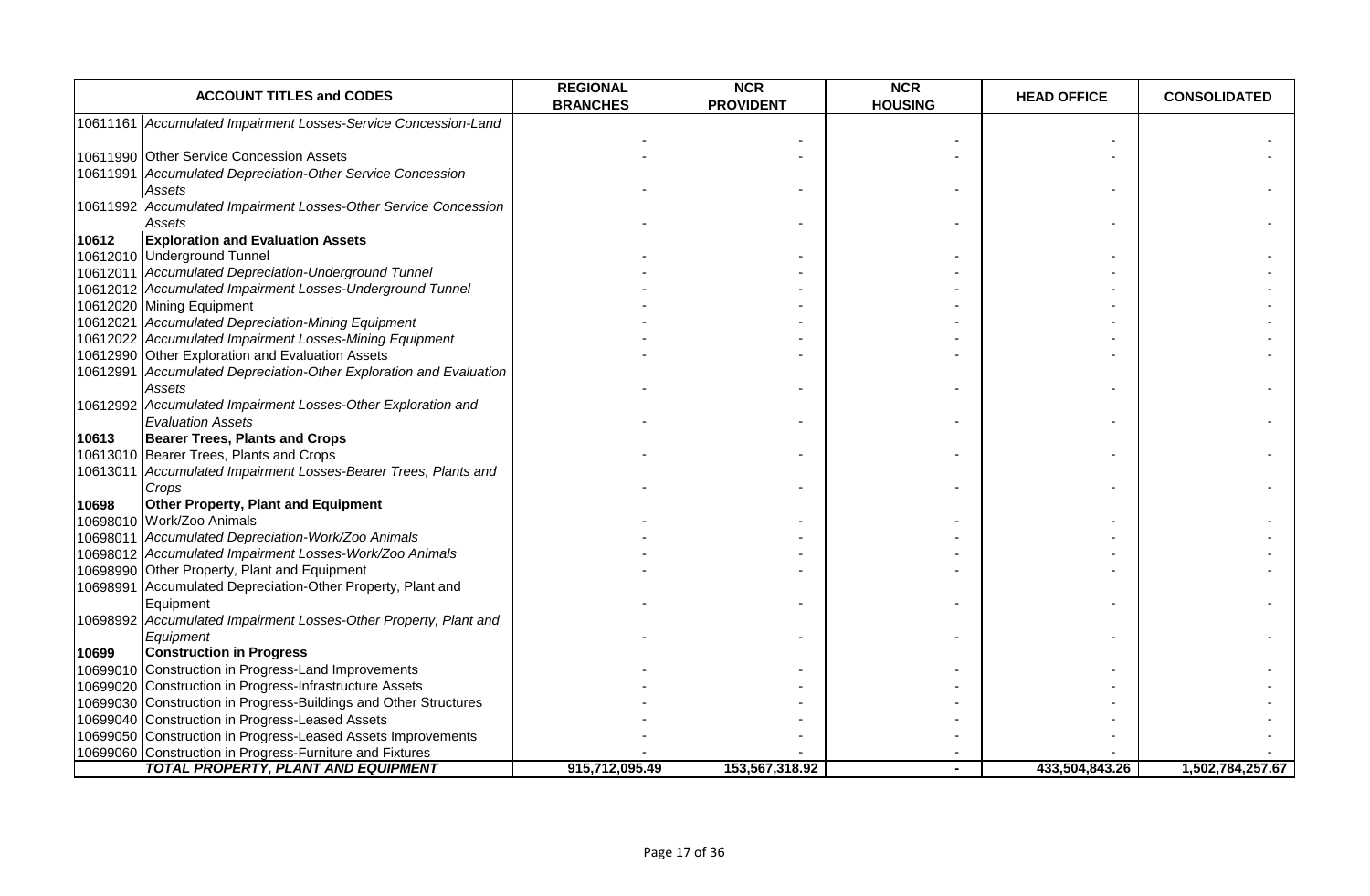| <b>ACCOUNT TITLES and CODES</b>                                                                        | <b>REGIONAL</b><br><b>BRANCHES</b> | <b>NCR</b><br><b>PROVIDENT</b> | <b>NCR</b><br><b>HOUSING</b> | <b>HEAD OFFICE</b> | <b>CONSOLIDATED</b> |
|--------------------------------------------------------------------------------------------------------|------------------------------------|--------------------------------|------------------------------|--------------------|---------------------|
| 10611161 Accumulated Impairment Losses-Service Concession-Land                                         |                                    |                                |                              |                    |                     |
| 10611990 Other Service Concession Assets                                                               |                                    |                                |                              |                    |                     |
| 10611991 Accumulated Depreciation-Other Service Concession                                             |                                    |                                |                              |                    |                     |
| Assets                                                                                                 |                                    |                                |                              |                    |                     |
| 10611992 Accumulated Impairment Losses-Other Service Concession                                        |                                    |                                |                              |                    |                     |
| Assets                                                                                                 |                                    |                                |                              |                    |                     |
| <b>Exploration and Evaluation Assets</b><br>10612                                                      |                                    |                                |                              |                    |                     |
| 10612010 Underground Tunnel                                                                            |                                    |                                |                              |                    |                     |
| 10612011 Accumulated Depreciation-Underground Tunnel                                                   |                                    |                                |                              |                    |                     |
| 10612012 Accumulated Impairment Losses-Underground Tunnel                                              |                                    |                                |                              |                    |                     |
| 10612020 Mining Equipment                                                                              |                                    |                                |                              |                    |                     |
| 10612021 Accumulated Depreciation-Mining Equipment                                                     |                                    |                                |                              |                    |                     |
| 10612022 Accumulated Impairment Losses-Mining Equipment                                                |                                    |                                |                              |                    |                     |
| 10612990 Other Exploration and Evaluation Assets                                                       |                                    |                                |                              |                    |                     |
| 10612991 Accumulated Depreciation-Other Exploration and Evaluation                                     |                                    |                                |                              |                    |                     |
| Assets                                                                                                 |                                    |                                |                              |                    |                     |
| 10612992 Accumulated Impairment Losses-Other Exploration and<br><b>Evaluation Assets</b>               |                                    |                                |                              |                    |                     |
| 10613<br><b>Bearer Trees, Plants and Crops</b>                                                         |                                    |                                |                              |                    |                     |
| 10613010 Bearer Trees, Plants and Crops                                                                |                                    |                                |                              |                    |                     |
| 10613011 Accumulated Impairment Losses-Bearer Trees, Plants and                                        |                                    |                                |                              |                    |                     |
| Crops                                                                                                  |                                    |                                |                              |                    |                     |
| <b>Other Property, Plant and Equipment</b><br>10698                                                    |                                    |                                |                              |                    |                     |
| 10698010 Work/Zoo Animals                                                                              |                                    |                                |                              |                    |                     |
| 10698011 Accumulated Depreciation-Work/Zoo Animals                                                     |                                    |                                |                              |                    |                     |
| 10698012 Accumulated Impairment Losses-Work/Zoo Animals                                                |                                    |                                |                              |                    |                     |
| 10698990 Other Property, Plant and Equipment                                                           |                                    |                                |                              |                    |                     |
| 10698991 Accumulated Depreciation-Other Property, Plant and                                            |                                    |                                |                              |                    |                     |
| Equipment                                                                                              |                                    |                                |                              |                    |                     |
| 10698992 Accumulated Impairment Losses-Other Property, Plant and                                       |                                    |                                |                              |                    |                     |
| Equipment                                                                                              |                                    |                                |                              |                    |                     |
| <b>Construction in Progress</b><br>10699                                                               |                                    |                                |                              |                    |                     |
| 10699010 Construction in Progress-Land Improvements                                                    |                                    |                                |                              |                    |                     |
| 10699020 Construction in Progress-Infrastructure Assets                                                |                                    |                                |                              |                    |                     |
| 10699030 Construction in Progress-Buildings and Other Structures                                       |                                    |                                |                              |                    |                     |
| 10699040 Construction in Progress-Leased Assets                                                        |                                    |                                |                              |                    |                     |
| 10699050 Construction in Progress-Leased Assets Improvements                                           |                                    |                                |                              |                    |                     |
| 10699060 Construction in Progress-Furniture and Fixtures<br><b>TOTAL PROPERTY, PLANT AND EQUIPMENT</b> |                                    |                                |                              |                    |                     |
|                                                                                                        | 915,712,095.49                     | 153,567,318.92                 |                              | 433,504,843.26     | 1,502,784,257.67    |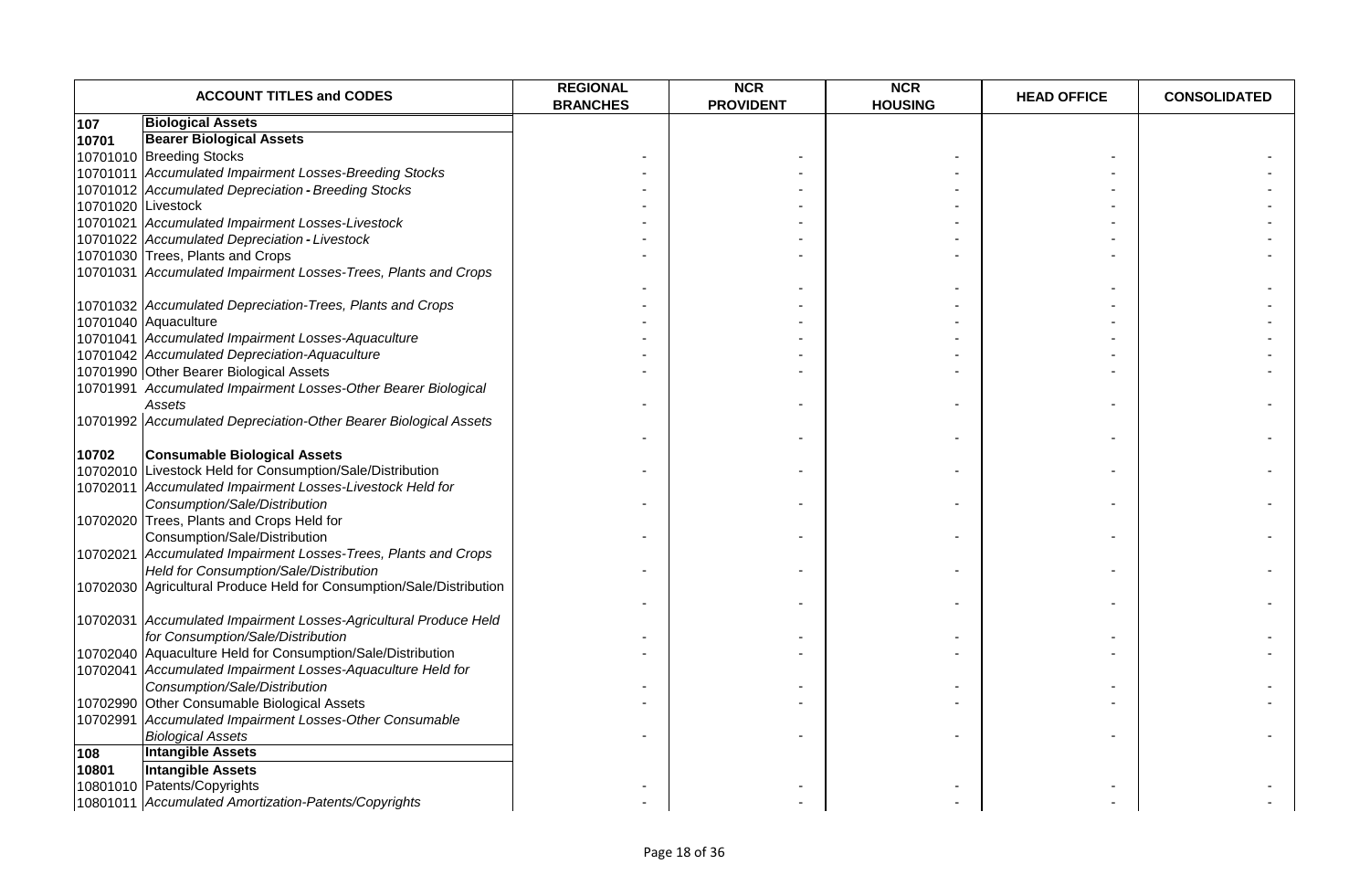|       | <b>ACCOUNT TITLES and CODES</b>                                      | <b>REGIONAL</b><br><b>BRANCHES</b> | <b>NCR</b><br><b>PROVIDENT</b> | <b>NCR</b><br><b>HOUSING</b> | <b>HEAD OFFICE</b> | <b>CONSOLIDATED</b> |
|-------|----------------------------------------------------------------------|------------------------------------|--------------------------------|------------------------------|--------------------|---------------------|
| 107   | <b>Biological Assets</b>                                             |                                    |                                |                              |                    |                     |
| 10701 | <b>Bearer Biological Assets</b>                                      |                                    |                                |                              |                    |                     |
|       | 10701010 Breeding Stocks                                             |                                    |                                |                              |                    |                     |
|       | 10701011 Accumulated Impairment Losses-Breeding Stocks               |                                    |                                |                              |                    |                     |
|       | 10701012 Accumulated Depreciation - Breeding Stocks                  |                                    |                                |                              |                    |                     |
|       | 10701020 Livestock                                                   |                                    |                                |                              |                    |                     |
|       | 10701021 Accumulated Impairment Losses-Livestock                     |                                    |                                |                              |                    |                     |
|       | 10701022 Accumulated Depreciation - Livestock                        |                                    |                                |                              |                    |                     |
|       | 10701030 Trees, Plants and Crops                                     |                                    |                                |                              |                    |                     |
|       | 10701031 Accumulated Impairment Losses-Trees, Plants and Crops       |                                    |                                |                              |                    |                     |
|       |                                                                      |                                    |                                |                              |                    |                     |
|       | 10701032 Accumulated Depreciation-Trees, Plants and Crops            |                                    |                                |                              |                    |                     |
|       | 10701040 Aquaculture                                                 |                                    |                                |                              |                    |                     |
|       | 10701041 Accumulated Impairment Losses-Aquaculture                   |                                    |                                |                              |                    |                     |
|       | 10701042 Accumulated Depreciation-Aquaculture                        |                                    |                                |                              |                    |                     |
|       | 10701990 Other Bearer Biological Assets                              |                                    |                                |                              |                    |                     |
|       | 10701991 Accumulated Impairment Losses-Other Bearer Biological       |                                    |                                |                              |                    |                     |
|       | Assets                                                               |                                    |                                |                              |                    |                     |
|       | 10701992 Accumulated Depreciation-Other Bearer Biological Assets     |                                    |                                |                              |                    |                     |
|       |                                                                      |                                    |                                |                              |                    |                     |
| 10702 | <b>Consumable Biological Assets</b>                                  |                                    |                                |                              |                    |                     |
|       | 10702010 Livestock Held for Consumption/Sale/Distribution            |                                    |                                |                              |                    |                     |
|       | 10702011 Accumulated Impairment Losses-Livestock Held for            |                                    |                                |                              |                    |                     |
|       | Consumption/Sale/Distribution                                        |                                    |                                |                              |                    |                     |
|       | 10702020 Trees, Plants and Crops Held for                            |                                    |                                |                              |                    |                     |
|       | Consumption/Sale/Distribution                                        |                                    |                                |                              |                    |                     |
|       | 10702021 Accumulated Impairment Losses-Trees, Plants and Crops       |                                    |                                |                              |                    |                     |
|       | Held for Consumption/Sale/Distribution                               |                                    |                                |                              |                    |                     |
|       | 10702030 Agricultural Produce Held for Consumption/Sale/Distribution |                                    |                                |                              |                    |                     |
|       |                                                                      |                                    |                                |                              |                    |                     |
|       | 10702031 Accumulated Impairment Losses-Agricultural Produce Held     |                                    |                                |                              |                    |                     |
|       | for Consumption/Sale/Distribution                                    |                                    |                                |                              |                    |                     |
|       | 10702040 Aquaculture Held for Consumption/Sale/Distribution          |                                    |                                |                              |                    |                     |
|       | 10702041 Accumulated Impairment Losses-Aquaculture Held for          |                                    |                                |                              |                    |                     |
|       | Consumption/Sale/Distribution                                        |                                    |                                |                              |                    |                     |
|       | 10702990 Other Consumable Biological Assets                          |                                    |                                |                              |                    |                     |
|       | 10702991 Accumulated Impairment Losses-Other Consumable              |                                    |                                |                              |                    |                     |
|       | <b>Biological Assets</b>                                             |                                    |                                |                              |                    |                     |
| 108   | <b>Intangible Assets</b>                                             |                                    |                                |                              |                    |                     |
| 10801 | <b>Intangible Assets</b>                                             |                                    |                                |                              |                    |                     |
|       | 10801010 Patents/Copyrights                                          |                                    |                                |                              |                    |                     |
|       | 10801011 Accumulated Amortization-Patents/Copyrights                 |                                    |                                |                              |                    |                     |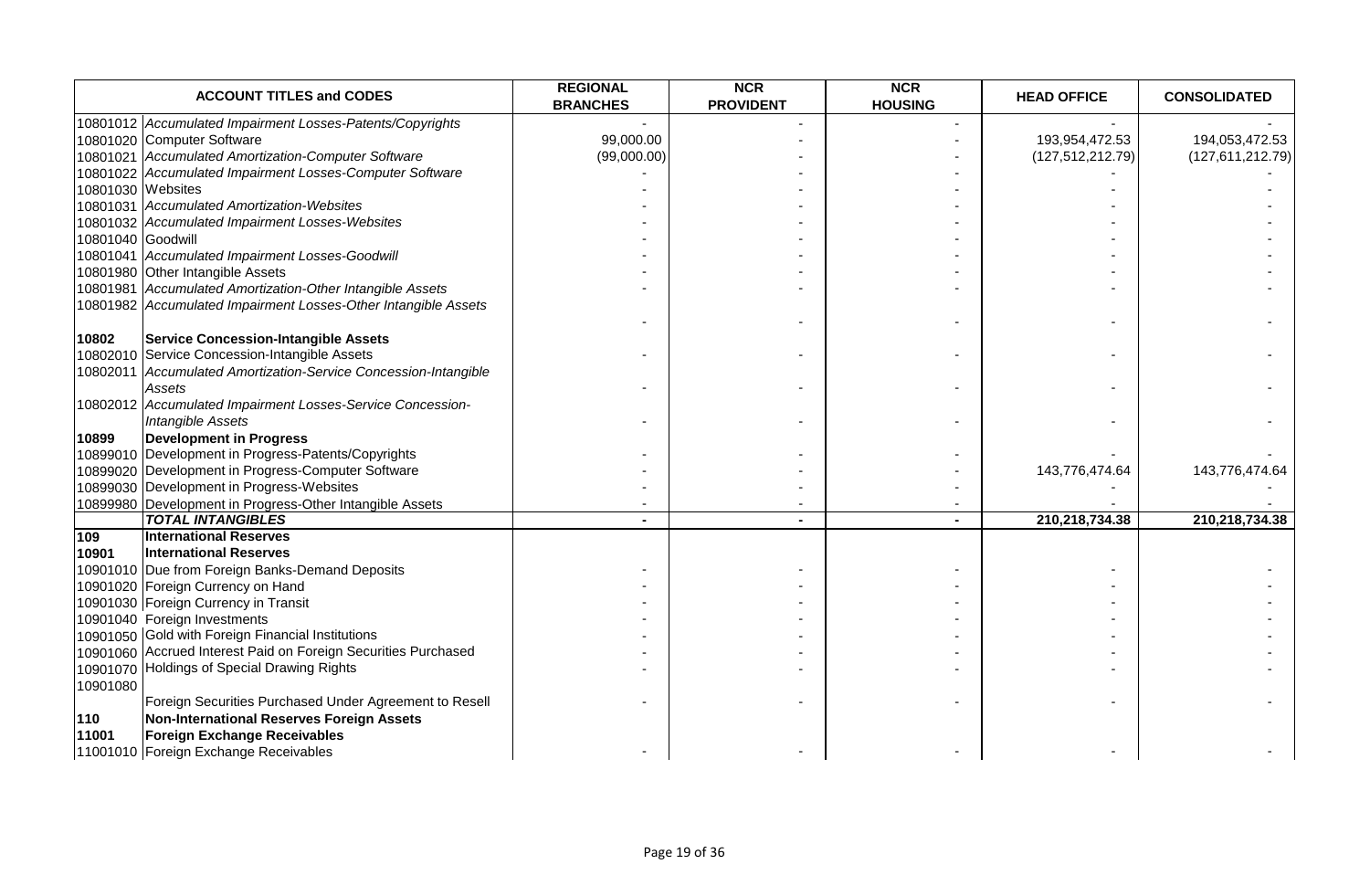| <b>ACCOUNT TITLES and CODES</b>                                 | <b>REGIONAL</b><br><b>BRANCHES</b> | <b>NCR</b><br><b>PROVIDENT</b> | <b>NCR</b><br><b>HOUSING</b> | <b>HEAD OFFICE</b> | <b>CONSOLIDATED</b> |
|-----------------------------------------------------------------|------------------------------------|--------------------------------|------------------------------|--------------------|---------------------|
| 10801012 Accumulated Impairment Losses-Patents/Copyrights       |                                    |                                |                              |                    |                     |
| 10801020 Computer Software                                      | 99,000.00                          |                                |                              | 193,954,472.53     | 194,053,472.53      |
| 10801021 Accumulated Amortization-Computer Software             | (99,000.00)                        |                                |                              | (127, 512, 212.79) | (127,611,212.79)    |
| 10801022 Accumulated Impairment Losses-Computer Software        |                                    |                                |                              |                    |                     |
| 10801030 Websites                                               |                                    |                                |                              |                    |                     |
| 10801031 Accumulated Amortization-Websites                      |                                    |                                |                              |                    |                     |
| 10801032 Accumulated Impairment Losses-Websites                 |                                    |                                |                              |                    |                     |
| 10801040 Goodwill                                               |                                    |                                |                              |                    |                     |
| 10801041 Accumulated Impairment Losses-Goodwill                 |                                    |                                |                              |                    |                     |
| 10801980 Other Intangible Assets                                |                                    |                                |                              |                    |                     |
| 10801981 Accumulated Amortization-Other Intangible Assets       |                                    |                                |                              |                    |                     |
| 10801982 Accumulated Impairment Losses-Other Intangible Assets  |                                    |                                |                              |                    |                     |
|                                                                 |                                    |                                |                              |                    |                     |
| <b>Service Concession-Intangible Assets</b><br>10802            |                                    |                                |                              |                    |                     |
| 10802010 Service Concession-Intangible Assets                   |                                    |                                |                              |                    |                     |
| 10802011 Accumulated Amortization-Service Concession-Intangible |                                    |                                |                              |                    |                     |
| Assets                                                          |                                    |                                |                              |                    |                     |
| 10802012 Accumulated Impairment Losses-Service Concession-      |                                    |                                |                              |                    |                     |
| Intangible Assets                                               |                                    |                                |                              |                    |                     |
| <b>Development in Progress</b><br>10899                         |                                    |                                |                              |                    |                     |
| 10899010 Development in Progress-Patents/Copyrights             |                                    |                                |                              |                    |                     |
| 10899020 Development in Progress-Computer Software              |                                    |                                |                              | 143,776,474.64     | 143,776,474.64      |
| 10899030 Development in Progress-Websites                       |                                    |                                |                              |                    |                     |
| 10899980 Development in Progress-Other Intangible Assets        |                                    |                                |                              |                    |                     |
| <b>TOTAL INTANGIBLES</b>                                        |                                    | ٠.                             |                              | 210,218,734.38     | 210,218,734.38      |
| <b>International Reserves</b><br>109                            |                                    |                                |                              |                    |                     |
| <b>International Reserves</b><br>10901                          |                                    |                                |                              |                    |                     |
| 10901010 Due from Foreign Banks-Demand Deposits                 |                                    |                                |                              |                    |                     |
| 10901020 Foreign Currency on Hand                               |                                    |                                |                              |                    |                     |
| 10901030 Foreign Currency in Transit                            |                                    |                                |                              |                    |                     |
| 10901040 Foreign Investments                                    |                                    |                                |                              |                    |                     |
| 10901050 Gold with Foreign Financial Institutions               |                                    |                                |                              |                    |                     |
| 10901060 Accrued Interest Paid on Foreign Securities Purchased  |                                    |                                |                              |                    |                     |
| 10901070 Holdings of Special Drawing Rights                     |                                    |                                |                              |                    |                     |
| 10901080                                                        |                                    |                                |                              |                    |                     |
| Foreign Securities Purchased Under Agreement to Resell          |                                    |                                |                              |                    |                     |
| Non-International Reserves Foreign Assets<br>110                |                                    |                                |                              |                    |                     |
| <b>Foreign Exchange Receivables</b><br>11001                    |                                    |                                |                              |                    |                     |
| 11001010 Foreign Exchange Receivables                           |                                    |                                |                              |                    |                     |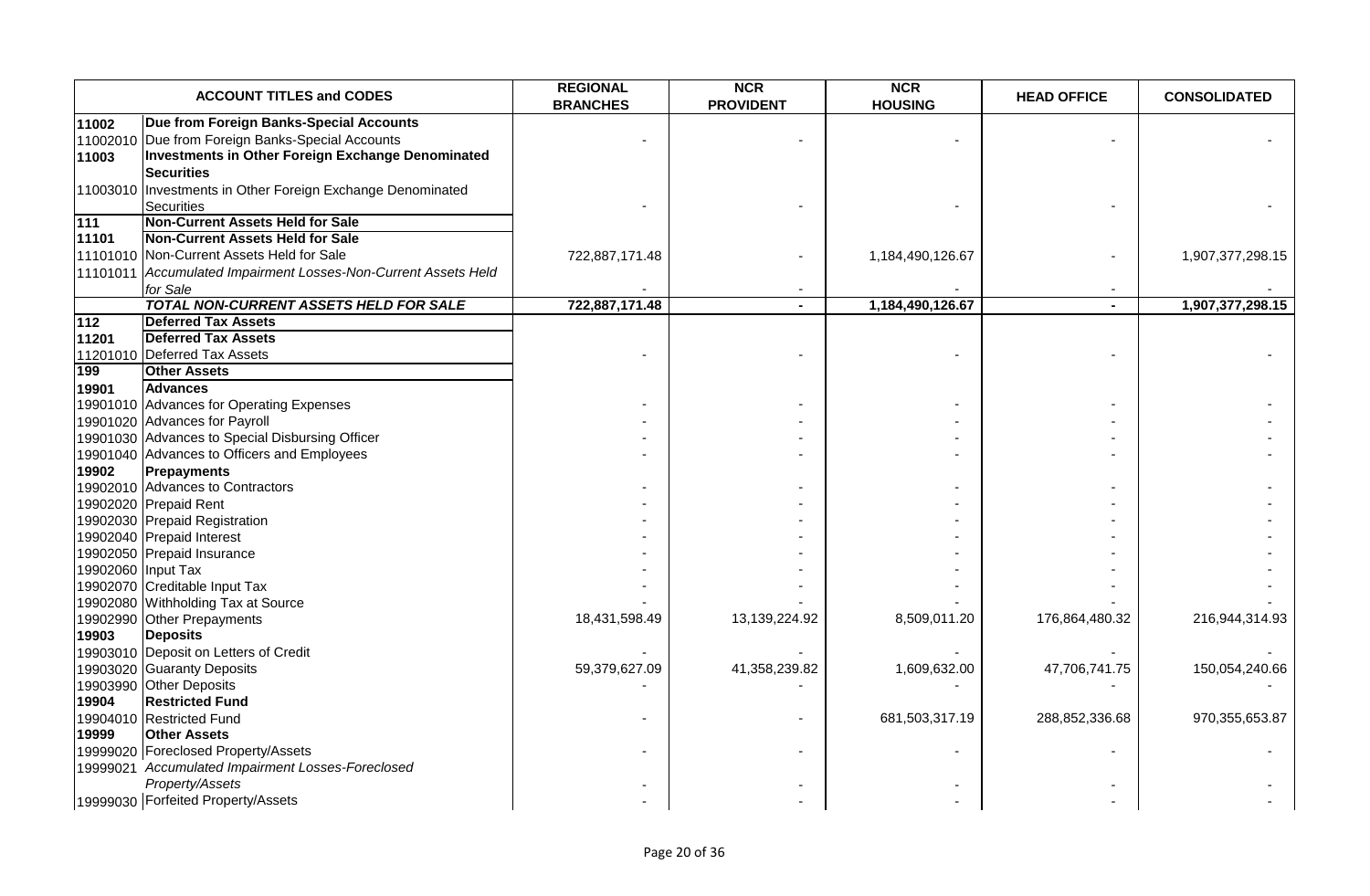|                            | <b>ACCOUNT TITLES and CODES</b>                                                                                                                                     | <b>REGIONAL</b><br><b>BRANCHES</b> | <b>NCR</b><br><b>PROVIDENT</b> | <b>NCR</b><br><b>HOUSING</b> | <b>HEAD OFFICE</b>       | <b>CONSOLIDATED</b> |
|----------------------------|---------------------------------------------------------------------------------------------------------------------------------------------------------------------|------------------------------------|--------------------------------|------------------------------|--------------------------|---------------------|
| 11002<br>11002010<br>11003 | Due from Foreign Banks-Special Accounts<br>Due from Foreign Banks-Special Accounts<br><b>Investments in Other Foreign Exchange Denominated</b><br><b>Securities</b> |                                    |                                |                              |                          |                     |
| 11003010                   | Investments in Other Foreign Exchange Denominated<br>Securities<br><b>Non-Current Assets Held for Sale</b>                                                          |                                    |                                |                              |                          |                     |
| 111<br>11101               | <b>Non-Current Assets Held for Sale</b>                                                                                                                             |                                    |                                |                              |                          |                     |
|                            | 11101010 Non-Current Assets Held for Sale                                                                                                                           | 722,887,171.48                     |                                | 1,184,490,126.67             |                          | 1,907,377,298.15    |
|                            | 11101011 Accumulated Impairment Losses-Non-Current Assets Held                                                                                                      |                                    |                                |                              |                          |                     |
|                            | for Sale                                                                                                                                                            |                                    |                                |                              | $\overline{\phantom{a}}$ |                     |
|                            | <b>TOTAL NON-CURRENT ASSETS HELD FOR SALE</b>                                                                                                                       | 722,887,171.48                     |                                | 1,184,490,126.67             |                          | 1,907,377,298.15    |
| $\overline{112}$           | <b>Deferred Tax Assets</b>                                                                                                                                          |                                    |                                |                              |                          |                     |
| 11201                      | <b>Deferred Tax Assets</b><br>11201010 Deferred Tax Assets                                                                                                          |                                    |                                |                              |                          |                     |
| 199                        | <b>Other Assets</b>                                                                                                                                                 |                                    |                                |                              |                          |                     |
| 19901                      | <b>Advances</b>                                                                                                                                                     |                                    |                                |                              |                          |                     |
|                            | 19901010 Advances for Operating Expenses                                                                                                                            |                                    |                                |                              |                          |                     |
|                            | 19901020 Advances for Payroll                                                                                                                                       |                                    |                                |                              |                          |                     |
|                            | 19901030 Advances to Special Disbursing Officer                                                                                                                     |                                    |                                |                              |                          |                     |
|                            | 19901040 Advances to Officers and Employees                                                                                                                         |                                    |                                |                              |                          |                     |
| 19902                      | <b>Prepayments</b>                                                                                                                                                  |                                    |                                |                              |                          |                     |
|                            | 19902010 Advances to Contractors                                                                                                                                    |                                    |                                |                              |                          |                     |
|                            | 19902020 Prepaid Rent                                                                                                                                               |                                    |                                |                              |                          |                     |
|                            | 19902030 Prepaid Registration                                                                                                                                       |                                    |                                |                              |                          |                     |
|                            | 19902040 Prepaid Interest                                                                                                                                           |                                    |                                |                              |                          |                     |
|                            | 19902050 Prepaid Insurance                                                                                                                                          |                                    |                                |                              |                          |                     |
|                            | 19902060 Input Tax                                                                                                                                                  |                                    |                                |                              |                          |                     |
|                            | 19902070 Creditable Input Tax                                                                                                                                       |                                    |                                |                              |                          |                     |
|                            | 19902080 Withholding Tax at Source                                                                                                                                  |                                    |                                |                              |                          |                     |
| 19903                      | 19902990 Other Prepayments<br><b>Deposits</b>                                                                                                                       | 18,431,598.49                      | 13,139,224.92                  | 8,509,011.20                 | 176,864,480.32           | 216,944,314.93      |
|                            | 19903010 Deposit on Letters of Credit                                                                                                                               |                                    |                                |                              |                          |                     |
|                            | 19903020 Guaranty Deposits                                                                                                                                          | 59,379,627.09                      | 41,358,239.82                  | 1,609,632.00                 | 47,706,741.75            | 150,054,240.66      |
|                            | 19903990 Other Deposits                                                                                                                                             |                                    |                                |                              |                          |                     |
| 19904                      | <b>Restricted Fund</b>                                                                                                                                              |                                    |                                |                              |                          |                     |
|                            | 19904010 Restricted Fund                                                                                                                                            |                                    |                                | 681,503,317.19               | 288,852,336.68           | 970,355,653.87      |
| 19999                      | <b>Other Assets</b>                                                                                                                                                 |                                    |                                |                              |                          |                     |
|                            | 19999020 Foreclosed Property/Assets                                                                                                                                 |                                    |                                |                              |                          |                     |
|                            | 19999021 Accumulated Impairment Losses-Foreclosed                                                                                                                   |                                    |                                |                              |                          |                     |
|                            | Property/Assets                                                                                                                                                     |                                    |                                |                              |                          |                     |
|                            | 19999030 Forfeited Property/Assets                                                                                                                                  |                                    |                                |                              |                          |                     |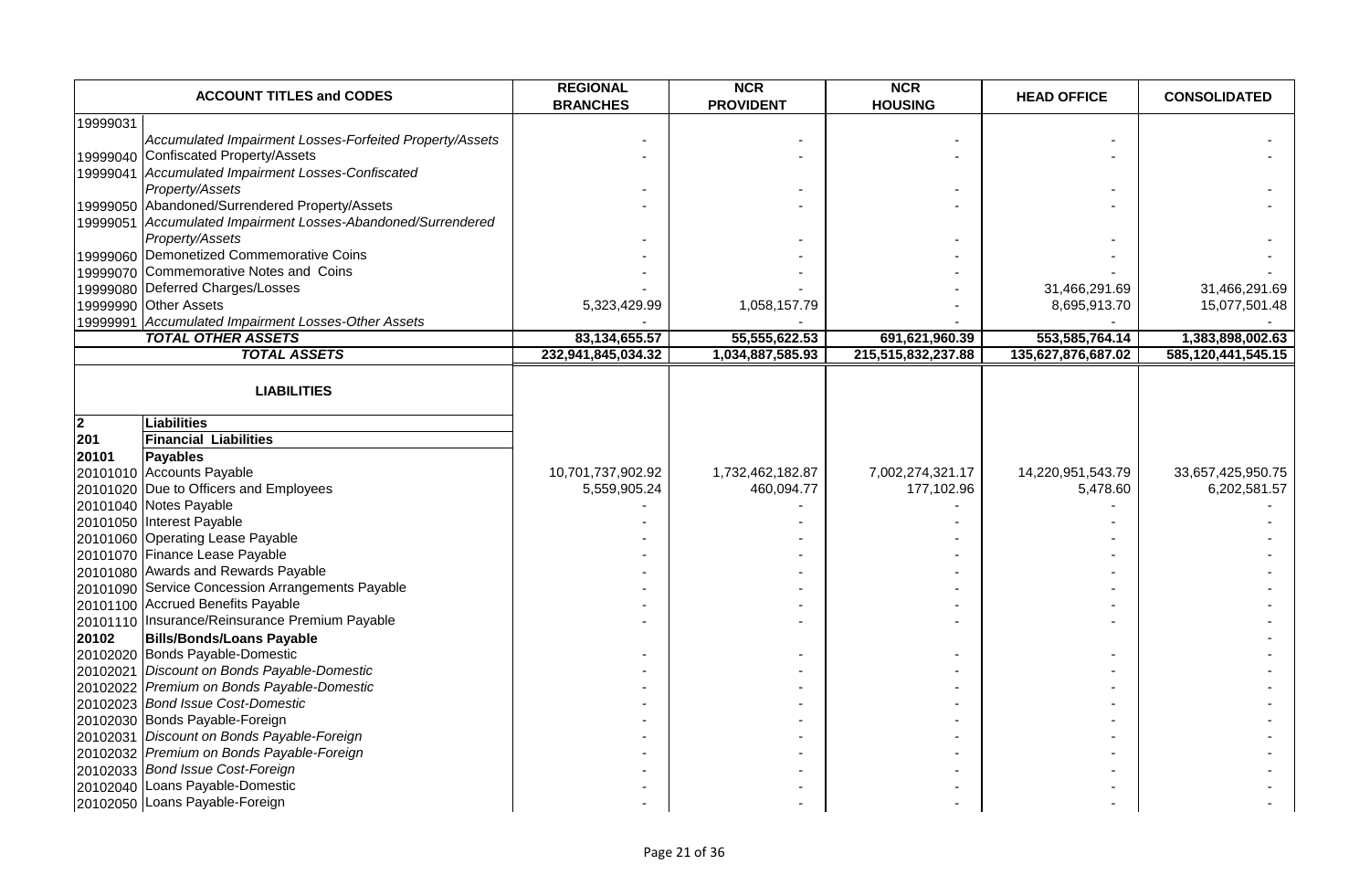|                | <b>ACCOUNT TITLES and CODES</b>                              | <b>REGIONAL</b><br><b>BRANCHES</b> | <b>NCR</b><br><b>PROVIDENT</b> | <b>NCR</b><br><b>HOUSING</b> | <b>HEAD OFFICE</b> | <b>CONSOLIDATED</b> |
|----------------|--------------------------------------------------------------|------------------------------------|--------------------------------|------------------------------|--------------------|---------------------|
| 19999031       |                                                              |                                    |                                |                              |                    |                     |
|                | Accumulated Impairment Losses-Forfeited Property/Assets      |                                    |                                |                              |                    |                     |
|                | 19999040 Confiscated Property/Assets                         |                                    |                                |                              |                    |                     |
|                | 19999041 Accumulated Impairment Losses-Confiscated           |                                    |                                |                              |                    |                     |
|                | Property/Assets                                              |                                    |                                |                              |                    |                     |
|                | 19999050 Abandoned/Surrendered Property/Assets               |                                    |                                |                              |                    |                     |
|                | 19999051 Accumulated Impairment Losses-Abandoned/Surrendered |                                    |                                |                              |                    |                     |
|                | Property/Assets                                              |                                    |                                |                              |                    |                     |
|                | 19999060 Demonetized Commemorative Coins                     |                                    |                                |                              |                    |                     |
|                | 19999070 Commemorative Notes and Coins                       |                                    |                                |                              |                    |                     |
|                | 19999080 Deferred Charges/Losses                             |                                    |                                |                              | 31,466,291.69      | 31,466,291.69       |
|                | 19999990 Other Assets                                        | 5,323,429.99                       | 1,058,157.79                   |                              | 8,695,913.70       | 15,077,501.48       |
|                | 19999991 Accumulated Impairment Losses-Other Assets          |                                    |                                |                              |                    |                     |
|                | <b>TOTAL OTHER ASSETS</b>                                    | 83,134,655.57                      | 55,555,622.53                  | 691,621,960.39               | 553,585,764.14     | 1,383,898,002.63    |
|                | <b>TOTAL ASSETS</b>                                          | 232,941,845,034.32                 | 1,034,887,585.93               | 215,515,832,237.88           | 135,627,876,687.02 | 585,120,441,545.15  |
|                |                                                              |                                    |                                |                              |                    |                     |
|                | <b>LIABILITIES</b>                                           |                                    |                                |                              |                    |                     |
|                |                                                              |                                    |                                |                              |                    |                     |
| $\overline{2}$ | <b>Liabilities</b>                                           |                                    |                                |                              |                    |                     |
| 201            | <b>Financial Liabilities</b>                                 |                                    |                                |                              |                    |                     |
| 20101          | <b>Payables</b>                                              |                                    |                                |                              |                    |                     |
|                | 20101010 Accounts Payable                                    | 10,701,737,902.92                  | 1,732,462,182.87               | 7,002,274,321.17             | 14,220,951,543.79  | 33,657,425,950.75   |
|                | 20101020 Due to Officers and Employees                       | 5,559,905.24                       | 460,094.77                     | 177,102.96                   | 5,478.60           | 6,202,581.57        |
|                | 20101040 Notes Payable                                       |                                    |                                |                              |                    |                     |
|                | 20101050 Interest Payable                                    |                                    |                                |                              |                    |                     |
|                | 20101060 Operating Lease Payable                             |                                    |                                |                              |                    |                     |
|                | 20101070 Finance Lease Payable                               |                                    |                                |                              |                    |                     |
|                | 20101080 Awards and Rewards Payable                          |                                    |                                |                              |                    |                     |
|                | 20101090 Service Concession Arrangements Payable             |                                    |                                |                              |                    |                     |
|                | 20101100 Accrued Benefits Payable                            |                                    |                                |                              |                    |                     |
|                | 20101110 Insurance/Reinsurance Premium Payable               |                                    |                                |                              |                    |                     |
| 20102          | <b>Bills/Bonds/Loans Payable</b>                             |                                    |                                |                              |                    |                     |
|                | 20102020 Bonds Payable-Domestic                              |                                    |                                |                              |                    |                     |
|                | 20102021 Discount on Bonds Payable-Domestic                  |                                    |                                |                              |                    |                     |
|                | 20102022 Premium on Bonds Payable-Domestic                   |                                    |                                |                              |                    |                     |
|                | 20102023 Bond Issue Cost-Domestic                            |                                    |                                |                              |                    |                     |
|                | 20102030 Bonds Payable-Foreign                               |                                    |                                |                              |                    |                     |
|                | 20102031 Discount on Bonds Payable-Foreign                   |                                    |                                |                              |                    |                     |
|                | 20102032 Premium on Bonds Payable-Foreign                    |                                    |                                |                              |                    |                     |
|                | 20102033 Bond Issue Cost-Foreign                             |                                    |                                |                              |                    |                     |
|                | 20102040 Loans Payable-Domestic                              |                                    |                                |                              |                    |                     |
|                | 20102050 Loans Payable-Foreign                               |                                    |                                |                              |                    |                     |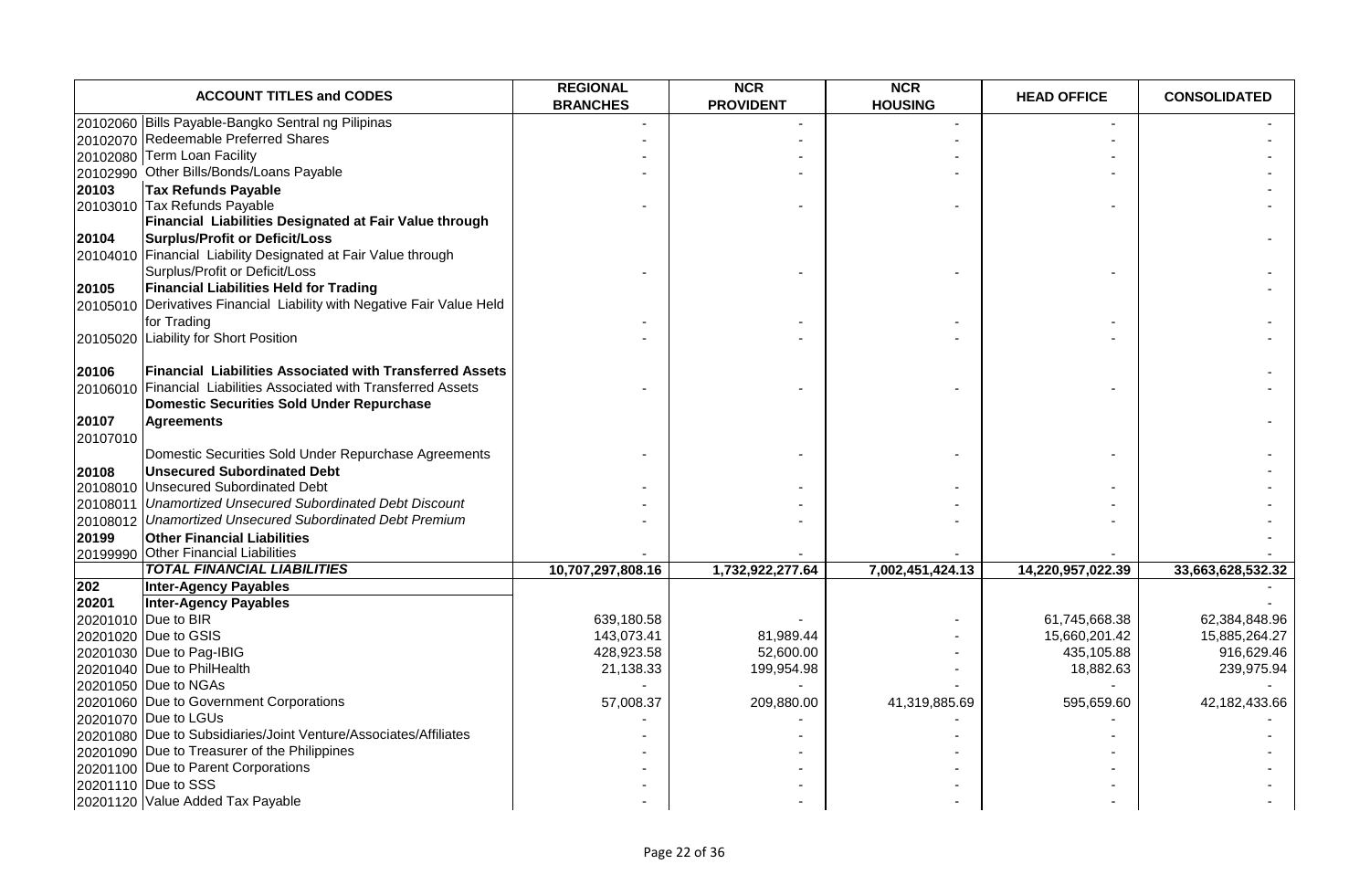|          | <b>ACCOUNT TITLES and CODES</b>                                                                                                                | <b>REGIONAL</b><br><b>BRANCHES</b> | <b>NCR</b><br><b>PROVIDENT</b> | <b>NCR</b><br><b>HOUSING</b> | <b>HEAD OFFICE</b>          | <b>CONSOLIDATED</b> |
|----------|------------------------------------------------------------------------------------------------------------------------------------------------|------------------------------------|--------------------------------|------------------------------|-----------------------------|---------------------|
|          | 20102060 Bills Payable-Bangko Sentral ng Pilipinas                                                                                             |                                    |                                |                              |                             |                     |
|          | 20102070 Redeemable Preferred Shares                                                                                                           |                                    |                                |                              |                             |                     |
|          | 20102080 Term Loan Facility                                                                                                                    |                                    |                                |                              |                             |                     |
|          | 20102990 Other Bills/Bonds/Loans Payable                                                                                                       |                                    |                                |                              |                             |                     |
| 20103    | <b>Tax Refunds Payable</b>                                                                                                                     |                                    |                                |                              |                             |                     |
|          | 20103010 Tax Refunds Payable                                                                                                                   |                                    |                                |                              |                             |                     |
|          | Financial Liabilities Designated at Fair Value through                                                                                         |                                    |                                |                              |                             |                     |
| 20104    | Surplus/Profit or Deficit/Loss                                                                                                                 |                                    |                                |                              |                             |                     |
|          | 20104010 Financial Liability Designated at Fair Value through                                                                                  |                                    |                                |                              |                             |                     |
|          | Surplus/Profit or Deficit/Loss                                                                                                                 |                                    |                                |                              |                             |                     |
| 20105    | <b>Financial Liabilities Held for Trading</b>                                                                                                  |                                    |                                |                              |                             |                     |
|          | 20105010 Derivatives Financial Liability with Negative Fair Value Held                                                                         |                                    |                                |                              |                             |                     |
|          | for Trading                                                                                                                                    |                                    |                                |                              |                             |                     |
|          | 20105020 Liability for Short Position                                                                                                          |                                    |                                |                              |                             |                     |
|          |                                                                                                                                                |                                    |                                |                              |                             |                     |
| 20106    | <b>Financial Liabilities Associated with Transferred Assets</b>                                                                                |                                    |                                |                              |                             |                     |
|          | 20106010 Financial Liabilities Associated with Transferred Assets                                                                              |                                    |                                |                              |                             |                     |
|          | Domestic Securities Sold Under Repurchase                                                                                                      |                                    |                                |                              |                             |                     |
| 20107    | <b>Agreements</b>                                                                                                                              |                                    |                                |                              |                             |                     |
| 20107010 |                                                                                                                                                |                                    |                                |                              |                             |                     |
|          | Domestic Securities Sold Under Repurchase Agreements                                                                                           |                                    |                                |                              |                             |                     |
| 20108    | <b>Unsecured Subordinated Debt</b>                                                                                                             |                                    |                                |                              |                             |                     |
|          | 20108010 Unsecured Subordinated Debt                                                                                                           |                                    |                                |                              |                             |                     |
|          | 20108011 Unamortized Unsecured Subordinated Debt Discount                                                                                      |                                    |                                |                              |                             |                     |
|          | 20108012 Unamortized Unsecured Subordinated Debt Premium                                                                                       |                                    |                                |                              |                             |                     |
| 20199    | <b>Other Financial Liabilities</b>                                                                                                             |                                    |                                |                              |                             |                     |
|          | 20199990 Other Financial Liabilities                                                                                                           |                                    |                                |                              |                             |                     |
|          | <b>TOTAL FINANCIAL LIABILITIES</b>                                                                                                             | 10,707,297,808.16                  | 1,732,922,277.64               | 7,002,451,424.13             | 14,220,957,022.39           | 33,663,628,532.32   |
| 202      | <b>Inter-Agency Payables</b>                                                                                                                   |                                    |                                |                              |                             |                     |
| 20201    | <b>Inter-Agency Payables</b><br>20201010 Due to BIR                                                                                            | 639,180.58                         |                                |                              | 61,745,668.38               | 62,384,848.96       |
|          | 20201020 Due to GSIS                                                                                                                           | 143,073.41                         | 81,989.44                      |                              |                             | 15,885,264.27       |
|          | 20201030 Due to Pag-IBIG                                                                                                                       | 428,923.58                         | 52,600.00                      |                              | 15,660,201.42<br>435,105.88 | 916,629.46          |
|          | 20201040 Due to PhilHealth                                                                                                                     | 21,138.33                          | 199,954.98                     |                              | 18,882.63                   | 239,975.94          |
|          | 20201050 Due to NGAs                                                                                                                           |                                    |                                |                              |                             |                     |
|          | 20201060 Due to Government Corporations                                                                                                        | 57,008.37                          | 209,880.00                     | 41,319,885.69                | 595,659.60                  | 42,182,433.66       |
|          | 20201070 Due to LGUs                                                                                                                           |                                    |                                |                              |                             |                     |
|          | 20201080 Due to Subsidiaries/Joint Venture/Associates/Affiliates                                                                               |                                    |                                |                              |                             |                     |
|          |                                                                                                                                                |                                    |                                |                              |                             |                     |
|          |                                                                                                                                                |                                    |                                |                              |                             |                     |
|          |                                                                                                                                                |                                    |                                |                              |                             |                     |
|          |                                                                                                                                                |                                    |                                |                              |                             |                     |
|          | 20201090 Due to Treasurer of the Philippines<br>20201100 Due to Parent Corporations<br>20201110 Due to SSS<br>20201120 Value Added Tax Payable |                                    |                                |                              |                             |                     |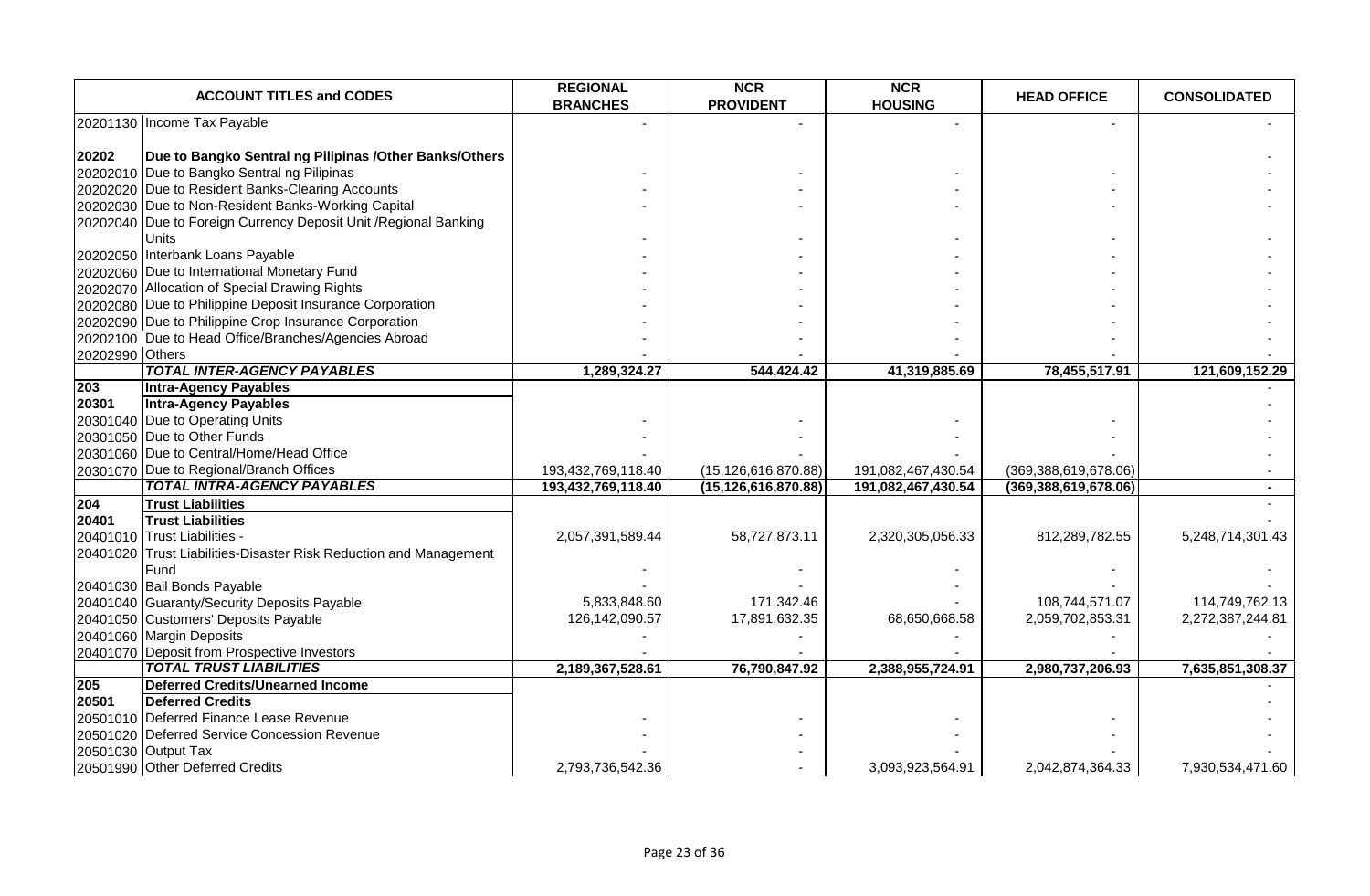|                 | <b>ACCOUNT TITLES and CODES</b>                                   | <b>REGIONAL</b><br><b>BRANCHES</b> | <b>NCR</b><br><b>PROVIDENT</b> | <b>NCR</b><br><b>HOUSING</b> | <b>HEAD OFFICE</b>      | <b>CONSOLIDATED</b> |
|-----------------|-------------------------------------------------------------------|------------------------------------|--------------------------------|------------------------------|-------------------------|---------------------|
|                 | 20201130 Income Tax Payable                                       |                                    |                                |                              |                         |                     |
| 20202           | Due to Bangko Sentral ng Pilipinas / Other Banks/Others           |                                    |                                |                              |                         |                     |
|                 | 20202010 Due to Bangko Sentral ng Pilipinas                       |                                    |                                |                              |                         |                     |
|                 | 20202020 Due to Resident Banks-Clearing Accounts                  |                                    |                                |                              |                         |                     |
|                 | 20202030 Due to Non-Resident Banks-Working Capital                |                                    |                                |                              |                         |                     |
|                 | 20202040 Due to Foreign Currency Deposit Unit / Regional Banking  |                                    |                                |                              |                         |                     |
|                 |                                                                   |                                    |                                |                              |                         |                     |
|                 | Units<br>20202050 Interbank Loans Payable                         |                                    |                                |                              |                         |                     |
|                 | 20202060 Due to International Monetary Fund                       |                                    |                                |                              |                         |                     |
|                 |                                                                   |                                    |                                |                              |                         |                     |
|                 | 20202070 Allocation of Special Drawing Rights                     |                                    |                                |                              |                         |                     |
|                 | 20202080 Due to Philippine Deposit Insurance Corporation          |                                    |                                |                              |                         |                     |
|                 | 20202090 Due to Philippine Crop Insurance Corporation             |                                    |                                |                              |                         |                     |
|                 | 20202100 Due to Head Office/Branches/Agencies Abroad              |                                    |                                |                              |                         |                     |
| 20202990 Others |                                                                   |                                    |                                |                              |                         |                     |
|                 | <b>TOTAL INTER-AGENCY PAYABLES</b>                                | 1,289,324.27                       | 544,424.42                     | 41,319,885.69                | 78,455,517.91           | 121,609,152.29      |
| 203             | <b>Intra-Agency Payables</b>                                      |                                    |                                |                              |                         |                     |
| 20301           | <b>Intra-Agency Payables</b>                                      |                                    |                                |                              |                         |                     |
|                 | 20301040 Due to Operating Units                                   |                                    |                                |                              |                         |                     |
|                 | 20301050 Due to Other Funds                                       |                                    |                                |                              |                         |                     |
|                 | 20301060 Due to Central/Home/Head Office                          |                                    |                                |                              |                         |                     |
|                 | 20301070 Due to Regional/Branch Offices                           | 193,432,769,118.40                 | (15, 126, 616, 870.88)         | 191,082,467,430.54           | (369, 388, 619, 678.06) |                     |
|                 | <b>TOTAL INTRA-AGENCY PAYABLES</b>                                | 193,432,769,118.40                 | (15, 126, 616, 870.88)         | 191,082,467,430.54           | (369, 388, 619, 678.06) |                     |
| 204             | <b>Trust Liabilities</b>                                          |                                    |                                |                              |                         |                     |
| 20401           | <b>Trust Liabilities</b>                                          |                                    |                                |                              |                         |                     |
|                 | 20401010 Trust Liabilities -                                      | 2,057,391,589.44                   | 58,727,873.11                  | 2,320,305,056.33             | 812,289,782.55          | 5,248,714,301.43    |
|                 | 20401020 Trust Liabilities-Disaster Risk Reduction and Management |                                    |                                |                              |                         |                     |
|                 | Fund                                                              |                                    |                                |                              |                         |                     |
|                 | 20401030 Bail Bonds Payable                                       |                                    |                                |                              |                         |                     |
|                 | 20401040 Guaranty/Security Deposits Payable                       | 5,833,848.60                       | 171,342.46                     |                              | 108,744,571.07          | 114,749,762.13      |
|                 | 20401050 Customers' Deposits Payable                              | 126,142,090.57                     | 17,891,632.35                  | 68,650,668.58                | 2,059,702,853.31        | 2,272,387,244.81    |
|                 | 20401060 Margin Deposits                                          |                                    |                                |                              |                         |                     |
|                 | 20401070 Deposit from Prospective Investors                       |                                    |                                |                              |                         |                     |
|                 | <b>TOTAL TRUST LIABILITIES</b>                                    | 2,189,367,528.61                   | 76,790,847.92                  | 2,388,955,724.91             | 2,980,737,206.93        | 7,635,851,308.37    |
| 205             | <b>Deferred Credits/Unearned Income</b>                           |                                    |                                |                              |                         |                     |
| 20501           | <b>Deferred Credits</b>                                           |                                    |                                |                              |                         |                     |
|                 | 20501010 Deferred Finance Lease Revenue                           |                                    |                                |                              |                         |                     |
|                 | 20501020 Deferred Service Concession Revenue                      |                                    |                                |                              |                         |                     |
|                 | 20501030 Output Tax                                               |                                    |                                |                              |                         |                     |
|                 | 20501990 Other Deferred Credits                                   | 2,793,736,542.36                   |                                | 3,093,923,564.91             | 2,042,874,364.33        | 7,930,534,471.60    |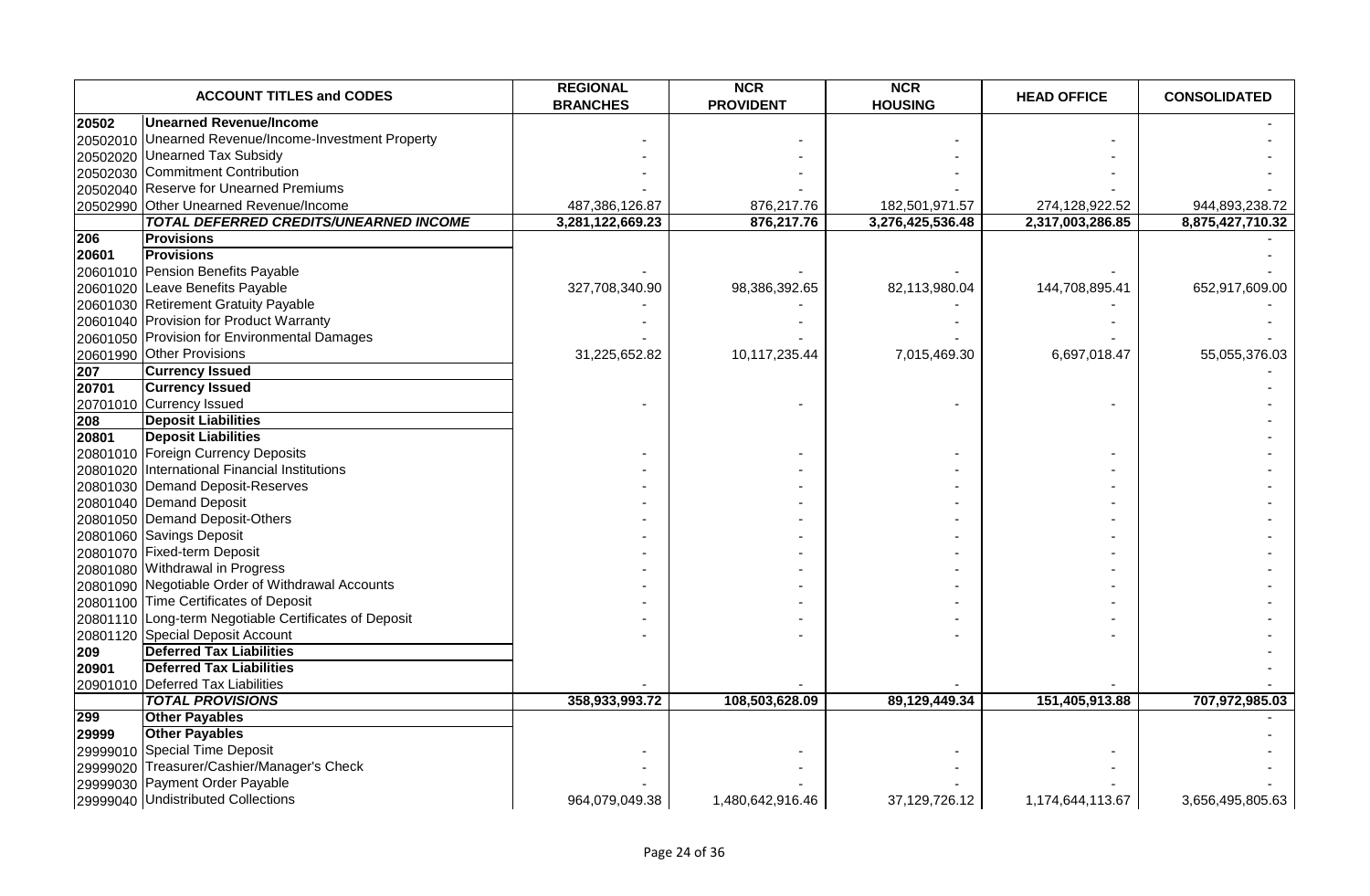|          | <b>ACCOUNT TITLES and CODES</b>                       | <b>REGIONAL</b><br><b>BRANCHES</b> | <b>NCR</b><br><b>PROVIDENT</b> | <b>NCR</b><br><b>HOUSING</b> | <b>HEAD OFFICE</b> | <b>CONSOLIDATED</b> |
|----------|-------------------------------------------------------|------------------------------------|--------------------------------|------------------------------|--------------------|---------------------|
| 20502    | <b>Unearned Revenue/Income</b>                        |                                    |                                |                              |                    |                     |
|          | 20502010 Unearned Revenue/Income-Investment Property  |                                    |                                |                              |                    |                     |
|          | 20502020 Unearned Tax Subsidy                         |                                    |                                |                              |                    |                     |
|          | 20502030 Commitment Contribution                      |                                    |                                |                              |                    |                     |
|          | 20502040 Reserve for Unearned Premiums                |                                    |                                |                              |                    |                     |
|          | 20502990 Other Unearned Revenue/Income                | 487,386,126.87                     | 876,217.76                     | 182,501,971.57               | 274,128,922.52     | 944,893,238.72      |
|          | <b>TOTAL DEFERRED CREDITS/UNEARNED INCOME</b>         | 3,281,122,669.23                   | 876,217.76                     | 3,276,425,536.48             | 2,317,003,286.85   | 8,875,427,710.32    |
| 206      | <b>Provisions</b>                                     |                                    |                                |                              |                    |                     |
| 20601    | <b>Provisions</b>                                     |                                    |                                |                              |                    |                     |
|          | 20601010 Pension Benefits Payable                     |                                    |                                |                              |                    |                     |
|          | 20601020 Leave Benefits Payable                       | 327,708,340.90                     | 98,386,392.65                  | 82,113,980.04                | 144,708,895.41     | 652,917,609.00      |
|          | 20601030 Retirement Gratuity Payable                  |                                    |                                |                              |                    |                     |
|          | 20601040 Provision for Product Warranty               |                                    |                                |                              |                    |                     |
|          | 20601050 Provision for Environmental Damages          |                                    |                                |                              |                    |                     |
|          | 20601990 Other Provisions                             | 31,225,652.82                      | 10,117,235.44                  | 7,015,469.30                 | 6,697,018.47       | 55,055,376.03       |
| 207      | <b>Currency Issued</b>                                |                                    |                                |                              |                    |                     |
| 20701    | <b>Currency Issued</b>                                |                                    |                                |                              |                    |                     |
|          | 20701010 Currency Issued                              |                                    |                                |                              |                    |                     |
| 208      | <b>Deposit Liabilities</b>                            |                                    |                                |                              |                    |                     |
| 20801    | <b>Deposit Liabilities</b>                            |                                    |                                |                              |                    |                     |
|          | 20801010 Foreign Currency Deposits                    |                                    |                                |                              |                    |                     |
|          | 20801020 International Financial Institutions         |                                    |                                |                              |                    |                     |
|          | 20801030 Demand Deposit-Reserves                      |                                    |                                |                              |                    |                     |
|          | 20801040 Demand Deposit                               |                                    |                                |                              |                    |                     |
|          | 20801050 Demand Deposit-Others                        |                                    |                                |                              |                    |                     |
|          | 20801060 Savings Deposit                              |                                    |                                |                              |                    |                     |
|          | 20801070 Fixed-term Deposit                           |                                    |                                |                              |                    |                     |
|          | 20801080 Withdrawal in Progress                       |                                    |                                |                              |                    |                     |
|          | 20801090 Negotiable Order of Withdrawal Accounts      |                                    |                                |                              |                    |                     |
|          | 20801100 Time Certificates of Deposit                 |                                    |                                |                              |                    |                     |
|          | 20801110 Long-term Negotiable Certificates of Deposit |                                    |                                |                              |                    |                     |
|          | 20801120 Special Deposit Account                      |                                    |                                |                              |                    |                     |
| 209      | <b>Deferred Tax Liabilities</b>                       |                                    |                                |                              |                    |                     |
| 20901    | <b>Deferred Tax Liabilities</b>                       |                                    |                                |                              |                    |                     |
|          | 20901010   Deferred Tax Liabilities                   |                                    |                                |                              |                    |                     |
|          | <b>TOTAL PROVISIONS</b>                               | 358,933,993.72                     | 108,503,628.09                 | 89,129,449.34                | 151,405,913.88     | 707,972,985.03      |
| 299      | <b>Other Payables</b>                                 |                                    |                                |                              |                    |                     |
| 29999    | <b>Other Payables</b>                                 |                                    |                                |                              |                    |                     |
|          | 29999010 Special Time Deposit                         |                                    |                                |                              |                    |                     |
| 29999020 | Treasurer/Cashier/Manager's Check                     |                                    |                                |                              |                    |                     |
| 29999030 | Payment Order Payable                                 |                                    |                                |                              |                    |                     |
|          | 29999040 Undistributed Collections                    | 964.079.049.38                     | 1,480,642,916.46               | 37,129,726.12                | 1,174,644,113.67   | 3,656,495,805.63    |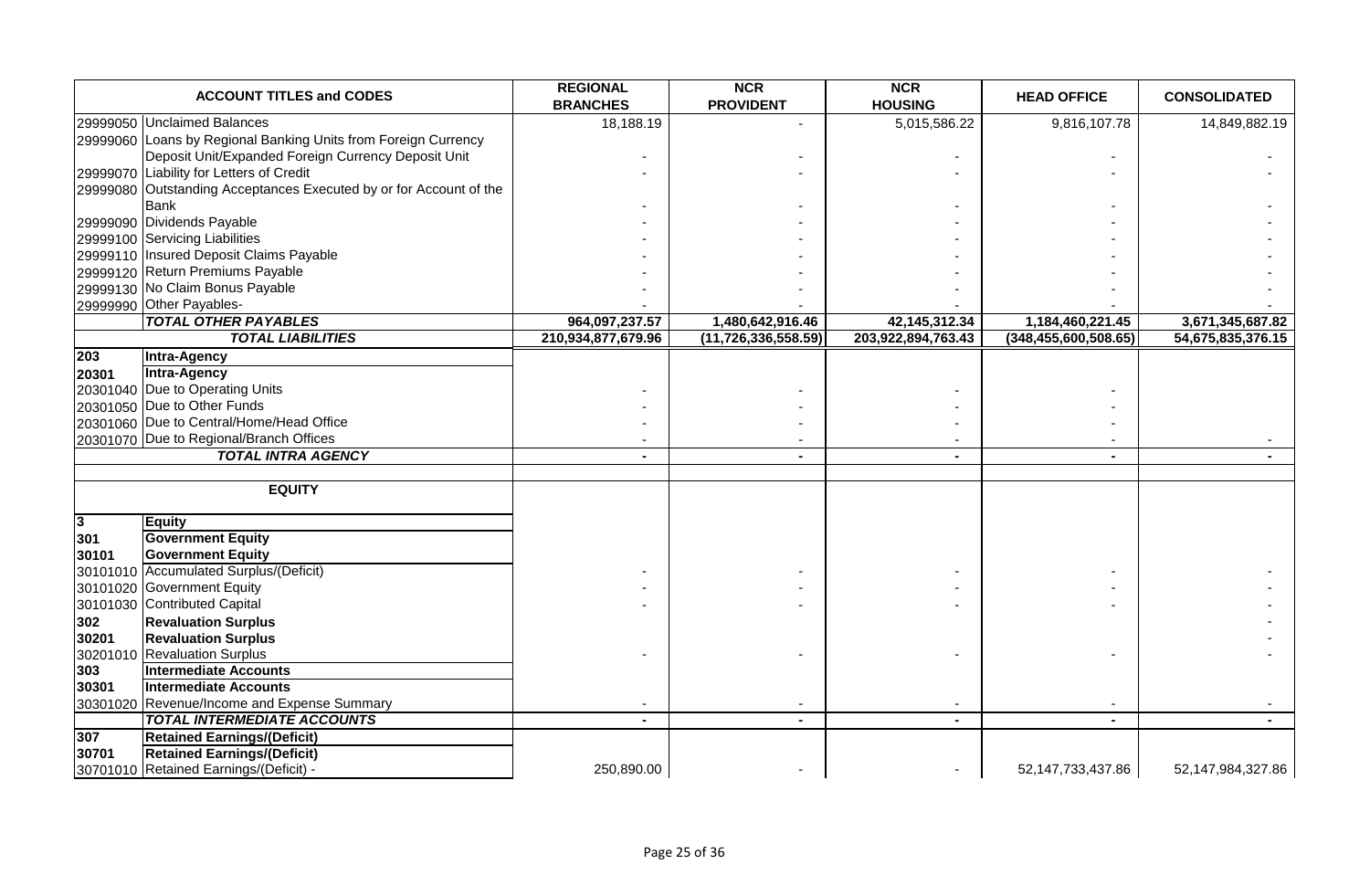|                | <b>ACCOUNT TITLES and CODES</b>                                    | <b>REGIONAL</b><br><b>BRANCHES</b> | <b>NCR</b><br><b>PROVIDENT</b> | <b>NCR</b><br><b>HOUSING</b> | <b>HEAD OFFICE</b>      | <b>CONSOLIDATED</b> |
|----------------|--------------------------------------------------------------------|------------------------------------|--------------------------------|------------------------------|-------------------------|---------------------|
|                | 29999050 Unclaimed Balances                                        | 18,188.19                          |                                | 5,015,586.22                 | 9,816,107.78            | 14,849,882.19       |
|                | 29999060 Loans by Regional Banking Units from Foreign Currency     |                                    |                                |                              |                         |                     |
|                | Deposit Unit/Expanded Foreign Currency Deposit Unit                |                                    |                                |                              |                         |                     |
|                | 29999070 Liability for Letters of Credit                           |                                    |                                |                              |                         |                     |
|                | 29999080 Outstanding Acceptances Executed by or for Account of the |                                    |                                |                              |                         |                     |
|                | <b>Bank</b>                                                        |                                    |                                |                              |                         |                     |
|                | 29999090 Dividends Payable                                         |                                    |                                |                              |                         |                     |
|                | 29999100 Servicing Liabilities                                     |                                    |                                |                              |                         |                     |
|                | 29999110 Insured Deposit Claims Payable                            |                                    |                                |                              |                         |                     |
|                | 29999120 Return Premiums Payable                                   |                                    |                                |                              |                         |                     |
|                | 29999130 No Claim Bonus Payable                                    |                                    |                                |                              |                         |                     |
|                | 29999990 Other Payables-                                           |                                    |                                |                              |                         |                     |
|                | <b>TOTAL OTHER PAYABLES</b>                                        | 964,097,237.57                     | 1,480,642,916.46               | 42, 145, 312. 34             | 1,184,460,221.45        | 3,671,345,687.82    |
|                | <b>TOTAL LIABILITIES</b>                                           | 210,934,877,679.96                 | (11, 726, 336, 558.59)         | 203,922,894,763.43           | (348, 455, 600, 508.65) | 54,675,835,376.15   |
| 203            | Intra-Agency                                                       |                                    |                                |                              |                         |                     |
| 20301          | <b>Intra-Agency</b>                                                |                                    |                                |                              |                         |                     |
|                | 20301040 Due to Operating Units                                    |                                    |                                |                              |                         |                     |
|                | 20301050 Due to Other Funds                                        |                                    |                                |                              |                         |                     |
|                | 20301060 Due to Central/Home/Head Office                           |                                    |                                |                              |                         |                     |
|                | 20301070 Due to Regional/Branch Offices                            |                                    |                                |                              |                         |                     |
|                | <b>TOTAL INTRA AGENCY</b>                                          |                                    |                                | ۰                            |                         |                     |
|                | <b>EQUITY</b>                                                      |                                    |                                |                              |                         |                     |
| $\overline{3}$ | <b>Equity</b>                                                      |                                    |                                |                              |                         |                     |
| 301            | <b>Government Equity</b>                                           |                                    |                                |                              |                         |                     |
| 30101          | <b>Government Equity</b>                                           |                                    |                                |                              |                         |                     |
|                | 30101010 Accumulated Surplus/(Deficit)                             |                                    |                                |                              |                         |                     |
|                | 30101020 Government Equity                                         |                                    |                                |                              |                         |                     |
|                | 30101030 Contributed Capital                                       |                                    |                                |                              |                         |                     |
| 302            | <b>Revaluation Surplus</b>                                         |                                    |                                |                              |                         |                     |
| 30201          | <b>Revaluation Surplus</b>                                         |                                    |                                |                              |                         |                     |
|                | 30201010 Revaluation Surplus                                       |                                    |                                |                              |                         |                     |
| 303            | <b>Intermediate Accounts</b>                                       |                                    |                                |                              |                         |                     |
| 30301          | <b>Intermediate Accounts</b>                                       |                                    |                                |                              |                         |                     |
|                | 30301020 Revenue/Income and Expense Summary                        |                                    |                                |                              |                         |                     |
|                | <b>TOTAL INTERMEDIATE ACCOUNTS</b>                                 | $\blacksquare$                     | $\blacksquare$                 | $\sim$                       | $\blacksquare$          |                     |
| 307            | <b>Retained Earnings/(Deficit)</b>                                 |                                    |                                |                              |                         |                     |
| 30701          | <b>Retained Earnings/(Deficit)</b>                                 |                                    |                                |                              |                         |                     |
|                | 30701010 Retained Earnings/(Deficit) -                             | 250,890.00                         |                                |                              | 52,147,733,437.86       | 52,147,984,327.86   |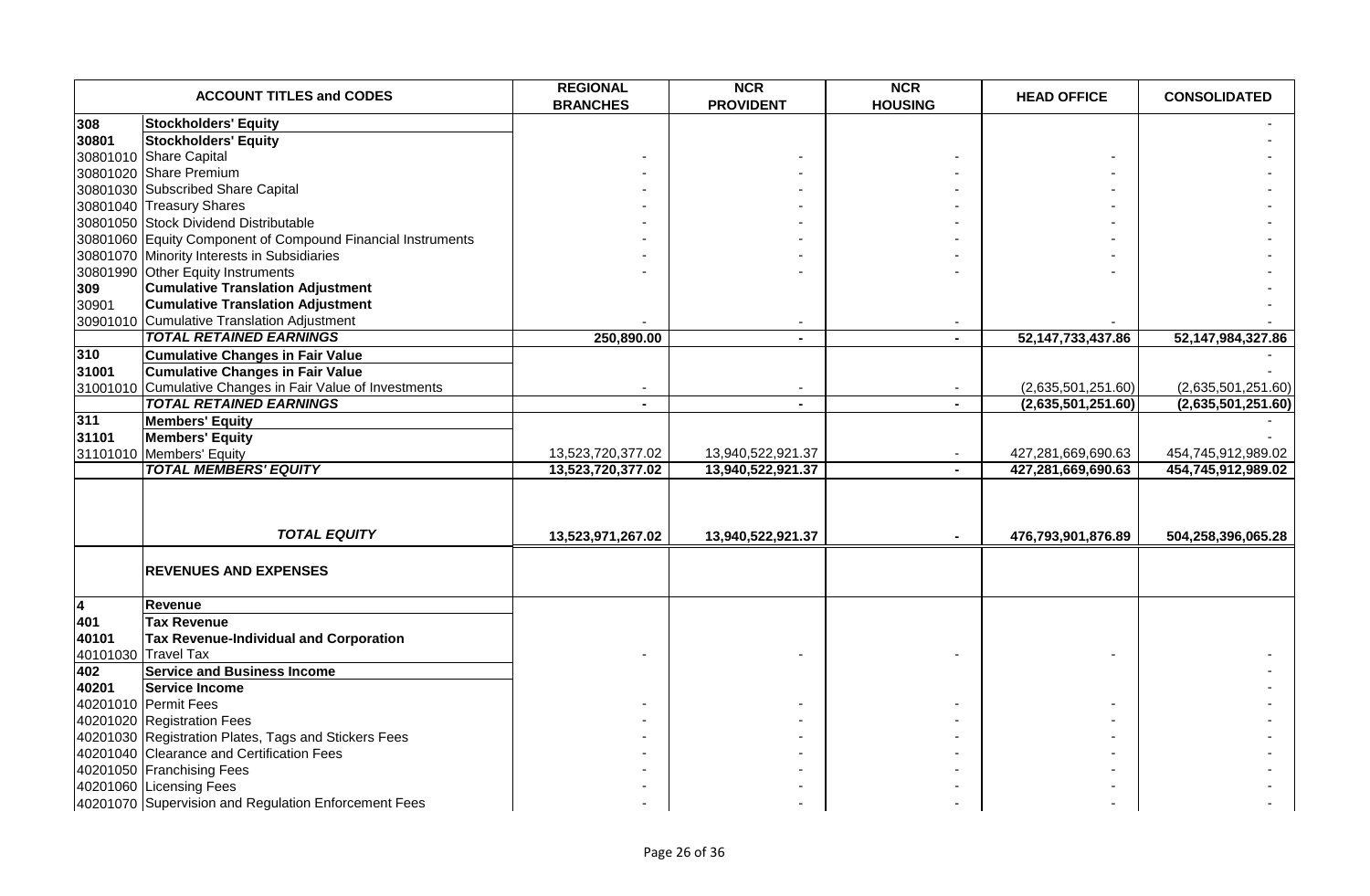|                         | <b>ACCOUNT TITLES and CODES</b>                             | <b>REGIONAL</b><br><b>BRANCHES</b> | <b>NCR</b><br><b>PROVIDENT</b> | <b>NCR</b><br><b>HOUSING</b> | <b>HEAD OFFICE</b>   | <b>CONSOLIDATED</b> |
|-------------------------|-------------------------------------------------------------|------------------------------------|--------------------------------|------------------------------|----------------------|---------------------|
| 308                     | <b>Stockholders' Equity</b>                                 |                                    |                                |                              |                      |                     |
| 30801                   | <b>Stockholders' Equity</b>                                 |                                    |                                |                              |                      |                     |
|                         | 30801010 Share Capital                                      |                                    |                                |                              |                      |                     |
|                         | 30801020 Share Premium                                      |                                    |                                |                              |                      |                     |
|                         | 30801030 Subscribed Share Capital                           |                                    |                                |                              |                      |                     |
|                         | 30801040 Treasury Shares                                    |                                    |                                |                              |                      |                     |
|                         | 30801050 Stock Dividend Distributable                       |                                    |                                |                              |                      |                     |
|                         | 30801060 Equity Component of Compound Financial Instruments |                                    |                                |                              |                      |                     |
|                         | 30801070 Minority Interests in Subsidiaries                 |                                    |                                |                              |                      |                     |
|                         | 30801990 Other Equity Instruments                           |                                    |                                |                              |                      |                     |
| 309                     | <b>Cumulative Translation Adjustment</b>                    |                                    |                                |                              |                      |                     |
| 30901                   | <b>Cumulative Translation Adjustment</b>                    |                                    |                                |                              |                      |                     |
|                         | 30901010 Cumulative Translation Adjustment                  |                                    |                                |                              |                      |                     |
|                         | <b>TOTAL RETAINED EARNINGS</b>                              | 250,890.00                         |                                | $\sim$                       | 52, 147, 733, 437.86 | 52,147,984,327.86   |
| 310                     | <b>Cumulative Changes in Fair Value</b>                     |                                    |                                |                              |                      |                     |
| 31001                   | <b>Cumulative Changes in Fair Value</b>                     |                                    |                                |                              |                      |                     |
|                         | 31001010 Cumulative Changes in Fair Value of Investments    |                                    |                                | $\sim$                       | (2,635,501,251.60)   | (2,635,501,251.60)  |
|                         | <b>TOTAL RETAINED EARNINGS</b>                              |                                    |                                | $\blacksquare$               | (2,635,501,251.60)   | (2,635,501,251.60)  |
| 311                     | <b>Members' Equity</b>                                      |                                    |                                |                              |                      |                     |
| 31101                   | <b>Members' Equity</b>                                      |                                    |                                |                              |                      |                     |
|                         | 31101010 Members' Equity                                    | 13,523,720,377.02                  | 13,940,522,921.37              |                              | 427,281,669,690.63   | 454,745,912,989.02  |
|                         | <b>TOTAL MEMBERS' EQUITY</b>                                | 13,523,720,377.02                  | 13,940,522,921.37              |                              | 427,281,669,690.63   | 454,745,912,989.02  |
|                         |                                                             |                                    |                                |                              |                      |                     |
|                         | <b>TOTAL EQUITY</b>                                         | 13,523,971,267.02                  | 13,940,522,921.37              |                              | 476,793,901,876.89   | 504,258,396,065.28  |
|                         | <b>REVENUES AND EXPENSES</b>                                |                                    |                                |                              |                      |                     |
| $\overline{\mathbf{A}}$ | Revenue                                                     |                                    |                                |                              |                      |                     |
| 401                     | <b>Tax Revenue</b>                                          |                                    |                                |                              |                      |                     |
| 40101                   | Tax Revenue-Individual and Corporation                      |                                    |                                |                              |                      |                     |
|                         | 40101030 Travel Tax                                         |                                    |                                |                              |                      |                     |
| 402                     | <b>Service and Business Income</b>                          |                                    |                                |                              |                      |                     |
| 40201                   | <b>Service Income</b>                                       |                                    |                                |                              |                      |                     |
|                         | 40201010 Permit Fees                                        |                                    |                                |                              |                      |                     |
|                         | 40201020 Registration Fees                                  |                                    |                                |                              |                      |                     |
|                         | 40201030 Registration Plates, Tags and Stickers Fees        |                                    |                                |                              |                      |                     |
|                         | 40201040 Clearance and Certification Fees                   |                                    |                                |                              |                      |                     |
|                         | 40201050 Franchising Fees                                   |                                    |                                |                              |                      |                     |
|                         | 40201060 Licensing Fees                                     |                                    |                                |                              |                      |                     |
|                         | 40201070 Supervision and Regulation Enforcement Fees        |                                    |                                |                              |                      |                     |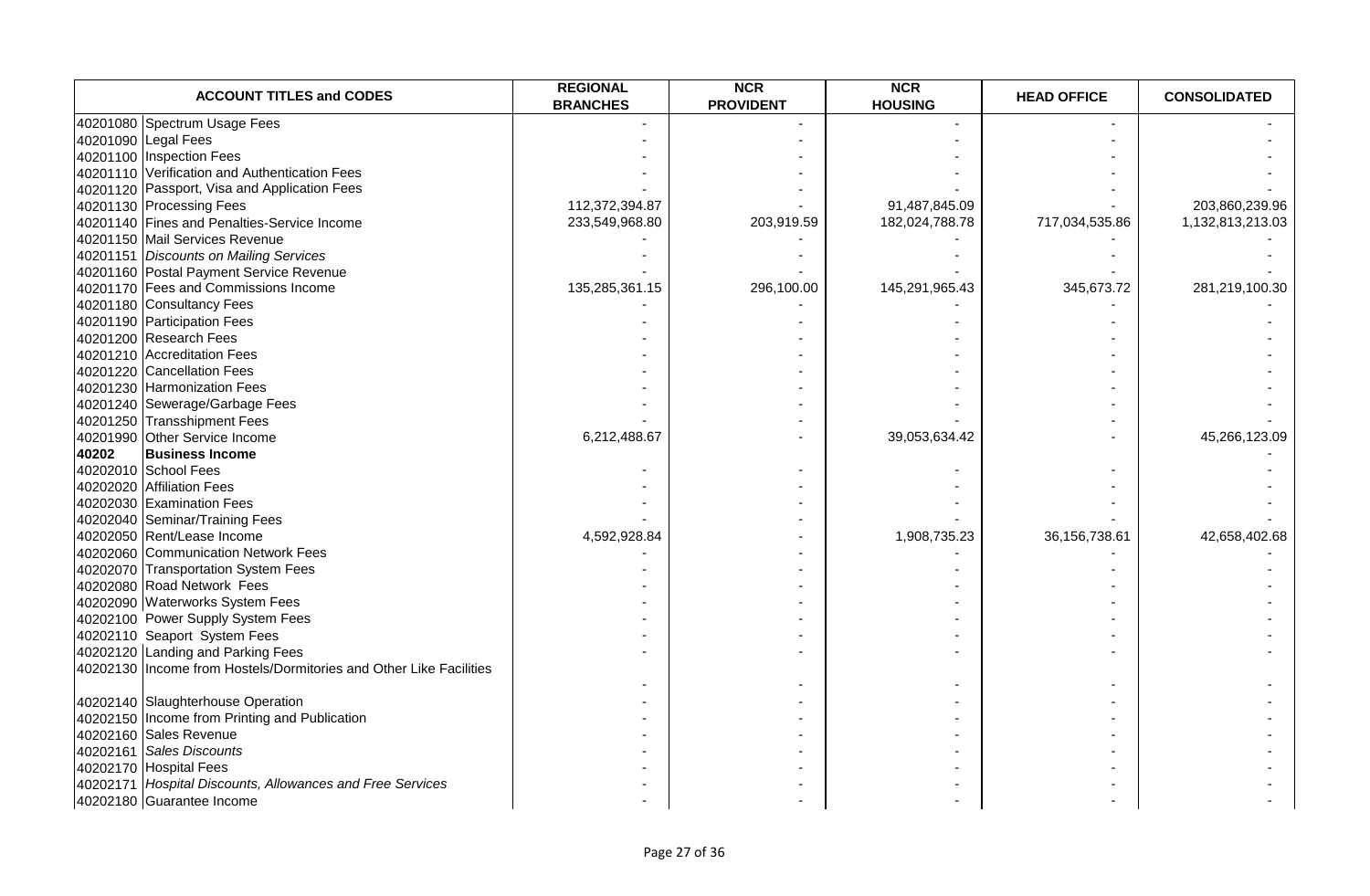| <b>ACCOUNT TITLES and CODES</b>                                    | <b>REGIONAL</b><br><b>BRANCHES</b> | <b>NCR</b><br><b>PROVIDENT</b> | <b>NCR</b><br><b>HOUSING</b> | <b>HEAD OFFICE</b> | <b>CONSOLIDATED</b> |
|--------------------------------------------------------------------|------------------------------------|--------------------------------|------------------------------|--------------------|---------------------|
| 40201080 Spectrum Usage Fees                                       |                                    |                                |                              |                    |                     |
| 40201090 Legal Fees                                                |                                    |                                |                              |                    |                     |
| 40201100 Inspection Fees                                           |                                    |                                |                              |                    |                     |
| 40201110 Verification and Authentication Fees                      |                                    |                                |                              |                    |                     |
| 40201120 Passport, Visa and Application Fees                       |                                    |                                |                              |                    |                     |
| 40201130 Processing Fees                                           | 112,372,394.87                     |                                | 91,487,845.09                |                    | 203,860,239.96      |
| 40201140 Fines and Penalties-Service Income                        | 233,549,968.80                     | 203,919.59                     | 182,024,788.78               | 717,034,535.86     | 1,132,813,213.03    |
| 40201150 Mail Services Revenue                                     |                                    |                                |                              |                    |                     |
| 40201151 Discounts on Mailing Services                             |                                    |                                |                              |                    |                     |
| 40201160 Postal Payment Service Revenue                            |                                    |                                |                              |                    |                     |
| 40201170 Fees and Commissions Income                               | 135,285,361.15                     | 296,100.00                     | 145,291,965.43               | 345,673.72         | 281,219,100.30      |
| 40201180 Consultancy Fees                                          |                                    |                                |                              |                    |                     |
| 40201190 Participation Fees                                        |                                    |                                |                              |                    |                     |
| 40201200 Research Fees                                             |                                    |                                |                              |                    |                     |
| 40201210 Accreditation Fees                                        |                                    |                                |                              |                    |                     |
| 40201220 Cancellation Fees                                         |                                    |                                |                              |                    |                     |
| 40201230 Harmonization Fees                                        |                                    |                                |                              |                    |                     |
| 40201240 Sewerage/Garbage Fees                                     |                                    |                                |                              |                    |                     |
| 40201250 Transshipment Fees                                        |                                    |                                |                              |                    |                     |
| 40201990 Other Service Income                                      | 6,212,488.67                       |                                | 39,053,634.42                |                    | 45,266,123.09       |
| 40202<br><b>Business Income</b>                                    |                                    |                                |                              |                    |                     |
| 40202010 School Fees                                               |                                    |                                |                              |                    |                     |
| 40202020 Affiliation Fees                                          |                                    |                                |                              |                    |                     |
| 40202030 Examination Fees                                          |                                    |                                |                              |                    |                     |
| 40202040 Seminar/Training Fees                                     |                                    |                                |                              |                    |                     |
| 40202050 Rent/Lease Income                                         | 4,592,928.84                       |                                | 1,908,735.23                 | 36, 156, 738. 61   | 42,658,402.68       |
| 40202060 Communication Network Fees                                |                                    |                                |                              |                    |                     |
| 40202070 Transportation System Fees                                |                                    |                                |                              |                    |                     |
| 40202080 Road Network Fees                                         |                                    |                                |                              |                    |                     |
| 40202090 Waterworks System Fees                                    |                                    |                                |                              |                    |                     |
| 40202100 Power Supply System Fees                                  |                                    |                                |                              |                    |                     |
| 40202110 Seaport System Fees                                       |                                    |                                |                              |                    |                     |
| 40202120 Landing and Parking Fees                                  |                                    |                                |                              |                    |                     |
| 40202130 Income from Hostels/Dormitories and Other Like Facilities |                                    |                                |                              |                    |                     |
| 40202140 Slaughterhouse Operation                                  |                                    |                                |                              |                    |                     |
| 40202150 Income from Printing and Publication                      |                                    |                                |                              |                    |                     |
| 40202160 Sales Revenue                                             |                                    |                                |                              |                    |                     |
| 40202161 Sales Discounts                                           |                                    |                                |                              |                    |                     |
| 40202170 Hospital Fees                                             |                                    |                                |                              |                    |                     |
| 40202171 Hospital Discounts, Allowances and Free Services          |                                    |                                |                              |                    |                     |
| 40202180 Guarantee Income                                          |                                    |                                |                              |                    |                     |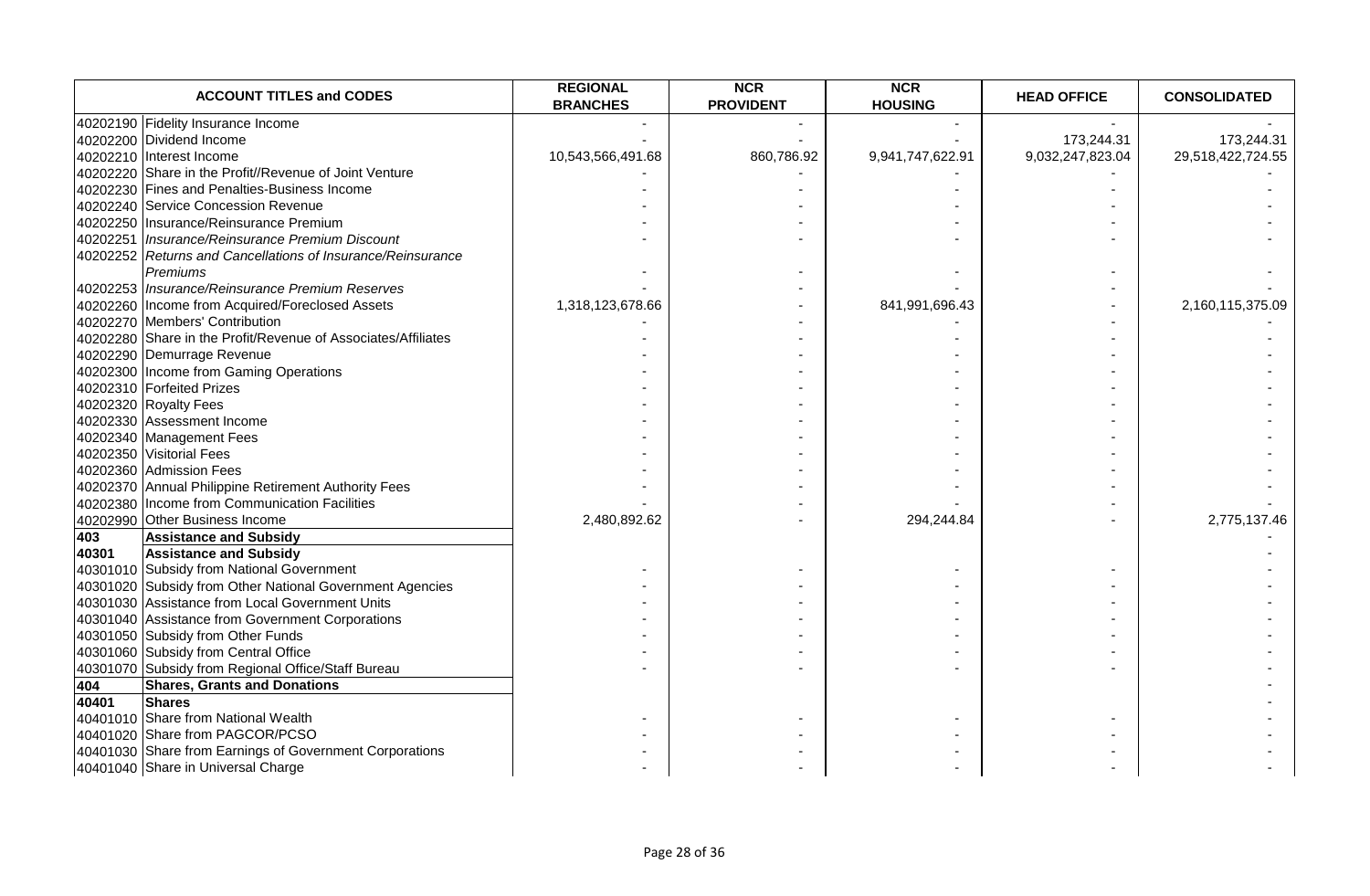|       | <b>ACCOUNT TITLES and CODES</b>                               | <b>REGIONAL</b><br><b>BRANCHES</b> | <b>NCR</b><br><b>PROVIDENT</b> | <b>NCR</b><br><b>HOUSING</b> | <b>HEAD OFFICE</b> | <b>CONSOLIDATED</b> |
|-------|---------------------------------------------------------------|------------------------------------|--------------------------------|------------------------------|--------------------|---------------------|
|       | 40202190 Fidelity Insurance Income                            |                                    |                                |                              |                    |                     |
|       | 40202200 Dividend Income                                      |                                    |                                |                              | 173,244.31         | 173,244.31          |
|       | 40202210 Interest Income                                      | 10,543,566,491.68                  | 860,786.92                     | 9,941,747,622.91             | 9,032,247,823.04   | 29,518,422,724.55   |
|       | 40202220 Share in the Profit//Revenue of Joint Venture        |                                    |                                |                              |                    |                     |
|       | 40202230 Fines and Penalties-Business Income                  |                                    |                                |                              |                    |                     |
|       | 40202240 Service Concession Revenue                           |                                    |                                |                              |                    |                     |
|       | 40202250 Insurance/Reinsurance Premium                        |                                    |                                |                              |                    |                     |
|       | 40202251 Insurance/Reinsurance Premium Discount               |                                    |                                |                              |                    |                     |
|       | 40202252 Returns and Cancellations of Insurance/Reinsurance   |                                    |                                |                              |                    |                     |
|       | Premiums                                                      |                                    |                                |                              |                    |                     |
|       | 40202253 Insurance/Reinsurance Premium Reserves               |                                    |                                |                              |                    |                     |
|       | 40202260 Income from Acquired/Foreclosed Assets               | 1,318,123,678.66                   |                                | 841,991,696.43               |                    | 2,160,115,375.09    |
|       | 40202270 Members' Contribution                                |                                    |                                |                              |                    |                     |
|       | 40202280 Share in the Profit/Revenue of Associates/Affiliates |                                    |                                |                              |                    |                     |
|       | 40202290 Demurrage Revenue                                    |                                    |                                |                              |                    |                     |
|       | 40202300 Income from Gaming Operations                        |                                    |                                |                              |                    |                     |
|       | 40202310 Forfeited Prizes                                     |                                    |                                |                              |                    |                     |
|       | 40202320 Royalty Fees                                         |                                    |                                |                              |                    |                     |
|       | 40202330 Assessment Income                                    |                                    |                                |                              |                    |                     |
|       | 40202340 Management Fees                                      |                                    |                                |                              |                    |                     |
|       | 40202350 Visitorial Fees                                      |                                    |                                |                              |                    |                     |
|       | 40202360 Admission Fees                                       |                                    |                                |                              |                    |                     |
|       | 40202370 Annual Philippine Retirement Authority Fees          |                                    |                                |                              |                    |                     |
|       | 40202380 Income from Communication Facilities                 |                                    |                                |                              |                    |                     |
|       | 40202990 Other Business Income                                | 2,480,892.62                       |                                | 294,244.84                   |                    | 2,775,137.46        |
| 403   | <b>Assistance and Subsidy</b>                                 |                                    |                                |                              |                    |                     |
| 40301 | <b>Assistance and Subsidy</b>                                 |                                    |                                |                              |                    |                     |
|       | 40301010 Subsidy from National Government                     |                                    |                                |                              |                    |                     |
|       | 40301020 Subsidy from Other National Government Agencies      |                                    |                                |                              |                    |                     |
|       | 40301030 Assistance from Local Government Units               |                                    |                                |                              |                    |                     |
|       | 40301040 Assistance from Government Corporations              |                                    |                                |                              |                    |                     |
|       | 40301050 Subsidy from Other Funds                             |                                    |                                |                              |                    |                     |
|       | 40301060 Subsidy from Central Office                          |                                    |                                |                              |                    |                     |
|       | 40301070 Subsidy from Regional Office/Staff Bureau            |                                    |                                |                              |                    |                     |
| 404   | <b>Shares, Grants and Donations</b>                           |                                    |                                |                              |                    |                     |
| 40401 | <b>Shares</b>                                                 |                                    |                                |                              |                    |                     |
|       | 40401010 Share from National Wealth                           |                                    |                                |                              |                    |                     |
|       | 40401020 Share from PAGCOR/PCSO                               |                                    |                                |                              |                    |                     |
|       | 40401030 Share from Earnings of Government Corporations       |                                    |                                |                              |                    |                     |
|       | 40401040 Share in Universal Charge                            |                                    |                                |                              |                    |                     |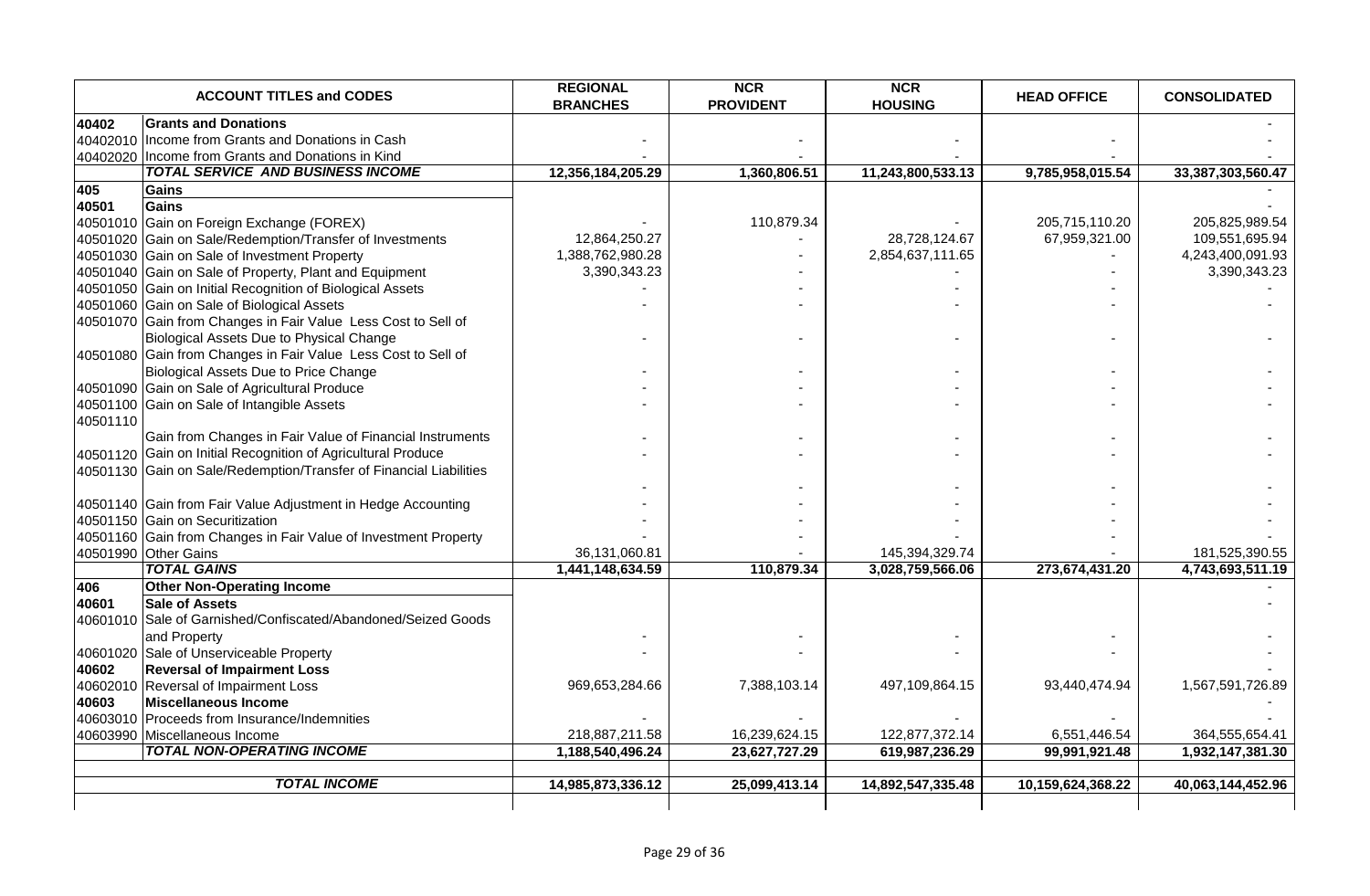|          | <b>ACCOUNT TITLES and CODES</b>                                    | <b>REGIONAL</b><br><b>BRANCHES</b> | <b>NCR</b><br><b>PROVIDENT</b> | <b>NCR</b><br><b>HOUSING</b> | <b>HEAD OFFICE</b> | <b>CONSOLIDATED</b> |
|----------|--------------------------------------------------------------------|------------------------------------|--------------------------------|------------------------------|--------------------|---------------------|
| 40402    | <b>Grants and Donations</b>                                        |                                    |                                |                              |                    |                     |
|          | 40402010 Income from Grants and Donations in Cash                  |                                    |                                |                              |                    |                     |
|          | 40402020 Income from Grants and Donations in Kind                  |                                    |                                |                              |                    |                     |
|          | <b>TOTAL SERVICE AND BUSINESS INCOME</b>                           | 12,356,184,205.29                  | 1,360,806.51                   | 11,243,800,533.13            | 9,785,958,015.54   | 33,387,303,560.47   |
| 405      | <b>Gains</b>                                                       |                                    |                                |                              |                    |                     |
| 40501    | Gains                                                              |                                    |                                |                              |                    |                     |
|          | 40501010 Gain on Foreign Exchange (FOREX)                          |                                    | 110,879.34                     |                              | 205,715,110.20     | 205,825,989.54      |
|          | 40501020 Gain on Sale/Redemption/Transfer of Investments           | 12,864,250.27                      |                                | 28,728,124.67                | 67,959,321.00      | 109,551,695.94      |
|          | 40501030 Gain on Sale of Investment Property                       | 1,388,762,980.28                   |                                | 2,854,637,111.65             |                    | 4,243,400,091.93    |
|          | 40501040 Gain on Sale of Property, Plant and Equipment             | 3,390,343.23                       |                                |                              |                    | 3,390,343.23        |
|          | 40501050 Gain on Initial Recognition of Biological Assets          |                                    |                                |                              |                    |                     |
|          | 40501060 Gain on Sale of Biological Assets                         |                                    |                                |                              |                    |                     |
|          | 40501070 Gain from Changes in Fair Value Less Cost to Sell of      |                                    |                                |                              |                    |                     |
|          | Biological Assets Due to Physical Change                           |                                    |                                |                              |                    |                     |
|          | 40501080 Gain from Changes in Fair Value Less Cost to Sell of      |                                    |                                |                              |                    |                     |
|          | Biological Assets Due to Price Change                              |                                    |                                |                              |                    |                     |
|          | 40501090 Gain on Sale of Agricultural Produce                      |                                    |                                |                              |                    |                     |
|          | 40501100 Gain on Sale of Intangible Assets                         |                                    |                                |                              |                    |                     |
| 40501110 |                                                                    |                                    |                                |                              |                    |                     |
|          | Gain from Changes in Fair Value of Financial Instruments           |                                    |                                |                              |                    |                     |
|          | 40501120 Gain on Initial Recognition of Agricultural Produce       |                                    |                                |                              |                    |                     |
|          | 40501130 Gain on Sale/Redemption/Transfer of Financial Liabilities |                                    |                                |                              |                    |                     |
|          |                                                                    |                                    |                                |                              |                    |                     |
|          | 40501140 Gain from Fair Value Adjustment in Hedge Accounting       |                                    |                                |                              |                    |                     |
|          | 40501150 Gain on Securitization                                    |                                    |                                |                              |                    |                     |
|          | 40501160 Gain from Changes in Fair Value of Investment Property    |                                    |                                |                              |                    |                     |
|          | 40501990 Other Gains                                               | 36,131,060.81                      |                                | 145,394,329.74               |                    | 181,525,390.55      |
|          | <b>TOTAL GAINS</b>                                                 | 1,441,148,634.59                   | 110,879.34                     | 3,028,759,566.06             | 273,674,431.20     | 4,743,693,511.19    |
| 406      | <b>Other Non-Operating Income</b>                                  |                                    |                                |                              |                    |                     |
| 40601    | <b>Sale of Assets</b>                                              |                                    |                                |                              |                    |                     |
|          | 40601010 Sale of Garnished/Confiscated/Abandoned/Seized Goods      |                                    |                                |                              |                    |                     |
|          | and Property                                                       |                                    |                                |                              |                    |                     |
|          | 40601020 Sale of Unserviceable Property                            |                                    |                                |                              |                    |                     |
| 40602    | <b>Reversal of Impairment Loss</b>                                 |                                    |                                |                              |                    |                     |
|          | 40602010 Reversal of Impairment Loss                               | 969,653,284.66                     | 7,388,103.14                   | 497,109,864.15               | 93,440,474.94      | 1,567,591,726.89    |
| 40603    | Miscellaneous Income                                               |                                    |                                |                              |                    |                     |
|          | 40603010 Proceeds from Insurance/Indemnities                       |                                    |                                |                              |                    |                     |
|          | 40603990 Miscellaneous Income                                      | 218,887,211.58                     | 16,239,624.15                  | 122,877,372.14               | 6,551,446.54       | 364,555,654.41      |
|          | <b>TOTAL NON-OPERATING INCOME</b>                                  | 1,188,540,496.24                   | 23,627,727.29                  | 619,987,236.29               | 99,991,921.48      | 1,932,147,381.30    |
|          |                                                                    |                                    |                                |                              |                    |                     |
|          | <b>TOTAL INCOME</b>                                                | 14,985,873,336.12                  | 25,099,413.14                  | 14,892,547,335.48            | 10,159,624,368.22  | 40,063,144,452.96   |
|          |                                                                    |                                    |                                |                              |                    |                     |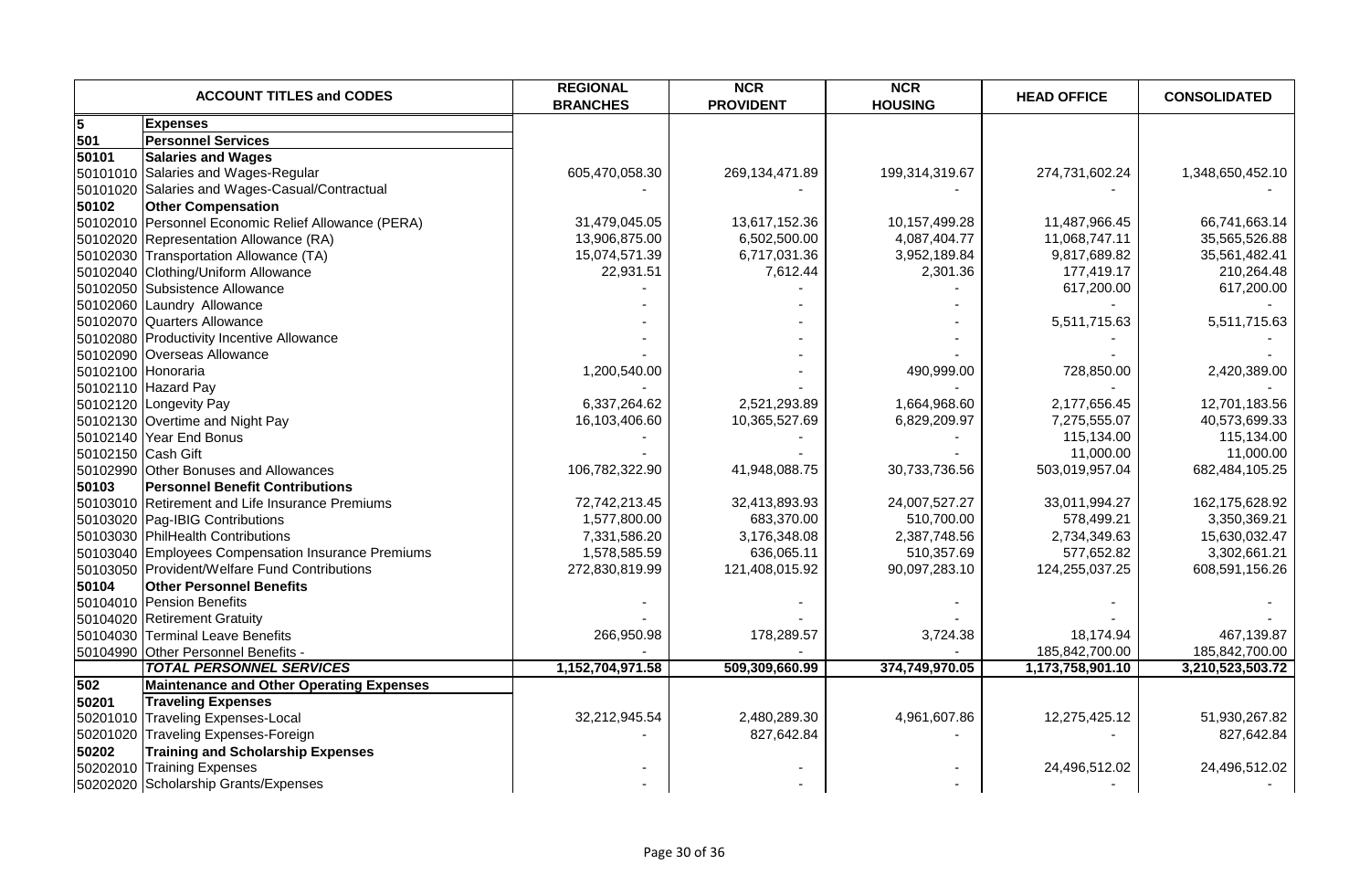|                    | <b>ACCOUNT TITLES and CODES</b>                     | <b>REGIONAL</b><br><b>BRANCHES</b> | <b>NCR</b><br><b>PROVIDENT</b> | <b>NCR</b><br><b>HOUSING</b> | <b>HEAD OFFICE</b> | <b>CONSOLIDATED</b> |
|--------------------|-----------------------------------------------------|------------------------------------|--------------------------------|------------------------------|--------------------|---------------------|
| 5                  | <b>Expenses</b>                                     |                                    |                                |                              |                    |                     |
| 501                | <b>Personnel Services</b>                           |                                    |                                |                              |                    |                     |
| 50101              | <b>Salaries and Wages</b>                           |                                    |                                |                              |                    |                     |
|                    | 50101010 Salaries and Wages-Regular                 | 605,470,058.30                     | 269,134,471.89                 | 199,314,319.67               | 274,731,602.24     | 1,348,650,452.10    |
|                    | 50101020 Salaries and Wages-Casual/Contractual      |                                    |                                |                              |                    |                     |
| 50102              | <b>Other Compensation</b>                           |                                    |                                |                              |                    |                     |
|                    | 50102010 Personnel Economic Relief Allowance (PERA) | 31,479,045.05                      | 13,617,152.36                  | 10,157,499.28                | 11,487,966.45      | 66,741,663.14       |
|                    | 50102020 Representation Allowance (RA)              | 13,906,875.00                      | 6,502,500.00                   | 4,087,404.77                 | 11,068,747.11      | 35,565,526.88       |
|                    | 50102030 Transportation Allowance (TA)              | 15,074,571.39                      | 6,717,031.36                   | 3,952,189.84                 | 9,817,689.82       | 35,561,482.41       |
|                    | 50102040 Clothing/Uniform Allowance                 | 22,931.51                          | 7,612.44                       | 2,301.36                     | 177,419.17         | 210,264.48          |
|                    | 50102050 Subsistence Allowance                      |                                    |                                |                              | 617,200.00         | 617,200.00          |
|                    | 50102060 Laundry Allowance                          |                                    |                                |                              |                    |                     |
|                    | 50102070 Quarters Allowance                         |                                    |                                |                              | 5,511,715.63       | 5,511,715.63        |
|                    | 50102080 Productivity Incentive Allowance           |                                    |                                |                              |                    |                     |
|                    | 50102090 Overseas Allowance                         |                                    |                                |                              |                    |                     |
|                    | 50102100 Honoraria                                  | 1,200,540.00                       |                                | 490,999.00                   | 728,850.00         | 2,420,389.00        |
|                    | 50102110 Hazard Pay                                 |                                    |                                |                              |                    |                     |
|                    | 50102120 Longevity Pay                              | 6,337,264.62                       | 2,521,293.89                   | 1,664,968.60                 | 2,177,656.45       | 12,701,183.56       |
|                    | 50102130 Overtime and Night Pay                     | 16,103,406.60                      | 10,365,527.69                  | 6,829,209.97                 | 7,275,555.07       | 40,573,699.33       |
|                    | 50102140 Year End Bonus                             |                                    |                                |                              | 115,134.00         | 115,134.00          |
| 50102150 Cash Gift |                                                     |                                    |                                |                              | 11,000.00          | 11,000.00           |
|                    | 50102990 Other Bonuses and Allowances               | 106,782,322.90                     | 41,948,088.75                  | 30,733,736.56                | 503,019,957.04     | 682,484,105.25      |
| 50103              | <b>Personnel Benefit Contributions</b>              |                                    |                                |                              |                    |                     |
|                    | 50103010 Retirement and Life Insurance Premiums     | 72,742,213.45                      | 32,413,893.93                  | 24,007,527.27                | 33,011,994.27      | 162,175,628.92      |
|                    | 50103020 Pag-IBIG Contributions                     | 1,577,800.00                       | 683,370.00                     | 510,700.00                   | 578,499.21         | 3,350,369.21        |
|                    | 50103030 PhilHealth Contributions                   | 7,331,586.20                       | 3,176,348.08                   | 2,387,748.56                 | 2,734,349.63       | 15,630,032.47       |
|                    | 50103040 Employees Compensation Insurance Premiums  | 1,578,585.59                       | 636,065.11                     | 510,357.69                   | 577,652.82         | 3,302,661.21        |
|                    | 50103050 Provident/Welfare Fund Contributions       | 272,830,819.99                     | 121,408,015.92                 | 90,097,283.10                | 124,255,037.25     | 608,591,156.26      |
| 50104              | <b>Other Personnel Benefits</b>                     |                                    |                                |                              |                    |                     |
|                    | 50104010 Pension Benefits                           |                                    |                                |                              |                    |                     |
|                    | 50104020 Retirement Gratuity                        |                                    |                                |                              |                    |                     |
|                    | 50104030 Terminal Leave Benefits                    | 266,950.98                         | 178,289.57                     | 3,724.38                     | 18,174.94          | 467,139.87          |
|                    | 50104990 Other Personnel Benefits -                 |                                    |                                |                              | 185,842,700.00     | 185,842,700.00      |
|                    | <b>TOTAL PERSONNEL SERVICES</b>                     | 1,152,704,971.58                   | 509,309,660.99                 | 374,749,970.05               | 1,173,758,901.10   | 3,210,523,503.72    |
| 502                | <b>Maintenance and Other Operating Expenses</b>     |                                    |                                |                              |                    |                     |
| 50201              | <b>Traveling Expenses</b>                           |                                    |                                |                              |                    |                     |
|                    | 50201010 Traveling Expenses-Local                   | 32,212,945.54                      | 2,480,289.30                   | 4,961,607.86                 | 12,275,425.12      | 51,930,267.82       |
|                    | 50201020 Traveling Expenses-Foreign                 |                                    | 827,642.84                     |                              |                    | 827,642.84          |
| 50202              | <b>Training and Scholarship Expenses</b>            |                                    |                                |                              |                    |                     |
|                    | 50202010 Training Expenses                          |                                    |                                |                              | 24,496,512.02      | 24,496,512.02       |
|                    | 50202020 Scholarship Grants/Expenses                |                                    |                                |                              |                    |                     |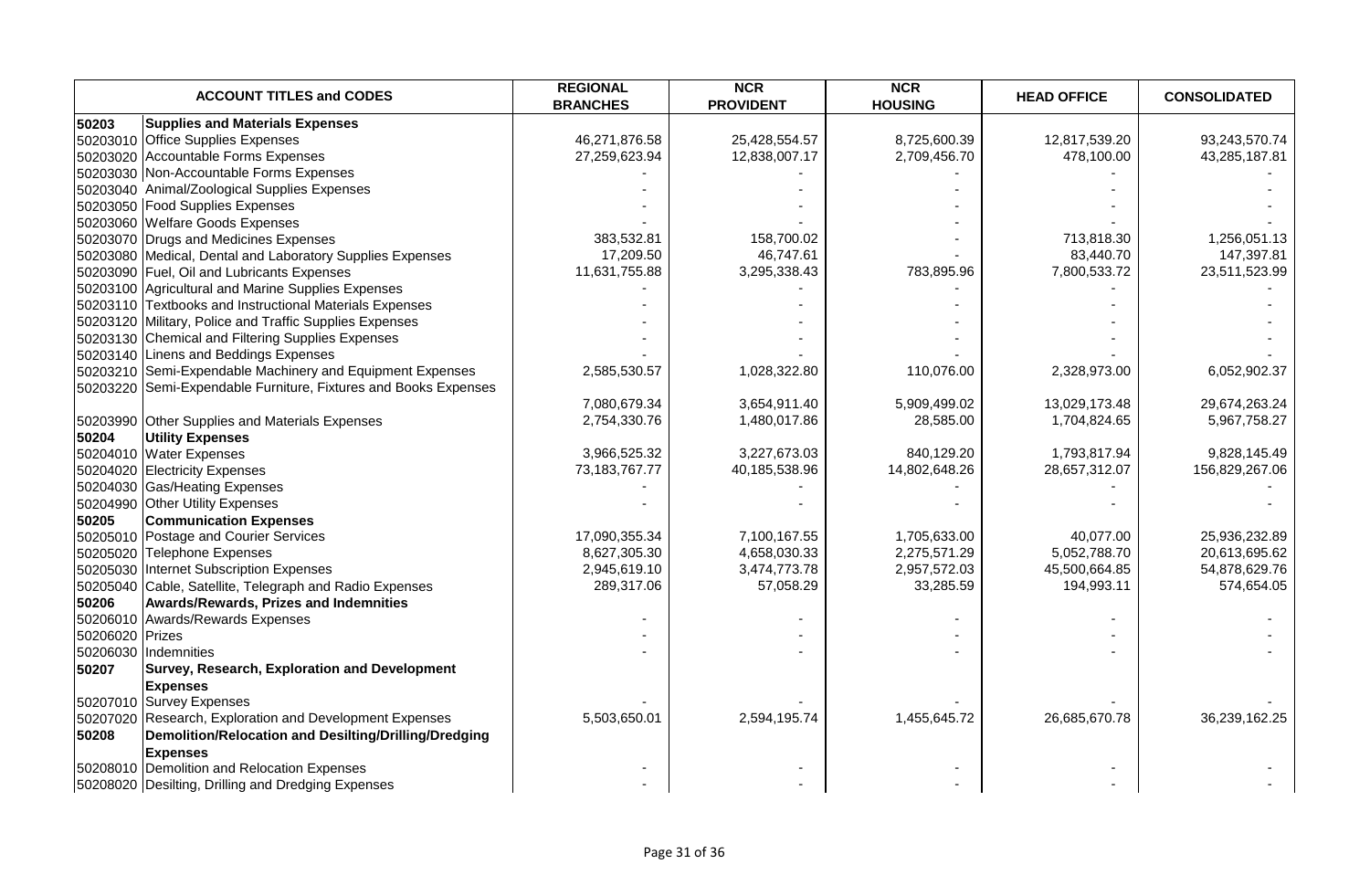|                 | <b>ACCOUNT TITLES and CODES</b>                              | <b>REGIONAL</b><br><b>BRANCHES</b> | <b>NCR</b><br><b>PROVIDENT</b> | <b>NCR</b><br><b>HOUSING</b> | <b>HEAD OFFICE</b> | <b>CONSOLIDATED</b> |
|-----------------|--------------------------------------------------------------|------------------------------------|--------------------------------|------------------------------|--------------------|---------------------|
| 50203           | <b>Supplies and Materials Expenses</b>                       |                                    |                                |                              |                    |                     |
|                 | 50203010 Office Supplies Expenses                            | 46,271,876.58                      | 25,428,554.57                  | 8,725,600.39                 | 12,817,539.20      | 93,243,570.74       |
|                 | 50203020 Accountable Forms Expenses                          | 27,259,623.94                      | 12,838,007.17                  | 2,709,456.70                 | 478,100.00         | 43,285,187.81       |
|                 | 50203030 Non-Accountable Forms Expenses                      |                                    |                                |                              |                    |                     |
|                 | 50203040 Animal/Zoological Supplies Expenses                 |                                    |                                |                              |                    |                     |
|                 | 50203050 Food Supplies Expenses                              |                                    |                                |                              |                    |                     |
|                 | 50203060 Welfare Goods Expenses                              |                                    |                                |                              |                    |                     |
|                 | 50203070 Drugs and Medicines Expenses                        | 383,532.81                         | 158,700.02                     |                              | 713,818.30         | 1,256,051.13        |
|                 | 50203080 Medical, Dental and Laboratory Supplies Expenses    | 17,209.50                          | 46,747.61                      |                              | 83,440.70          | 147,397.81          |
|                 | 50203090 Fuel, Oil and Lubricants Expenses                   | 11,631,755.88                      | 3,295,338.43                   | 783,895.96                   | 7,800,533.72       | 23,511,523.99       |
|                 | 50203100 Agricultural and Marine Supplies Expenses           |                                    |                                |                              |                    |                     |
|                 | 50203110 Textbooks and Instructional Materials Expenses      |                                    |                                |                              |                    |                     |
|                 | 50203120 Military, Police and Traffic Supplies Expenses      |                                    |                                |                              |                    |                     |
|                 | 50203130 Chemical and Filtering Supplies Expenses            |                                    |                                |                              |                    |                     |
|                 | 50203140 Linens and Beddings Expenses                        |                                    |                                |                              |                    |                     |
|                 | 50203210 Semi-Expendable Machinery and Equipment Expenses    | 2,585,530.57                       | 1,028,322.80                   | 110,076.00                   | 2,328,973.00       | 6,052,902.37        |
| 50203220        | Semi-Expendable Furniture, Fixtures and Books Expenses       |                                    |                                |                              |                    |                     |
|                 |                                                              | 7,080,679.34                       | 3,654,911.40                   | 5,909,499.02                 | 13,029,173.48      | 29,674,263.24       |
|                 | 50203990 Other Supplies and Materials Expenses               | 2,754,330.76                       | 1,480,017.86                   | 28,585.00                    | 1,704,824.65       | 5,967,758.27        |
| 50204           | <b>Utility Expenses</b>                                      |                                    |                                |                              |                    |                     |
|                 | 50204010 Water Expenses                                      | 3,966,525.32                       | 3,227,673.03                   | 840,129.20                   | 1,793,817.94       | 9,828,145.49        |
|                 | 50204020 Electricity Expenses                                | 73, 183, 767. 77                   | 40,185,538.96                  | 14,802,648.26                | 28,657,312.07      | 156,829,267.06      |
|                 | 50204030 Gas/Heating Expenses                                |                                    |                                |                              |                    |                     |
| 50204990        | <b>Other Utility Expenses</b>                                |                                    |                                |                              |                    |                     |
| 50205           | <b>Communication Expenses</b>                                |                                    |                                |                              |                    |                     |
|                 | 50205010 Postage and Courier Services                        | 17,090,355.34                      | 7,100,167.55                   | 1,705,633.00                 | 40,077.00          | 25,936,232.89       |
|                 | 50205020 Telephone Expenses                                  | 8,627,305.30                       | 4,658,030.33                   | 2,275,571.29                 | 5,052,788.70       | 20,613,695.62       |
| 50205030        | Internet Subscription Expenses                               | 2,945,619.10                       | 3,474,773.78                   | 2,957,572.03                 | 45,500,664.85      | 54,878,629.76       |
|                 | 50205040 Cable, Satellite, Telegraph and Radio Expenses      | 289,317.06                         | 57,058.29                      | 33,285.59                    | 194,993.11         | 574,654.05          |
| 50206           | Awards/Rewards, Prizes and Indemnities                       |                                    |                                |                              |                    |                     |
|                 | 50206010 Awards/Rewards Expenses                             |                                    |                                |                              |                    |                     |
| 50206020 Prizes |                                                              |                                    |                                |                              |                    |                     |
|                 | 50206030 Indemnities                                         |                                    |                                |                              |                    |                     |
| 50207           | Survey, Research, Exploration and Development                |                                    |                                |                              |                    |                     |
|                 | <b>Expenses</b>                                              |                                    |                                |                              |                    |                     |
|                 | 50207010 Survey Expenses                                     |                                    |                                |                              |                    |                     |
|                 | 50207020 Research, Exploration and Development Expenses      | 5,503,650.01                       | 2,594,195.74                   | 1,455,645.72                 | 26,685,670.78      | 36,239,162.25       |
| 50208           | <b>Demolition/Relocation and Desilting/Drilling/Dredging</b> |                                    |                                |                              |                    |                     |
|                 | <b>Expenses</b>                                              |                                    |                                |                              |                    |                     |
|                 | 50208010 Demolition and Relocation Expenses                  |                                    |                                |                              |                    |                     |
|                 | 50208020 Desilting, Drilling and Dredging Expenses           |                                    |                                |                              |                    |                     |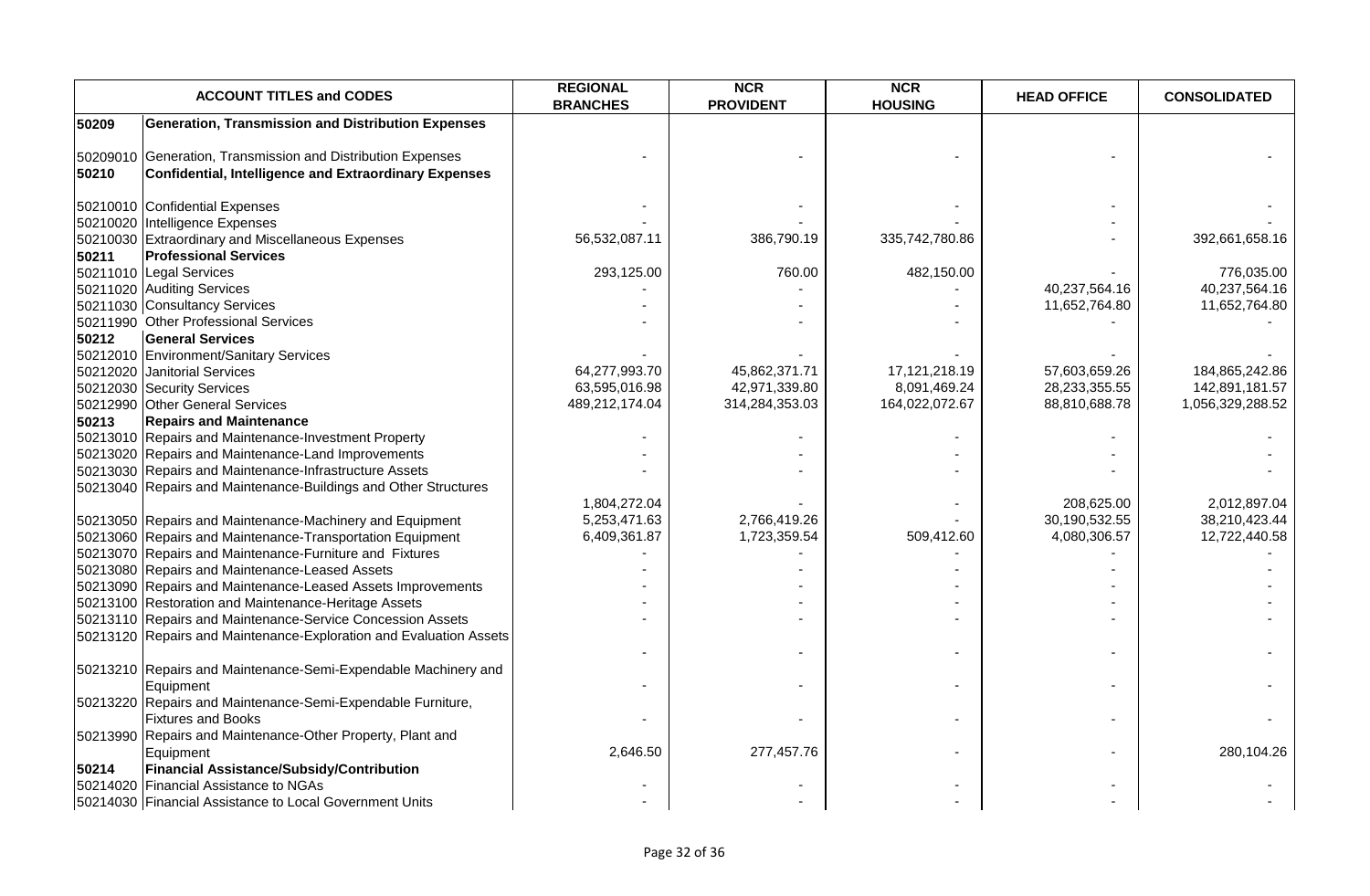|       | <b>ACCOUNT TITLES and CODES</b>                                                                                      | <b>REGIONAL</b><br><b>BRANCHES</b> | <b>NCR</b><br><b>PROVIDENT</b> | <b>NCR</b><br><b>HOUSING</b> | <b>HEAD OFFICE</b> | <b>CONSOLIDATED</b> |
|-------|----------------------------------------------------------------------------------------------------------------------|------------------------------------|--------------------------------|------------------------------|--------------------|---------------------|
| 50209 | <b>Generation, Transmission and Distribution Expenses</b>                                                            |                                    |                                |                              |                    |                     |
| 50210 | 50209010 Generation, Transmission and Distribution Expenses<br>Confidential, Intelligence and Extraordinary Expenses |                                    |                                |                              |                    |                     |
|       |                                                                                                                      |                                    |                                |                              |                    |                     |
|       | 50210010 Confidential Expenses                                                                                       |                                    |                                |                              |                    |                     |
|       | 50210020 Intelligence Expenses                                                                                       |                                    |                                |                              |                    |                     |
|       | 50210030 Extraordinary and Miscellaneous Expenses                                                                    | 56,532,087.11                      | 386,790.19                     | 335,742,780.86               |                    | 392,661,658.16      |
| 50211 | <b>Professional Services</b>                                                                                         |                                    |                                |                              |                    |                     |
|       | 50211010 Legal Services                                                                                              | 293,125.00                         | 760.00                         | 482,150.00                   |                    | 776,035.00          |
|       | 50211020 Auditing Services                                                                                           |                                    |                                |                              | 40,237,564.16      | 40,237,564.16       |
|       | 50211030 Consultancy Services                                                                                        |                                    |                                |                              | 11,652,764.80      | 11,652,764.80       |
|       | 50211990 Other Professional Services                                                                                 |                                    |                                |                              |                    |                     |
| 50212 | <b>General Services</b>                                                                                              |                                    |                                |                              |                    |                     |
|       | 50212010 Environment/Sanitary Services                                                                               |                                    |                                |                              |                    |                     |
|       | 50212020 Janitorial Services                                                                                         | 64,277,993.70                      | 45,862,371.71                  | 17,121,218.19                | 57,603,659.26      | 184,865,242.86      |
|       | 50212030 Security Services                                                                                           | 63,595,016.98                      | 42,971,339.80                  | 8,091,469.24                 | 28,233,355.55      | 142,891,181.57      |
|       | 50212990 Other General Services                                                                                      | 489,212,174.04                     | 314,284,353.03                 | 164,022,072.67               | 88,810,688.78      | 1,056,329,288.52    |
| 50213 | <b>Repairs and Maintenance</b>                                                                                       |                                    |                                |                              |                    |                     |
|       | 50213010 Repairs and Maintenance-Investment Property                                                                 |                                    |                                |                              |                    |                     |
|       | 50213020 Repairs and Maintenance-Land Improvements                                                                   |                                    |                                |                              |                    |                     |
|       | 50213030 Repairs and Maintenance-Infrastructure Assets                                                               |                                    |                                |                              |                    |                     |
|       | 50213040 Repairs and Maintenance-Buildings and Other Structures                                                      |                                    |                                |                              |                    |                     |
|       |                                                                                                                      | 1,804,272.04                       |                                |                              | 208,625.00         | 2,012,897.04        |
|       | 50213050 Repairs and Maintenance-Machinery and Equipment                                                             | 5,253,471.63                       | 2,766,419.26                   |                              | 30,190,532.55      | 38,210,423.44       |
|       | 50213060 Repairs and Maintenance-Transportation Equipment                                                            | 6,409,361.87                       | 1,723,359.54                   | 509,412.60                   | 4,080,306.57       | 12,722,440.58       |
|       | 50213070 Repairs and Maintenance-Furniture and Fixtures                                                              |                                    |                                |                              |                    |                     |
|       | 50213080 Repairs and Maintenance-Leased Assets                                                                       |                                    |                                |                              |                    |                     |
|       | 50213090 Repairs and Maintenance-Leased Assets Improvements                                                          |                                    |                                |                              |                    |                     |
|       | 50213100 Restoration and Maintenance-Heritage Assets                                                                 |                                    |                                |                              |                    |                     |
|       | 50213110 Repairs and Maintenance-Service Concession Assets                                                           |                                    |                                |                              |                    |                     |
|       | 50213120 Repairs and Maintenance-Exploration and Evaluation Assets                                                   |                                    |                                |                              |                    |                     |
|       |                                                                                                                      |                                    |                                |                              |                    |                     |
|       | 50213210 Repairs and Maintenance-Semi-Expendable Machinery and                                                       |                                    |                                |                              |                    |                     |
|       | Equipment                                                                                                            |                                    |                                |                              |                    |                     |
|       | 50213220 Repairs and Maintenance-Semi-Expendable Furniture,                                                          |                                    |                                |                              |                    |                     |
|       | <b>Fixtures and Books</b>                                                                                            |                                    |                                | $\sim$                       |                    |                     |
|       | 50213990 Repairs and Maintenance-Other Property, Plant and                                                           |                                    |                                |                              |                    |                     |
|       | Equipment                                                                                                            | 2,646.50                           | 277,457.76                     |                              |                    | 280,104.26          |
| 50214 | <b>Financial Assistance/Subsidy/Contribution</b>                                                                     |                                    |                                |                              |                    |                     |
|       | 50214020 Financial Assistance to NGAs                                                                                |                                    |                                |                              |                    |                     |
|       | 50214030 Financial Assistance to Local Government Units                                                              |                                    |                                |                              |                    |                     |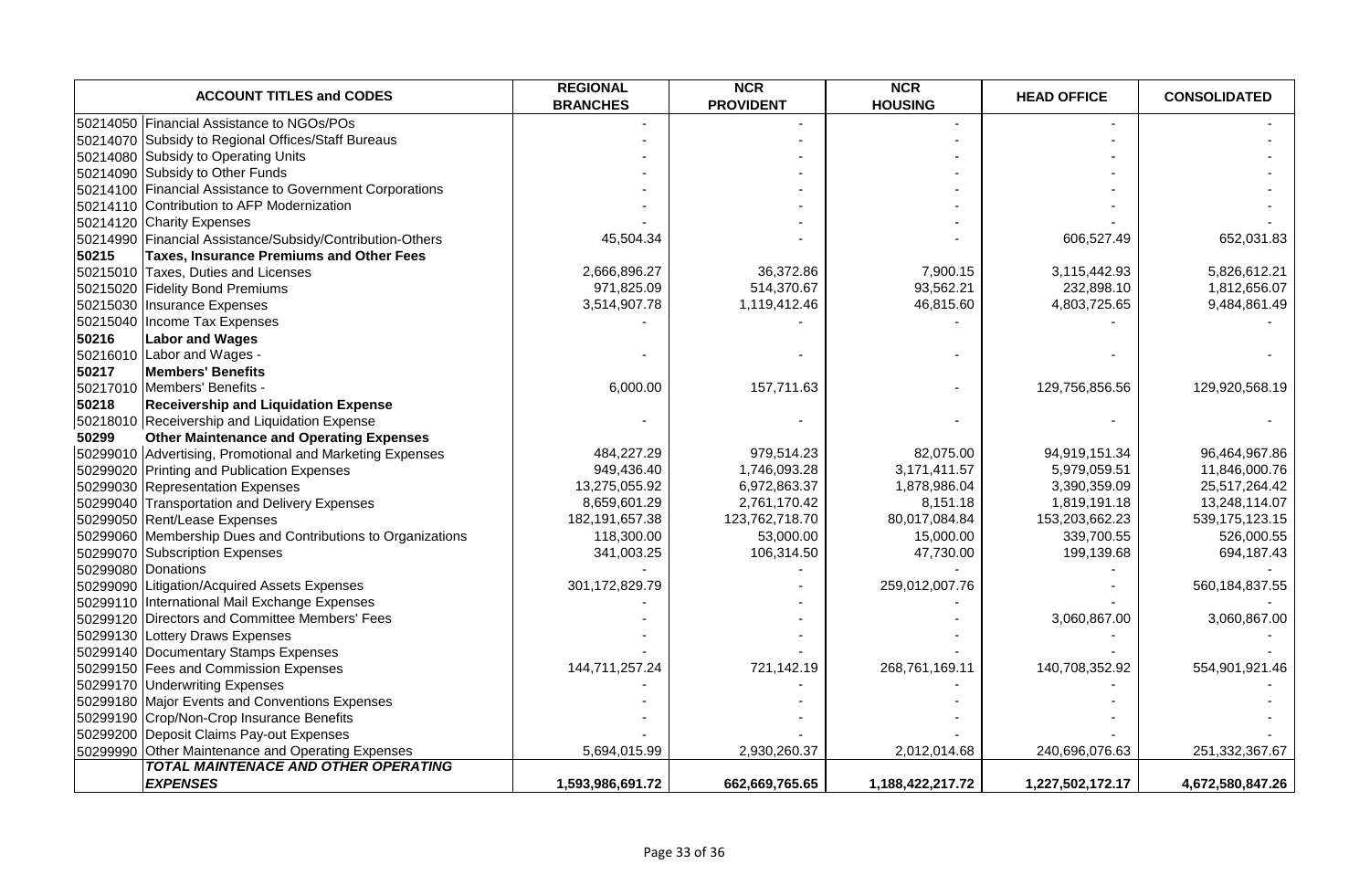| <b>ACCOUNT TITLES and CODES</b>                             | <b>REGIONAL</b><br><b>BRANCHES</b> | <b>NCR</b><br><b>PROVIDENT</b> | <b>NCR</b><br><b>HOUSING</b> | <b>HEAD OFFICE</b> | <b>CONSOLIDATED</b> |
|-------------------------------------------------------------|------------------------------------|--------------------------------|------------------------------|--------------------|---------------------|
| 50214050 Financial Assistance to NGOs/POs                   |                                    |                                |                              |                    |                     |
| 50214070 Subsidy to Regional Offices/Staff Bureaus          |                                    |                                |                              |                    |                     |
| 50214080 Subsidy to Operating Units                         |                                    |                                |                              |                    |                     |
| 50214090 Subsidy to Other Funds                             |                                    |                                |                              |                    |                     |
| 50214100 Financial Assistance to Government Corporations    |                                    |                                |                              |                    |                     |
| 50214110 Contribution to AFP Modernization                  |                                    |                                |                              |                    |                     |
| 50214120 Charity Expenses                                   |                                    |                                |                              |                    |                     |
| 50214990 Financial Assistance/Subsidy/Contribution-Others   | 45,504.34                          |                                |                              | 606,527.49         | 652,031.83          |
| 50215<br><b>Taxes, Insurance Premiums and Other Fees</b>    |                                    |                                |                              |                    |                     |
| 50215010 Taxes, Duties and Licenses                         | 2,666,896.27                       | 36,372.86                      | 7,900.15                     | 3,115,442.93       | 5,826,612.21        |
| 50215020 Fidelity Bond Premiums                             | 971,825.09                         | 514,370.67                     | 93,562.21                    | 232,898.10         | 1,812,656.07        |
| 50215030 Insurance Expenses                                 | 3,514,907.78                       | 1,119,412.46                   | 46,815.60                    | 4,803,725.65       | 9,484,861.49        |
| 50215040 Income Tax Expenses                                |                                    |                                |                              |                    |                     |
| 50216<br><b>Labor and Wages</b>                             |                                    |                                |                              |                    |                     |
| 50216010 Labor and Wages -                                  |                                    |                                |                              |                    |                     |
| 50217<br><b>Members' Benefits</b>                           |                                    |                                |                              |                    |                     |
| 50217010 Members' Benefits -                                | 6,000.00                           | 157,711.63                     |                              | 129,756,856.56     | 129,920,568.19      |
| 50218<br><b>Receivership and Liquidation Expense</b>        |                                    |                                |                              |                    |                     |
| 50218010 Receivership and Liquidation Expense               |                                    |                                |                              |                    |                     |
| <b>Other Maintenance and Operating Expenses</b><br>50299    |                                    |                                |                              |                    |                     |
| 50299010 Advertising, Promotional and Marketing Expenses    | 484,227.29                         | 979,514.23                     | 82,075.00                    | 94,919,151.34      | 96,464,967.86       |
| 50299020 Printing and Publication Expenses                  | 949,436.40                         | 1,746,093.28                   | 3,171,411.57                 | 5,979,059.51       | 11,846,000.76       |
| 50299030 Representation Expenses                            | 13,275,055.92                      | 6,972,863.37                   | 1,878,986.04                 | 3,390,359.09       | 25,517,264.42       |
| 50299040 Transportation and Delivery Expenses               | 8,659,601.29                       | 2,761,170.42                   | 8,151.18                     | 1,819,191.18       | 13,248,114.07       |
| 50299050 Rent/Lease Expenses                                | 182, 191, 657. 38                  | 123,762,718.70                 | 80,017,084.84                | 153,203,662.23     | 539, 175, 123. 15   |
| 50299060 Membership Dues and Contributions to Organizations | 118,300.00                         | 53,000.00                      | 15,000.00                    | 339,700.55         | 526,000.55          |
| 50299070 Subscription Expenses                              | 341,003.25                         | 106,314.50                     | 47,730.00                    | 199,139.68         | 694,187.43          |
| 50299080 Donations                                          |                                    |                                |                              |                    |                     |
| 50299090 Litigation/Acquired Assets Expenses                | 301,172,829.79                     |                                | 259,012,007.76               |                    | 560, 184, 837.55    |
| 50299110 International Mail Exchange Expenses               |                                    |                                |                              |                    |                     |
| 50299120 Directors and Committee Members' Fees              |                                    |                                |                              | 3,060,867.00       | 3,060,867.00        |
| 50299130 Lottery Draws Expenses                             |                                    |                                |                              |                    |                     |
| 50299140 Documentary Stamps Expenses                        |                                    |                                |                              |                    |                     |
| 50299150 Fees and Commission Expenses                       | 144,711,257.24                     | 721,142.19                     | 268,761,169.11               | 140,708,352.92     | 554,901,921.46      |
| 50299170 Underwriting Expenses                              |                                    |                                |                              |                    |                     |
| 50299180 Major Events and Conventions Expenses              |                                    |                                |                              |                    |                     |
| 50299190 Crop/Non-Crop Insurance Benefits                   |                                    |                                |                              |                    |                     |
| 50299200 Deposit Claims Pay-out Expenses                    |                                    |                                |                              |                    |                     |
| 50299990 Other Maintenance and Operating Expenses           | 5,694,015.99                       | 2,930,260.37                   | 2,012,014.68                 | 240,696,076.63     | 251,332,367.67      |
| <b>TOTAL MAINTENACE AND OTHER OPERATING</b>                 |                                    |                                |                              |                    |                     |
| <b>EXPENSES</b>                                             | 1,593,986,691.72                   | 662,669,765.65                 | 1,188,422,217.72             | 1,227,502,172.17   | 4,672,580,847.26    |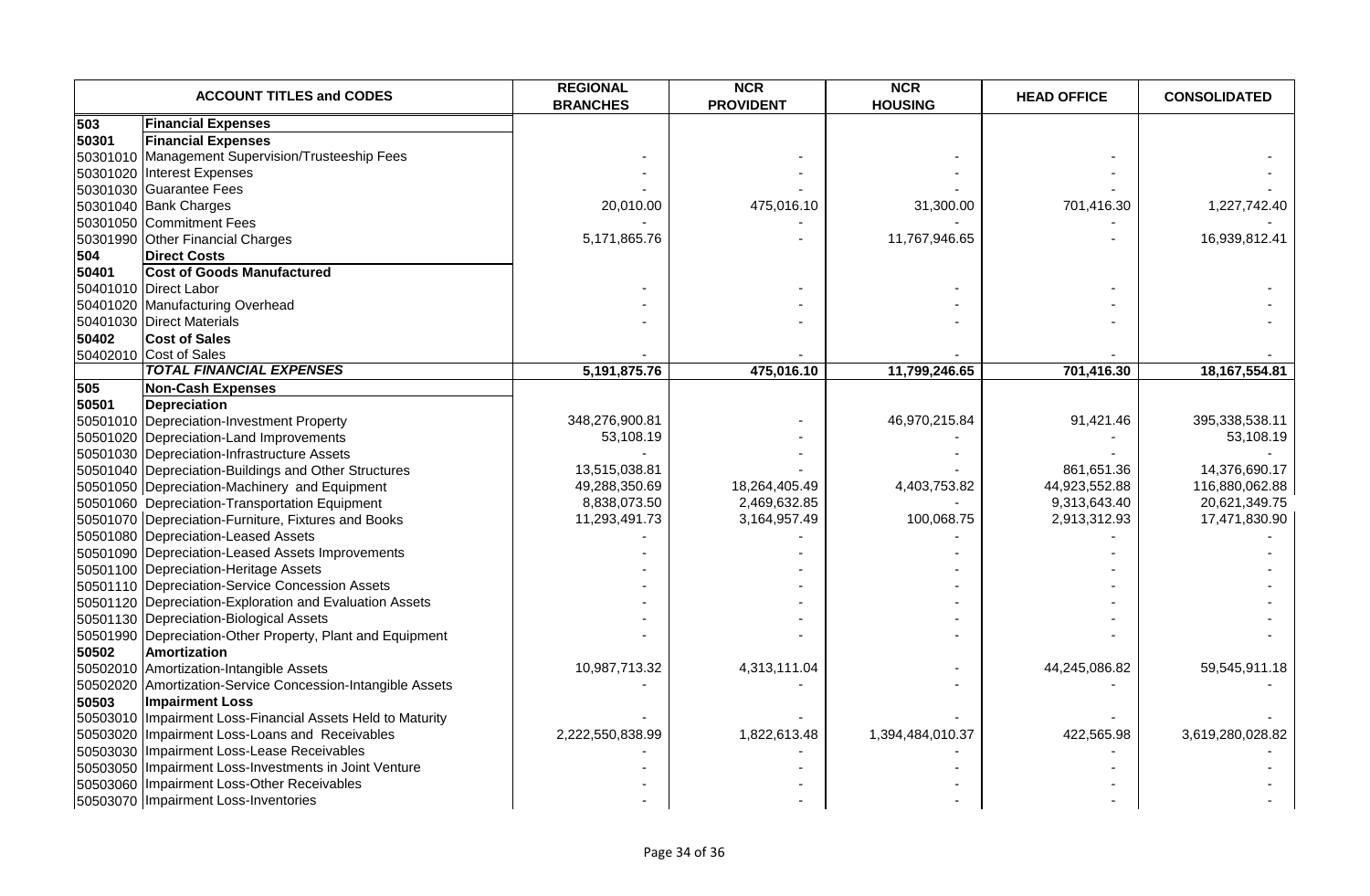|       | <b>ACCOUNT TITLES and CODES</b>                            | <b>REGIONAL</b><br><b>BRANCHES</b> | <b>NCR</b><br><b>PROVIDENT</b> | <b>NCR</b><br><b>HOUSING</b> | <b>HEAD OFFICE</b> | <b>CONSOLIDATED</b> |
|-------|------------------------------------------------------------|------------------------------------|--------------------------------|------------------------------|--------------------|---------------------|
| 503   | <b>Financial Expenses</b>                                  |                                    |                                |                              |                    |                     |
| 50301 | <b>Financial Expenses</b>                                  |                                    |                                |                              |                    |                     |
|       | 50301010 Management Supervision/Trusteeship Fees           |                                    |                                |                              |                    |                     |
|       | 50301020 Interest Expenses                                 |                                    |                                |                              |                    |                     |
|       | 50301030 Guarantee Fees                                    |                                    |                                |                              |                    |                     |
|       | 50301040 Bank Charges                                      | 20,010.00                          | 475,016.10                     | 31,300.00                    | 701,416.30         | 1,227,742.40        |
|       | 50301050 Commitment Fees                                   |                                    |                                |                              |                    |                     |
|       | 50301990 Other Financial Charges                           | 5,171,865.76                       |                                | 11,767,946.65                |                    | 16,939,812.41       |
| 504   | <b>Direct Costs</b>                                        |                                    |                                |                              |                    |                     |
| 50401 | <b>Cost of Goods Manufactured</b>                          |                                    |                                |                              |                    |                     |
|       | 50401010 Direct Labor                                      |                                    |                                |                              |                    |                     |
|       | 50401020 Manufacturing Overhead                            |                                    |                                |                              |                    |                     |
|       | 50401030 Direct Materials                                  |                                    |                                |                              |                    |                     |
| 50402 | <b>Cost of Sales</b>                                       |                                    |                                |                              |                    |                     |
|       | 50402010 Cost of Sales                                     |                                    |                                |                              |                    |                     |
|       | <b>TOTAL FINANCIAL EXPENSES</b>                            | 5,191,875.76                       | 475,016.10                     | 11,799,246.65                | 701,416.30         | 18, 167, 554.81     |
| 505   | <b>Non-Cash Expenses</b>                                   |                                    |                                |                              |                    |                     |
| 50501 | <b>Depreciation</b>                                        |                                    |                                |                              |                    |                     |
|       | 50501010 Depreciation-Investment Property                  | 348,276,900.81                     |                                | 46,970,215.84                | 91,421.46          | 395,338,538.11      |
|       | 50501020 Depreciation-Land Improvements                    | 53,108.19                          |                                |                              |                    | 53,108.19           |
|       | 50501030 Depreciation-Infrastructure Assets                |                                    |                                |                              |                    |                     |
|       | 50501040 Depreciation-Buildings and Other Structures       | 13,515,038.81                      |                                |                              | 861,651.36         | 14,376,690.17       |
|       | 50501050 Depreciation-Machinery and Equipment              | 49,288,350.69                      | 18,264,405.49                  | 4,403,753.82                 | 44,923,552.88      | 116,880,062.88      |
|       | 50501060 Depreciation-Transportation Equipment             | 8,838,073.50                       | 2,469,632.85                   |                              | 9,313,643.40       | 20,621,349.75       |
|       | 50501070 Depreciation-Furniture, Fixtures and Books        | 11,293,491.73                      | 3,164,957.49                   | 100,068.75                   | 2,913,312.93       | 17,471,830.90       |
|       | 50501080 Depreciation-Leased Assets                        |                                    |                                |                              |                    |                     |
|       | 50501090 Depreciation-Leased Assets Improvements           |                                    |                                |                              |                    |                     |
|       | 50501100 Depreciation-Heritage Assets                      |                                    |                                |                              |                    |                     |
|       | 50501110 Depreciation-Service Concession Assets            |                                    |                                |                              |                    |                     |
|       | 50501120 Depreciation-Exploration and Evaluation Assets    |                                    |                                |                              |                    |                     |
|       | 50501130 Depreciation-Biological Assets                    |                                    |                                |                              |                    |                     |
|       | 50501990 Depreciation-Other Property, Plant and Equipment  |                                    |                                |                              |                    |                     |
| 50502 | Amortization                                               |                                    |                                |                              |                    |                     |
|       | 50502010 Amortization-Intangible Assets                    | 10,987,713.32                      | 4,313,111.04                   |                              | 44,245,086.82      | 59,545,911.18       |
|       | 50502020 Amortization-Service Concession-Intangible Assets |                                    |                                |                              |                    |                     |
| 50503 | <b>Impairment Loss</b>                                     |                                    |                                |                              |                    |                     |
|       | 50503010 Impairment Loss-Financial Assets Held to Maturity |                                    |                                |                              |                    |                     |
|       | 50503020 Impairment Loss-Loans and Receivables             | 2,222,550,838.99                   | 1,822,613.48                   | 1,394,484,010.37             | 422,565.98         | 3,619,280,028.82    |
|       | 50503030 Impairment Loss-Lease Receivables                 |                                    |                                |                              |                    |                     |
|       | 50503050 Impairment Loss-Investments in Joint Venture      |                                    |                                |                              |                    |                     |
|       | 50503060 Impairment Loss-Other Receivables                 |                                    |                                |                              |                    |                     |
|       | 50503070 Impairment Loss-Inventories                       |                                    |                                |                              |                    |                     |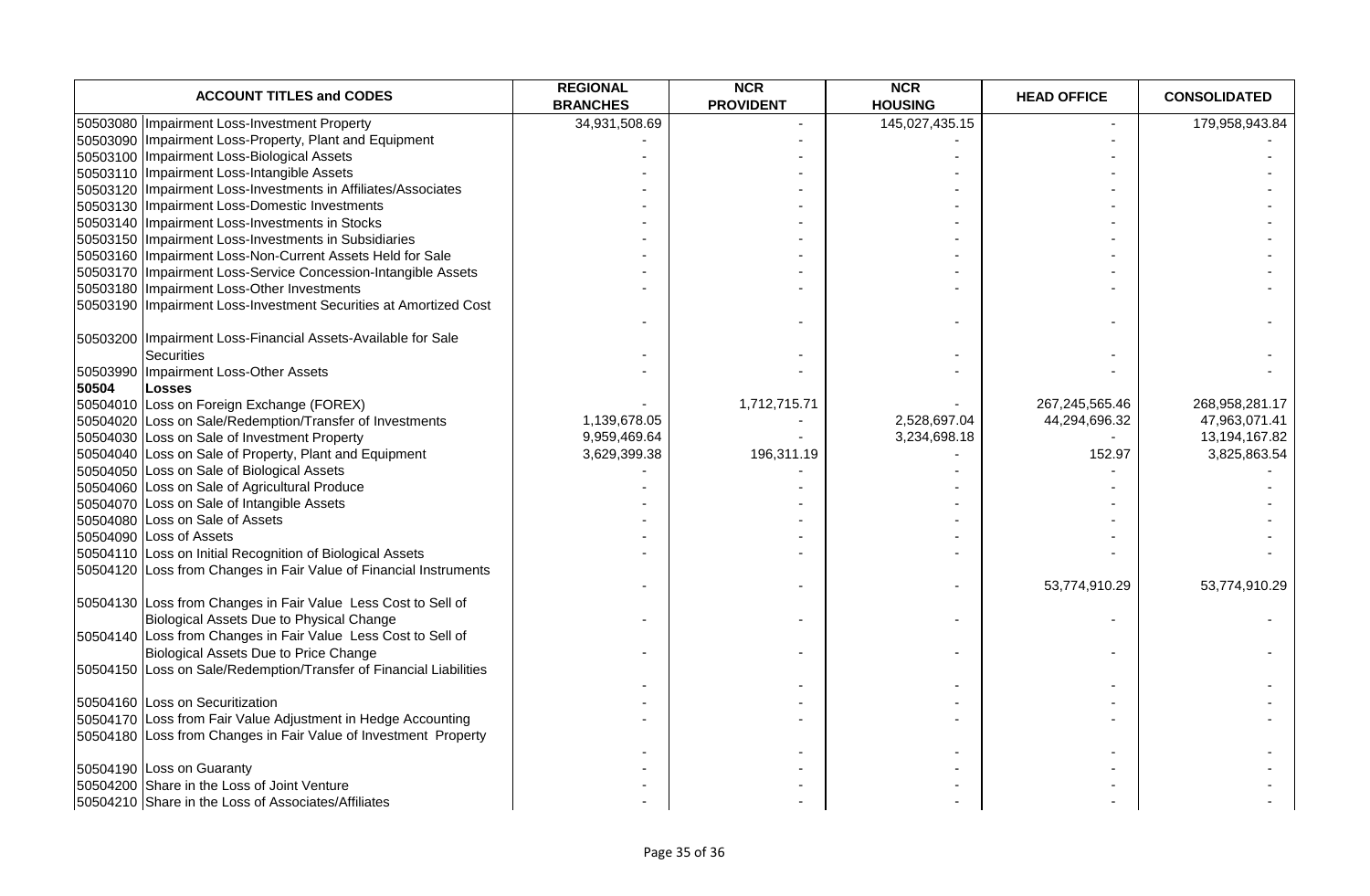| <b>ACCOUNT TITLES and CODES</b>                                    | <b>REGIONAL</b><br><b>BRANCHES</b> | <b>NCR</b><br><b>PROVIDENT</b> | <b>NCR</b><br><b>HOUSING</b> | <b>HEAD OFFICE</b> | <b>CONSOLIDATED</b> |
|--------------------------------------------------------------------|------------------------------------|--------------------------------|------------------------------|--------------------|---------------------|
| 50503080 Impairment Loss-Investment Property                       | 34,931,508.69                      |                                | 145,027,435.15               |                    | 179,958,943.84      |
| 50503090 Impairment Loss-Property, Plant and Equipment             |                                    |                                |                              |                    |                     |
| 50503100 Impairment Loss-Biological Assets                         |                                    |                                |                              |                    |                     |
| 50503110   Impairment Loss-Intangible Assets                       |                                    |                                |                              |                    |                     |
| 50503120 Impairment Loss-Investments in Affiliates/Associates      |                                    |                                |                              |                    |                     |
| 50503130 Impairment Loss-Domestic Investments                      |                                    |                                |                              |                    |                     |
| 50503140   Impairment Loss-Investments in Stocks                   |                                    |                                |                              |                    |                     |
| 50503150 Impairment Loss-Investments in Subsidiaries               |                                    |                                |                              |                    |                     |
| 50503160 Impairment Loss-Non-Current Assets Held for Sale          |                                    |                                |                              |                    |                     |
| 50503170   Impairment Loss-Service Concession-Intangible Assets    |                                    |                                |                              |                    |                     |
| 50503180 Impairment Loss-Other Investments                         |                                    |                                |                              |                    |                     |
| 50503190   Impairment Loss-Investment Securities at Amortized Cost |                                    |                                |                              |                    |                     |
| 50503200 Impairment Loss-Financial Assets-Available for Sale       |                                    |                                |                              |                    |                     |
| <b>Securities</b>                                                  |                                    |                                |                              |                    |                     |
| 50503990 Impairment Loss-Other Assets                              |                                    |                                |                              |                    |                     |
| 50504<br><b>Losses</b>                                             |                                    |                                |                              |                    |                     |
| 50504010 Loss on Foreign Exchange (FOREX)                          |                                    | 1,712,715.71                   |                              | 267,245,565.46     | 268,958,281.17      |
| 50504020 Loss on Sale/Redemption/Transfer of Investments           | 1,139,678.05                       |                                | 2,528,697.04                 | 44,294,696.32      | 47,963,071.41       |
| 50504030 Loss on Sale of Investment Property                       | 9,959,469.64                       |                                | 3,234,698.18                 |                    | 13,194,167.82       |
| 50504040 Loss on Sale of Property, Plant and Equipment             | 3,629,399.38                       | 196,311.19                     |                              | 152.97             | 3,825,863.54        |
| 50504050 Loss on Sale of Biological Assets                         |                                    |                                |                              |                    |                     |
| 50504060 Loss on Sale of Agricultural Produce                      |                                    |                                |                              |                    |                     |
| 50504070 Loss on Sale of Intangible Assets                         |                                    |                                |                              |                    |                     |
| 50504080 Loss on Sale of Assets                                    |                                    |                                |                              |                    |                     |
| 50504090 Loss of Assets                                            |                                    |                                |                              |                    |                     |
| 50504110 Loss on Initial Recognition of Biological Assets          |                                    |                                |                              |                    |                     |
| 50504120 Loss from Changes in Fair Value of Financial Instruments  |                                    |                                |                              | 53,774,910.29      | 53,774,910.29       |
| 50504130 Loss from Changes in Fair Value Less Cost to Sell of      |                                    |                                |                              |                    |                     |
| Biological Assets Due to Physical Change                           |                                    |                                | $\blacksquare$               |                    |                     |
| 50504140 Loss from Changes in Fair Value Less Cost to Sell of      |                                    |                                |                              |                    |                     |
| Biological Assets Due to Price Change                              |                                    |                                |                              |                    |                     |
| 50504150 Loss on Sale/Redemption/Transfer of Financial Liabilities |                                    |                                |                              |                    |                     |
| 50504160 Loss on Securitization                                    |                                    |                                |                              |                    |                     |
| 50504170 Loss from Fair Value Adjustment in Hedge Accounting       |                                    |                                |                              |                    |                     |
| 50504180 Loss from Changes in Fair Value of Investment Property    |                                    |                                |                              |                    |                     |
| 50504190 Loss on Guaranty                                          |                                    |                                |                              |                    |                     |
| 50504200 Share in the Loss of Joint Venture                        |                                    |                                |                              |                    |                     |
| 50504210 Share in the Loss of Associates/Affiliates                |                                    |                                |                              |                    |                     |
|                                                                    |                                    |                                |                              |                    |                     |